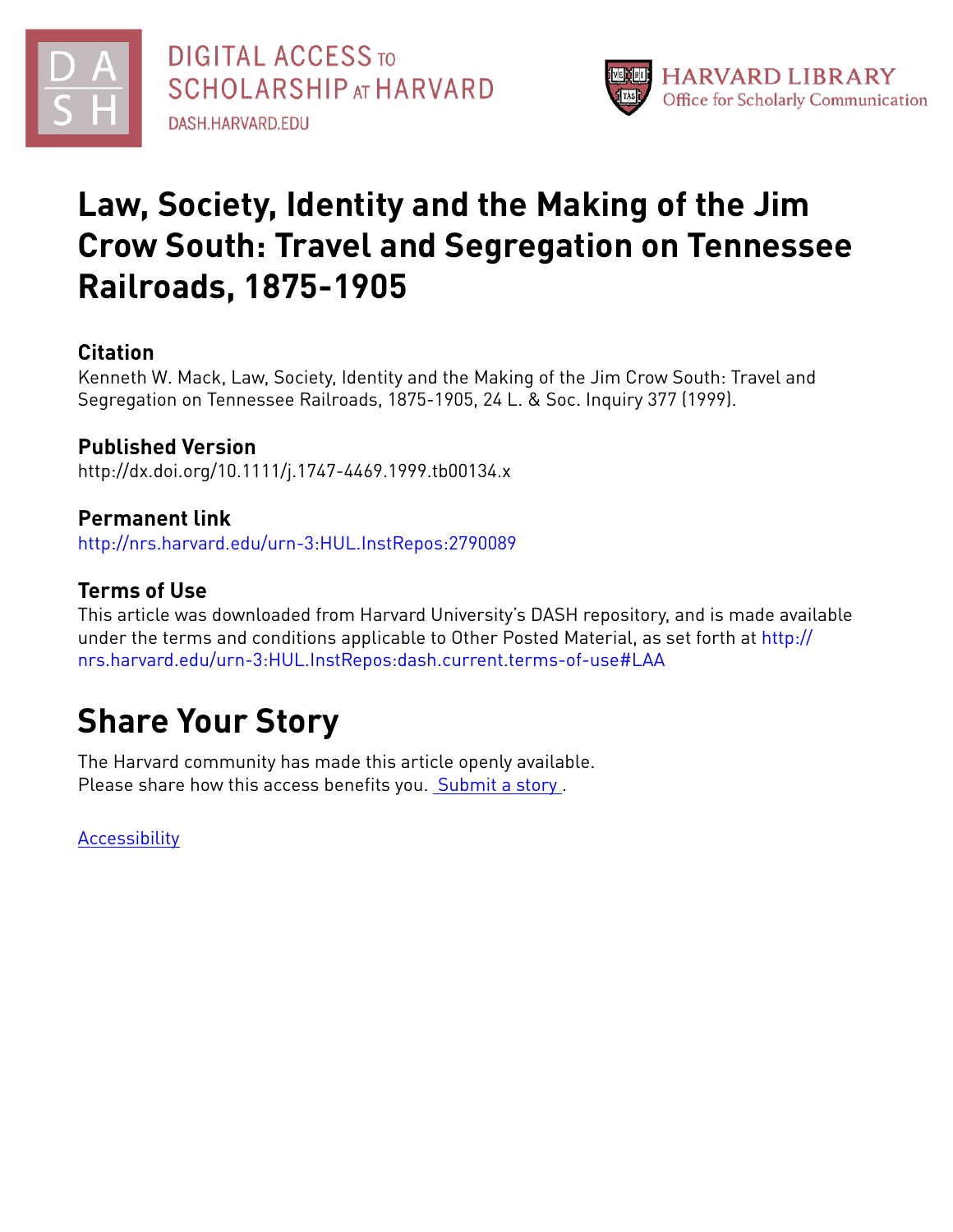



## **Law, Society, Identity and the Making of the Jim Crow South: Travel and Segregation on Tennessee Railroads, 1875-1905**

## **Citation**

Kenneth W. Mack, Law, Society, Identity and the Making of the Jim Crow South: Travel and Segregation on Tennessee Railroads, 1875-1905, 24 L. & Soc. Inquiry 377 (1999).

## **Published Version**

http://dx.doi.org/10.1111/j.1747-4469.1999.tb00134.x

## **Permanent link**

<http://nrs.harvard.edu/urn-3:HUL.InstRepos:2790089>

## **Terms of Use**

This article was downloaded from Harvard University's DASH repository, and is made available under the terms and conditions applicable to Other Posted Material, as set forth at [http://](http://nrs.harvard.edu/urn-3:HUL.InstRepos:dash.current.terms-of-use#LAA) [nrs.harvard.edu/urn-3:HUL.InstRepos:dash.current.terms-of-use#LAA](http://nrs.harvard.edu/urn-3:HUL.InstRepos:dash.current.terms-of-use#LAA)

# **Share Your Story**

The Harvard community has made this article openly available. Please share how this access benefits you. [Submit](http://osc.hul.harvard.edu/dash/open-access-feedback?handle=&title=Law,%20Society,%20Identity%20and%20the%20Making%20of%20the%20Jim%20Crow%20South:%20Travel%20and%20Segregation%20on%20Tennessee%20Railroads,%201875-1905&community=1/7&collection=1/8&owningCollection1/8&harvardAuthors=aedd473cb306144834a2f51519ec5bfa&department) a story .

**[Accessibility](https://dash.harvard.edu/pages/accessibility)**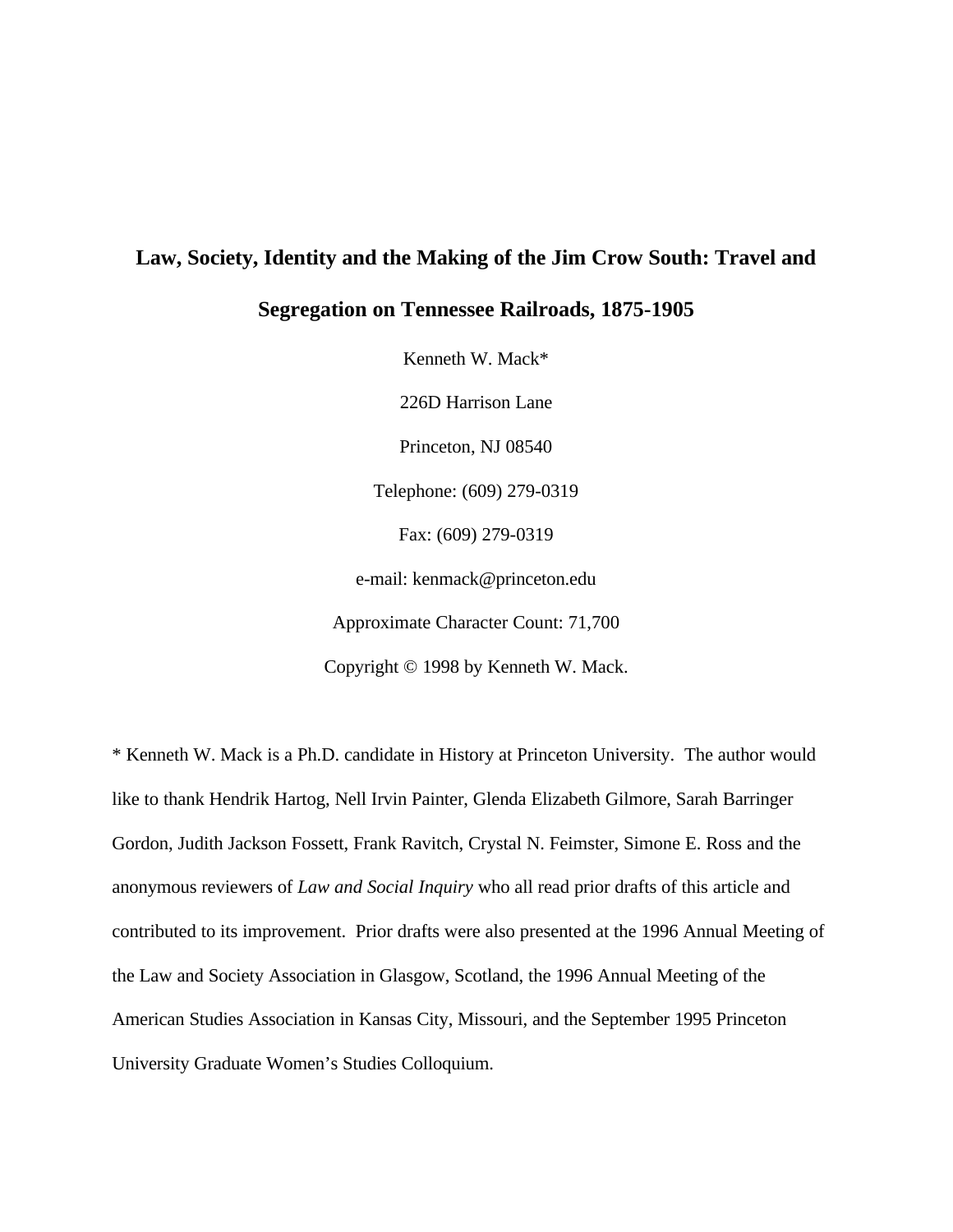## **Law, Society, Identity and the Making of the Jim Crow South: Travel and**

### **Segregation on Tennessee Railroads, 1875-1905**

Kenneth W. Mack\* 226D Harrison Lane Princeton, NJ 08540 Telephone: (609) 279-0319 Fax: (609) 279-0319 e-mail: kenmack@princeton.edu Approximate Character Count: 71,700 Copyright © 1998 by Kenneth W. Mack.

\* Kenneth W. Mack is a Ph.D. candidate in History at Princeton University. The author would like to thank Hendrik Hartog, Nell Irvin Painter, Glenda Elizabeth Gilmore, Sarah Barringer Gordon, Judith Jackson Fossett, Frank Ravitch, Crystal N. Feimster, Simone E. Ross and the anonymous reviewers of *Law and Social Inquiry* who all read prior drafts of this article and contributed to its improvement. Prior drafts were also presented at the 1996 Annual Meeting of the Law and Society Association in Glasgow, Scotland, the 1996 Annual Meeting of the American Studies Association in Kansas City, Missouri, and the September 1995 Princeton University Graduate Women's Studies Colloquium.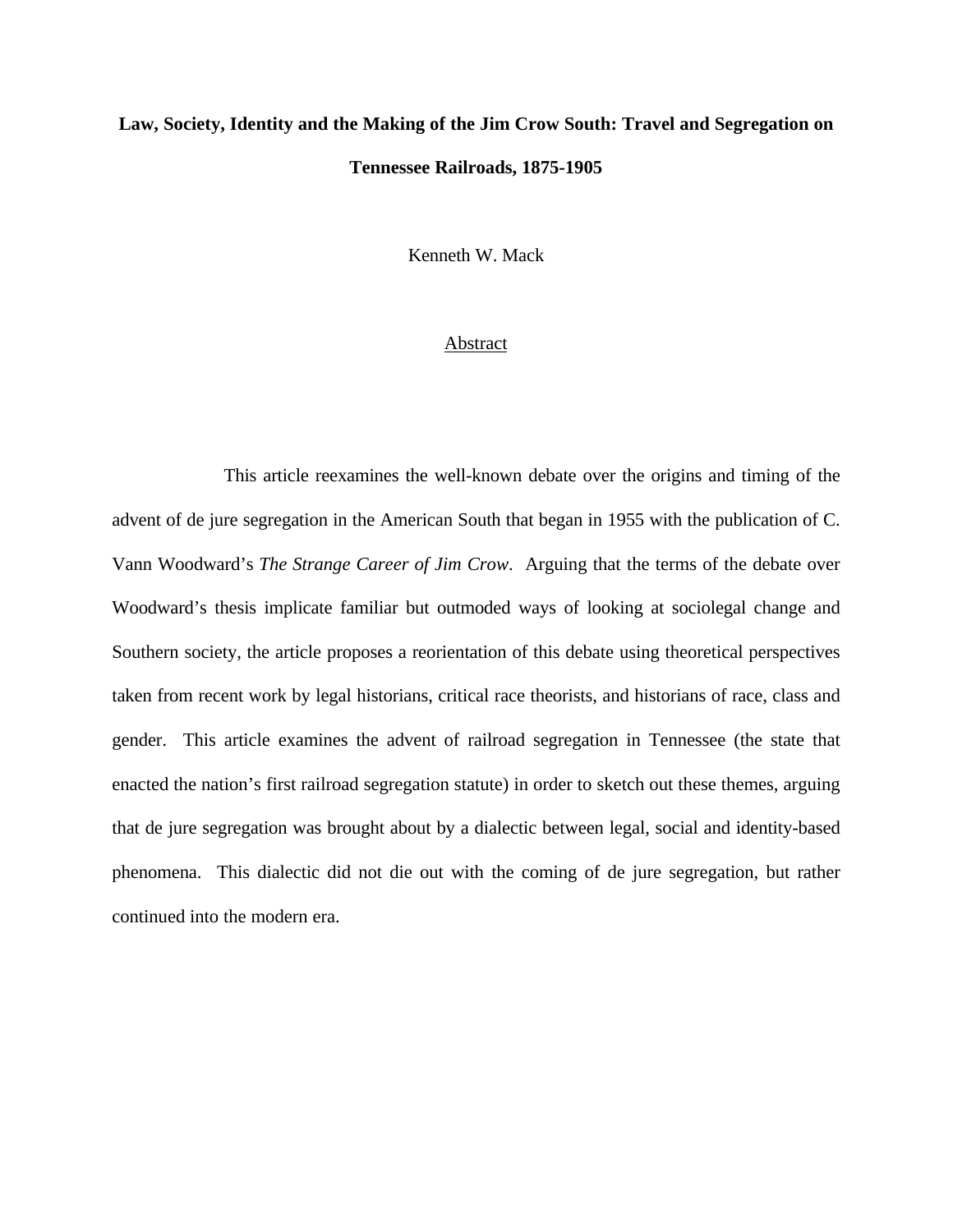## **Law, Society, Identity and the Making of the Jim Crow South: Travel and Segregation on Tennessee Railroads, 1875-1905**

Kenneth W. Mack

#### Abstract

This article reexamines the well-known debate over the origins and timing of the advent of de jure segregation in the American South that began in 1955 with the publication of C. Vann Woodward's *The Strange Career of Jim Crow*. Arguing that the terms of the debate over Woodward's thesis implicate familiar but outmoded ways of looking at sociolegal change and Southern society, the article proposes a reorientation of this debate using theoretical perspectives taken from recent work by legal historians, critical race theorists, and historians of race, class and gender. This article examines the advent of railroad segregation in Tennessee (the state that enacted the nation's first railroad segregation statute) in order to sketch out these themes, arguing that de jure segregation was brought about by a dialectic between legal, social and identity-based phenomena. This dialectic did not die out with the coming of de jure segregation, but rather continued into the modern era.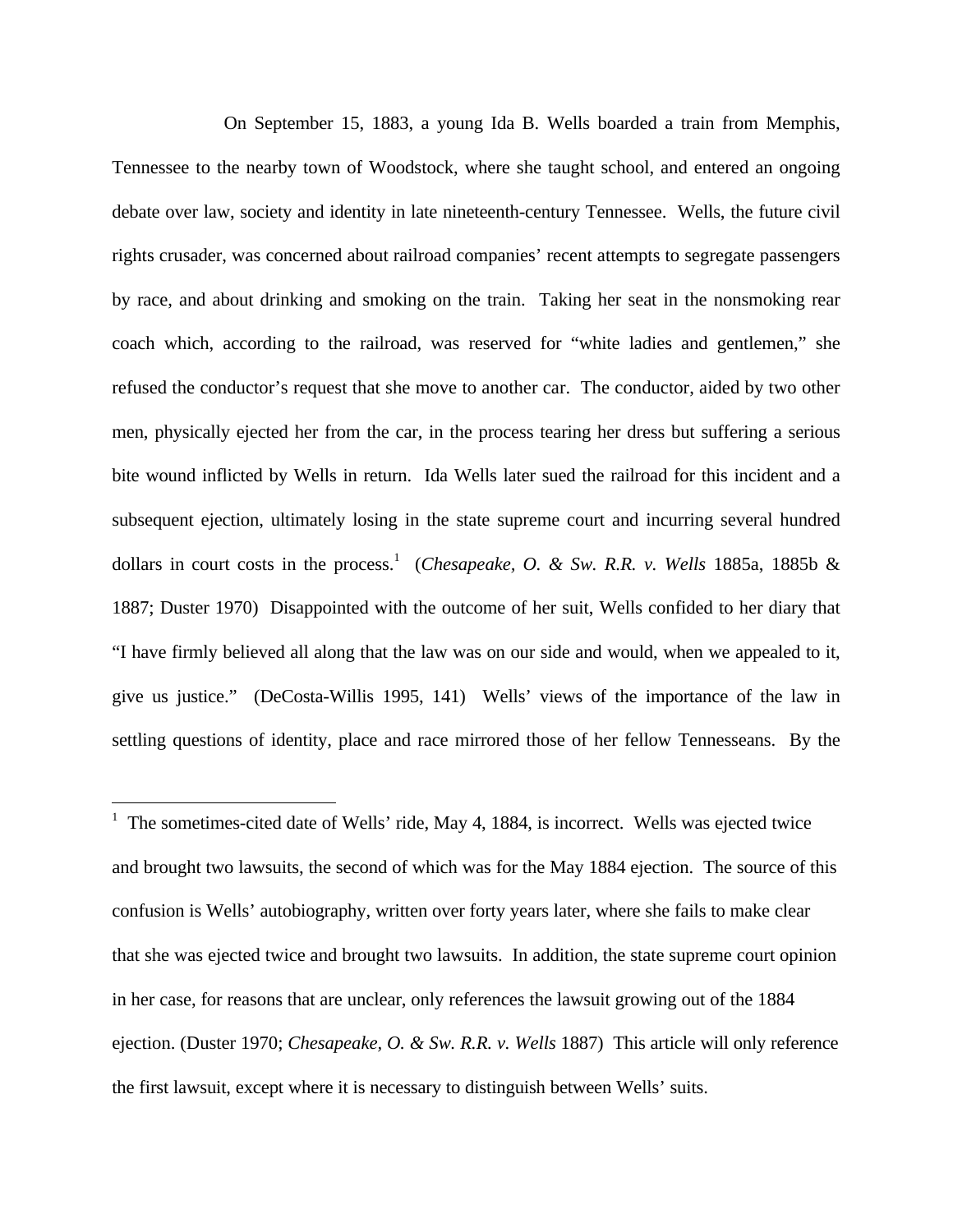On September 15, 1883, a young Ida B. Wells boarded a train from Memphis, Tennessee to the nearby town of Woodstock, where she taught school, and entered an ongoing debate over law, society and identity in late nineteenth-century Tennessee. Wells, the future civil rights crusader, was concerned about railroad companies' recent attempts to segregate passengers by race, and about drinking and smoking on the train. Taking her seat in the nonsmoking rear coach which, according to the railroad, was reserved for "white ladies and gentlemen," she refused the conductor's request that she move to another car. The conductor, aided by two other men, physically ejected her from the car, in the process tearing her dress but suffering a serious bite wound inflicted by Wells in return. Ida Wells later sued the railroad for this incident and a subsequent ejection, ultimately losing in the state supreme court and incurring several hundred dollars in court costs in the process.<sup>1</sup> (*Chesapeake, O. & Sw. R.R. v. Wells* 1885a, 1885b & 1887; Duster 1970) Disappointed with the outcome of her suit, Wells confided to her diary that "I have firmly believed all along that the law was on our side and would, when we appealed to it, give us justice." (DeCosta-Willis 1995, 141) Wells' views of the importance of the law in settling questions of identity, place and race mirrored those of her fellow Tennesseans. By the

 $\overline{a}$ 

 $1$  The sometimes-cited date of Wells' ride, May 4, 1884, is incorrect. Wells was ejected twice and brought two lawsuits, the second of which was for the May 1884 ejection. The source of this confusion is Wells' autobiography, written over forty years later, where she fails to make clear that she was ejected twice and brought two lawsuits. In addition, the state supreme court opinion in her case, for reasons that are unclear, only references the lawsuit growing out of the 1884 ejection. (Duster 1970; *Chesapeake, O. & Sw. R.R. v. Wells* 1887) This article will only reference the first lawsuit, except where it is necessary to distinguish between Wells' suits.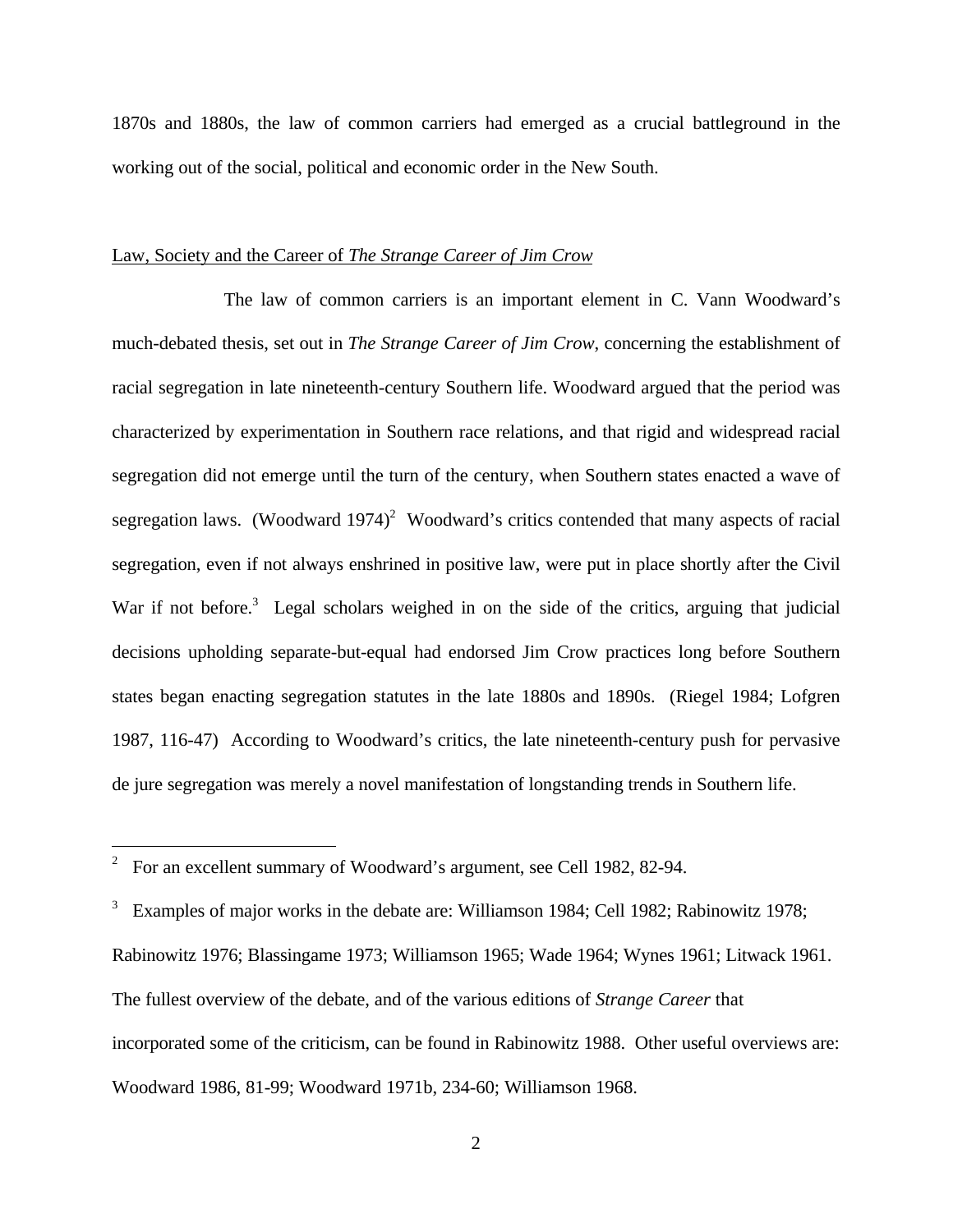1870s and 1880s, the law of common carriers had emerged as a crucial battleground in the working out of the social, political and economic order in the New South.

#### Law, Society and the Career of *The Strange Career of Jim Crow*

The law of common carriers is an important element in C. Vann Woodward's much-debated thesis, set out in *The Strange Career of Jim Crow*, concerning the establishment of racial segregation in late nineteenth-century Southern life. Woodward argued that the period was characterized by experimentation in Southern race relations, and that rigid and widespread racial segregation did not emerge until the turn of the century, when Southern states enacted a wave of segregation laws. (Woodward 1974)<sup>2</sup> Woodward's critics contended that many aspects of racial segregation, even if not always enshrined in positive law, were put in place shortly after the Civil War if not before.<sup>3</sup> Legal scholars weighed in on the side of the critics, arguing that judicial decisions upholding separate-but-equal had endorsed Jim Crow practices long before Southern states began enacting segregation statutes in the late 1880s and 1890s. (Riegel 1984; Lofgren 1987, 116-47) According to Woodward's critics, the late nineteenth-century push for pervasive de jure segregation was merely a novel manifestation of longstanding trends in Southern life.

 $\overline{a}$ 

<sup>2</sup> For an excellent summary of Woodward's argument, see Cell 1982, 82-94.

<sup>3</sup> Examples of major works in the debate are: Williamson 1984; Cell 1982; Rabinowitz 1978; Rabinowitz 1976; Blassingame 1973; Williamson 1965; Wade 1964; Wynes 1961; Litwack 1961. The fullest overview of the debate, and of the various editions of *Strange Career* that incorporated some of the criticism, can be found in Rabinowitz 1988. Other useful overviews are: Woodward 1986, 81-99; Woodward 1971b, 234-60; Williamson 1968.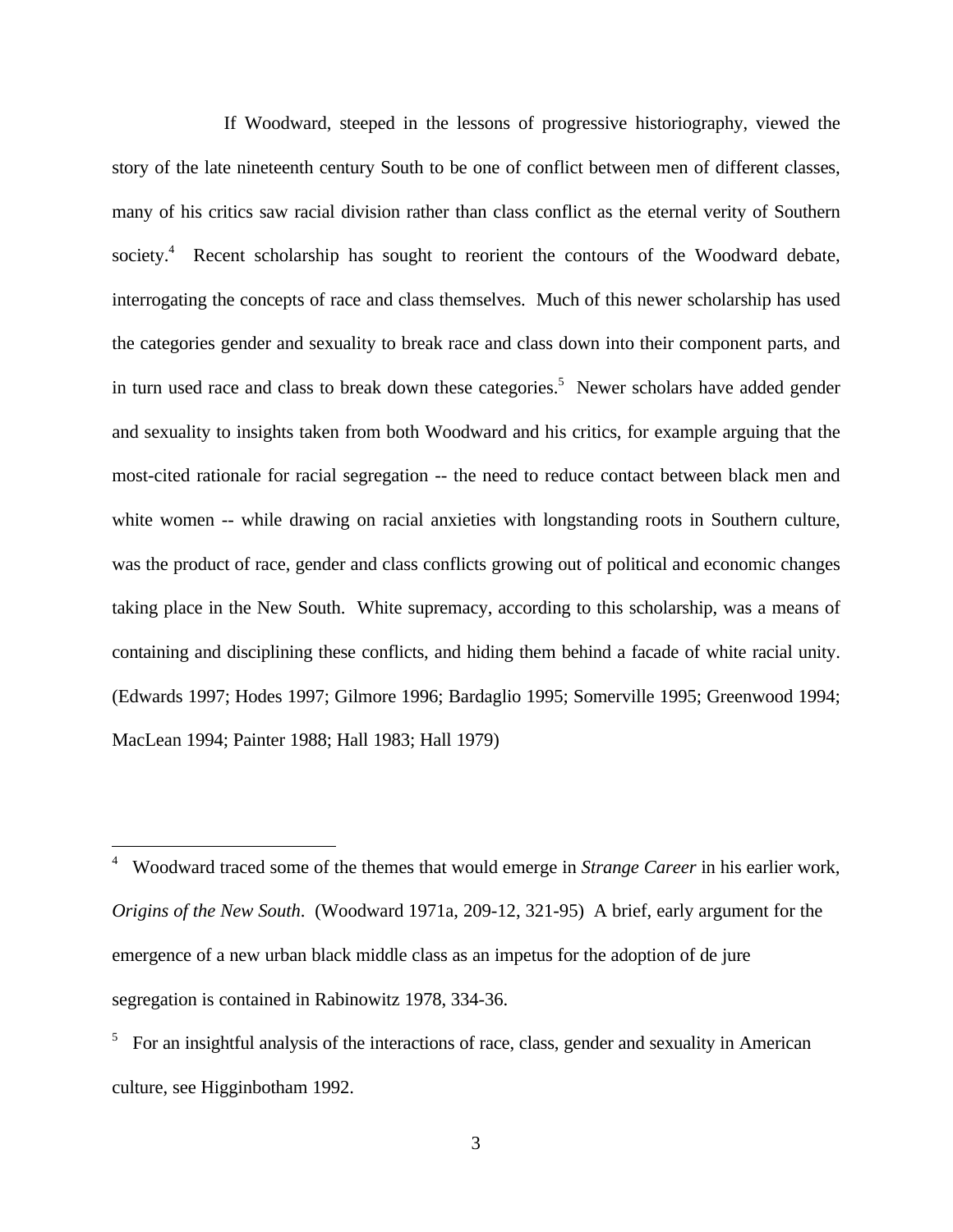If Woodward, steeped in the lessons of progressive historiography, viewed the story of the late nineteenth century South to be one of conflict between men of different classes, many of his critics saw racial division rather than class conflict as the eternal verity of Southern society.<sup>4</sup> Recent scholarship has sought to reorient the contours of the Woodward debate, interrogating the concepts of race and class themselves. Much of this newer scholarship has used the categories gender and sexuality to break race and class down into their component parts, and in turn used race and class to break down these categories.<sup>5</sup> Newer scholars have added gender and sexuality to insights taken from both Woodward and his critics, for example arguing that the most-cited rationale for racial segregation -- the need to reduce contact between black men and white women -- while drawing on racial anxieties with longstanding roots in Southern culture, was the product of race, gender and class conflicts growing out of political and economic changes taking place in the New South. White supremacy, according to this scholarship, was a means of containing and disciplining these conflicts, and hiding them behind a facade of white racial unity. (Edwards 1997; Hodes 1997; Gilmore 1996; Bardaglio 1995; Somerville 1995; Greenwood 1994; MacLean 1994; Painter 1988; Hall 1983; Hall 1979)

<u>.</u>

<sup>4</sup> Woodward traced some of the themes that would emerge in *Strange Career* in his earlier work, *Origins of the New South*. (Woodward 1971a, 209-12, 321-95) A brief, early argument for the emergence of a new urban black middle class as an impetus for the adoption of de jure segregation is contained in Rabinowitz 1978, 334-36.

<sup>&</sup>lt;sup>5</sup> For an insightful analysis of the interactions of race, class, gender and sexuality in American culture, see Higginbotham 1992.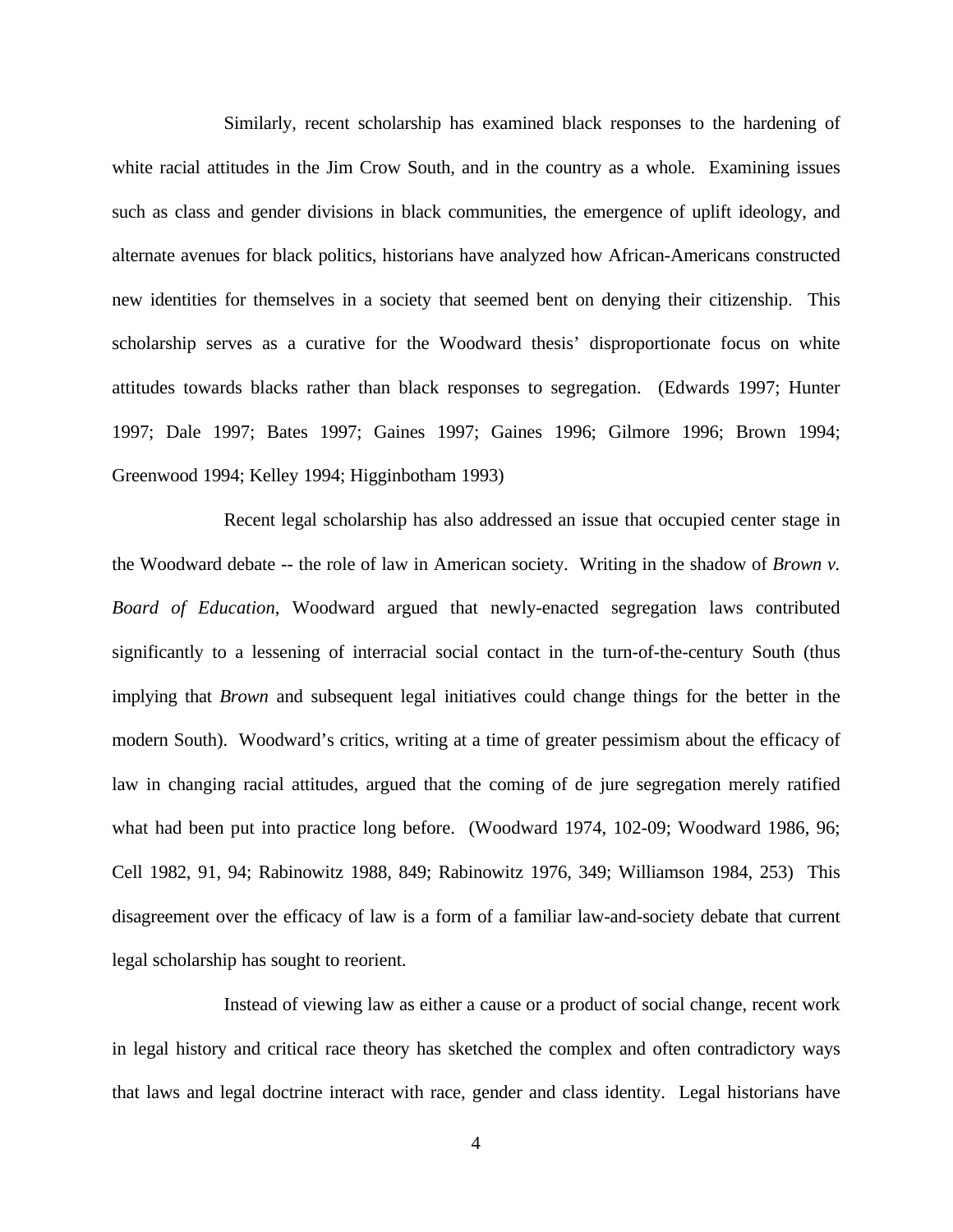Similarly, recent scholarship has examined black responses to the hardening of white racial attitudes in the Jim Crow South, and in the country as a whole. Examining issues such as class and gender divisions in black communities, the emergence of uplift ideology, and alternate avenues for black politics, historians have analyzed how African-Americans constructed new identities for themselves in a society that seemed bent on denying their citizenship. This scholarship serves as a curative for the Woodward thesis' disproportionate focus on white attitudes towards blacks rather than black responses to segregation. (Edwards 1997; Hunter 1997; Dale 1997; Bates 1997; Gaines 1997; Gaines 1996; Gilmore 1996; Brown 1994; Greenwood 1994; Kelley 1994; Higginbotham 1993)

Recent legal scholarship has also addressed an issue that occupied center stage in the Woodward debate -- the role of law in American society. Writing in the shadow of *Brown v. Board of Education*, Woodward argued that newly-enacted segregation laws contributed significantly to a lessening of interracial social contact in the turn-of-the-century South (thus implying that *Brown* and subsequent legal initiatives could change things for the better in the modern South). Woodward's critics, writing at a time of greater pessimism about the efficacy of law in changing racial attitudes, argued that the coming of de jure segregation merely ratified what had been put into practice long before. (Woodward 1974, 102-09; Woodward 1986, 96; Cell 1982, 91, 94; Rabinowitz 1988, 849; Rabinowitz 1976, 349; Williamson 1984, 253) This disagreement over the efficacy of law is a form of a familiar law-and-society debate that current legal scholarship has sought to reorient.

Instead of viewing law as either a cause or a product of social change, recent work in legal history and critical race theory has sketched the complex and often contradictory ways that laws and legal doctrine interact with race, gender and class identity. Legal historians have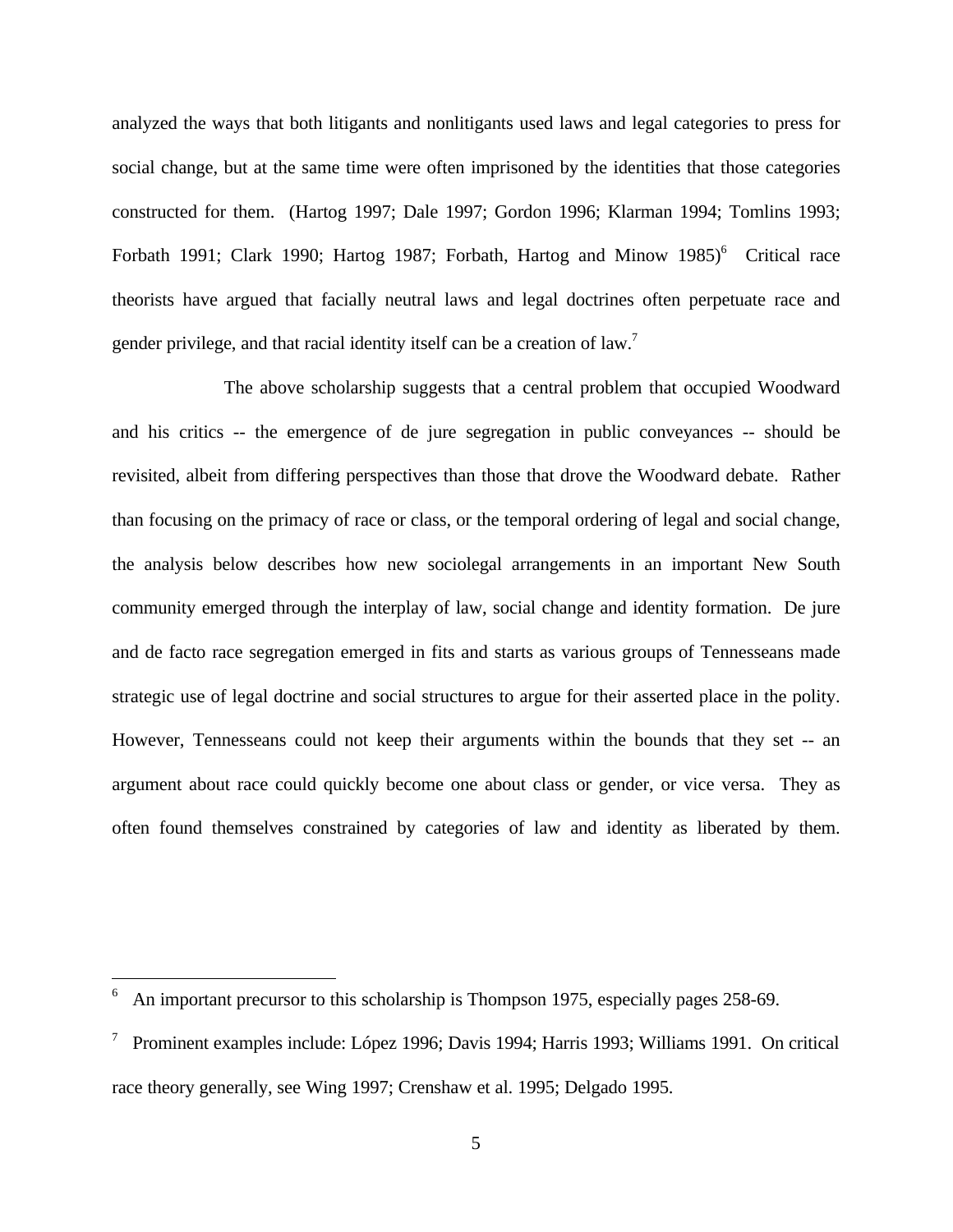analyzed the ways that both litigants and nonlitigants used laws and legal categories to press for social change, but at the same time were often imprisoned by the identities that those categories constructed for them. (Hartog 1997; Dale 1997; Gordon 1996; Klarman 1994; Tomlins 1993; Forbath 1991; Clark 1990; Hartog 1987; Forbath, Hartog and Minow  $1985$ <sup>6</sup> Critical race theorists have argued that facially neutral laws and legal doctrines often perpetuate race and gender privilege, and that racial identity itself can be a creation of law.<sup>7</sup>

The above scholarship suggests that a central problem that occupied Woodward and his critics -- the emergence of de jure segregation in public conveyances -- should be revisited, albeit from differing perspectives than those that drove the Woodward debate. Rather than focusing on the primacy of race or class, or the temporal ordering of legal and social change, the analysis below describes how new sociolegal arrangements in an important New South community emerged through the interplay of law, social change and identity formation. De jure and de facto race segregation emerged in fits and starts as various groups of Tennesseans made strategic use of legal doctrine and social structures to argue for their asserted place in the polity. However, Tennesseans could not keep their arguments within the bounds that they set -- an argument about race could quickly become one about class or gender, or vice versa. They as often found themselves constrained by categories of law and identity as liberated by them.

<u>.</u>

<sup>6</sup> An important precursor to this scholarship is Thompson 1975, especially pages 258-69.

<sup>7</sup> Prominent examples include: López 1996; Davis 1994; Harris 1993; Williams 1991. On critical race theory generally, see Wing 1997; Crenshaw et al. 1995; Delgado 1995.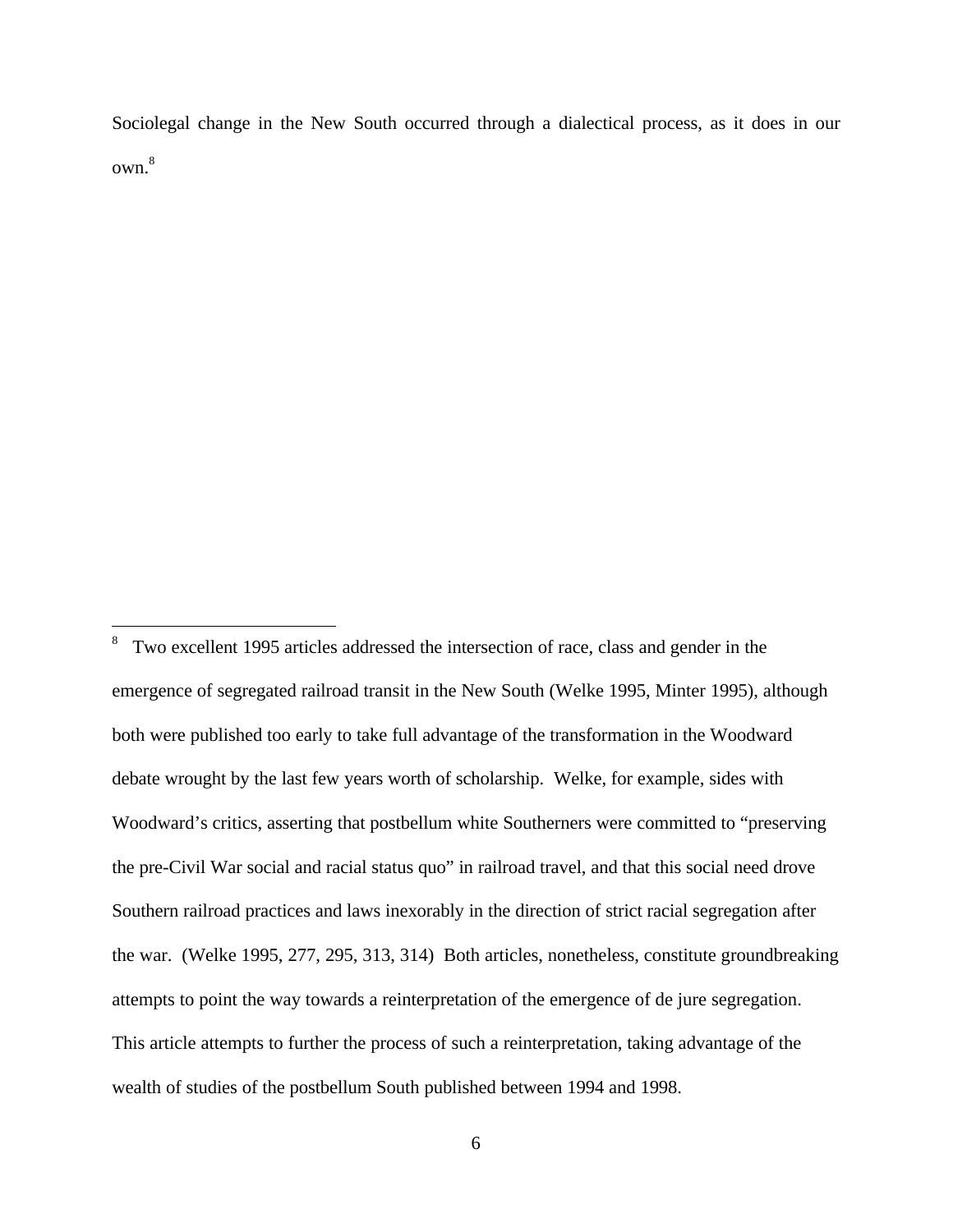Sociolegal change in the New South occurred through a dialectical process, as it does in our own.<sup>8</sup>

 $\frac{1}{8}$  Two excellent 1995 articles addressed the intersection of race, class and gender in the emergence of segregated railroad transit in the New South (Welke 1995, Minter 1995), although both were published too early to take full advantage of the transformation in the Woodward debate wrought by the last few years worth of scholarship. Welke, for example, sides with Woodward's critics, asserting that postbellum white Southerners were committed to "preserving the pre-Civil War social and racial status quo" in railroad travel, and that this social need drove Southern railroad practices and laws inexorably in the direction of strict racial segregation after the war. (Welke 1995, 277, 295, 313, 314) Both articles, nonetheless, constitute groundbreaking attempts to point the way towards a reinterpretation of the emergence of de jure segregation. This article attempts to further the process of such a reinterpretation, taking advantage of the wealth of studies of the postbellum South published between 1994 and 1998.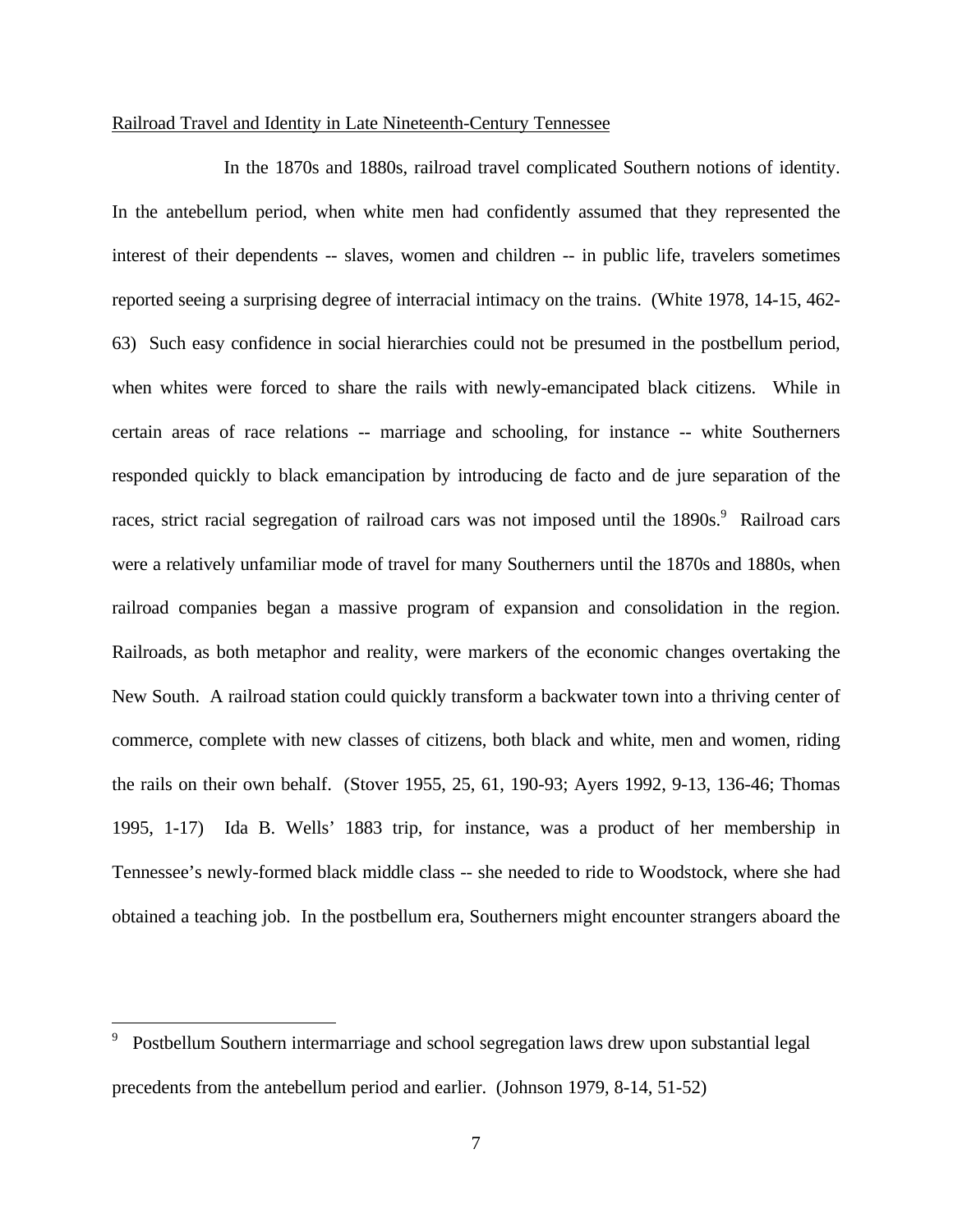#### Railroad Travel and Identity in Late Nineteenth-Century Tennessee

In the 1870s and 1880s, railroad travel complicated Southern notions of identity. In the antebellum period, when white men had confidently assumed that they represented the interest of their dependents -- slaves, women and children -- in public life, travelers sometimes reported seeing a surprising degree of interracial intimacy on the trains. (White 1978, 14-15, 462- 63) Such easy confidence in social hierarchies could not be presumed in the postbellum period, when whites were forced to share the rails with newly-emancipated black citizens. While in certain areas of race relations -- marriage and schooling, for instance -- white Southerners responded quickly to black emancipation by introducing de facto and de jure separation of the races, strict racial segregation of railroad cars was not imposed until the 1890s.<sup>9</sup> Railroad cars were a relatively unfamiliar mode of travel for many Southerners until the 1870s and 1880s, when railroad companies began a massive program of expansion and consolidation in the region. Railroads, as both metaphor and reality, were markers of the economic changes overtaking the New South. A railroad station could quickly transform a backwater town into a thriving center of commerce, complete with new classes of citizens, both black and white, men and women, riding the rails on their own behalf. (Stover 1955, 25, 61, 190-93; Ayers 1992, 9-13, 136-46; Thomas 1995, 1-17) Ida B. Wells' 1883 trip, for instance, was a product of her membership in Tennessee's newly-formed black middle class -- she needed to ride to Woodstock, where she had obtained a teaching job. In the postbellum era, Southerners might encounter strangers aboard the

 $\overline{a}$ 

<sup>9</sup> Postbellum Southern intermarriage and school segregation laws drew upon substantial legal precedents from the antebellum period and earlier. (Johnson 1979, 8-14, 51-52)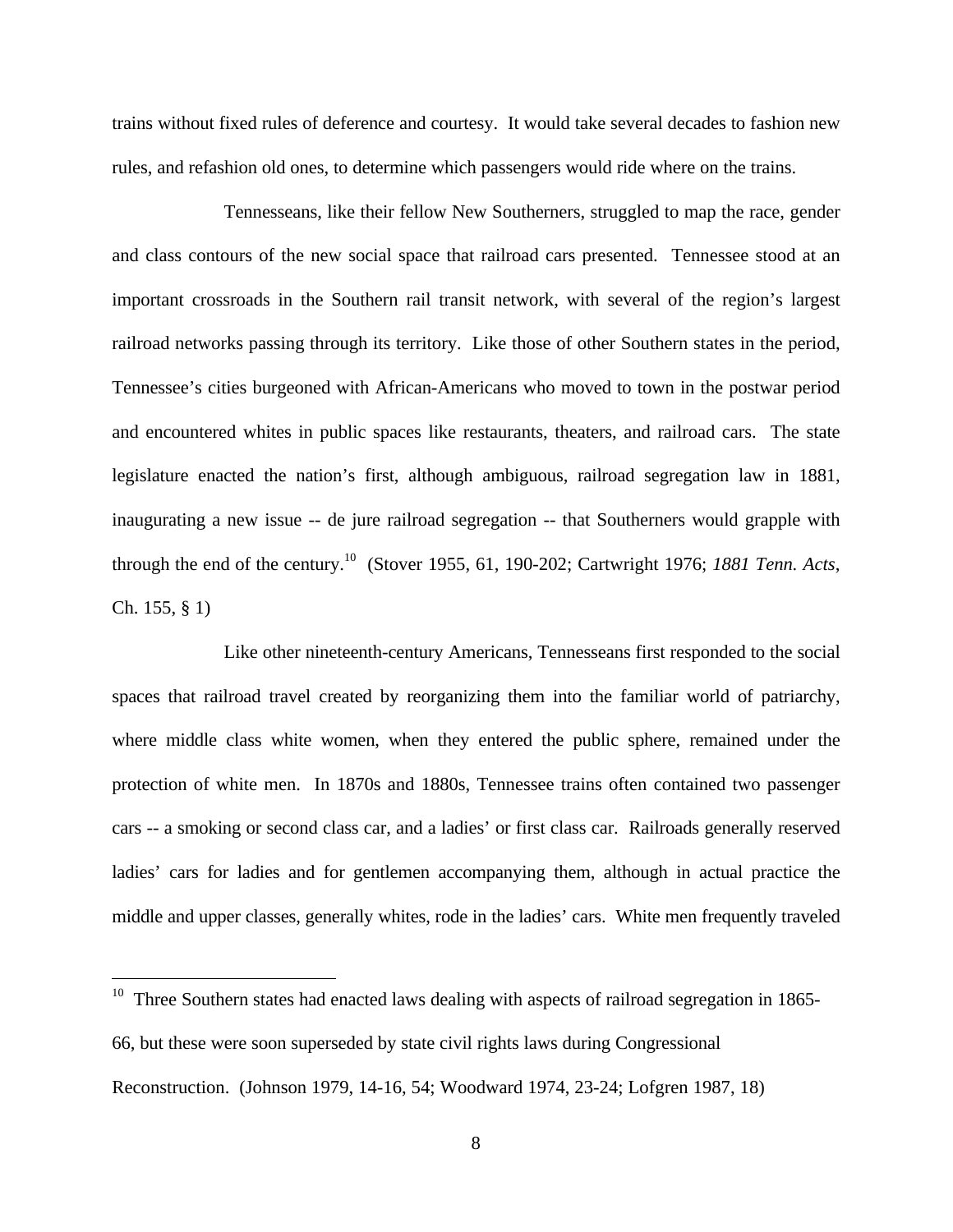trains without fixed rules of deference and courtesy. It would take several decades to fashion new rules, and refashion old ones, to determine which passengers would ride where on the trains.

Tennesseans, like their fellow New Southerners, struggled to map the race, gender and class contours of the new social space that railroad cars presented. Tennessee stood at an important crossroads in the Southern rail transit network, with several of the region's largest railroad networks passing through its territory. Like those of other Southern states in the period, Tennessee's cities burgeoned with African-Americans who moved to town in the postwar period and encountered whites in public spaces like restaurants, theaters, and railroad cars. The state legislature enacted the nation's first, although ambiguous, railroad segregation law in 1881, inaugurating a new issue -- de jure railroad segregation -- that Southerners would grapple with through the end of the century.<sup>10</sup> (Stover 1955, 61, 190-202; Cartwright 1976; *1881 Tenn. Acts*, Ch. 155, § 1)

Like other nineteenth-century Americans, Tennesseans first responded to the social spaces that railroad travel created by reorganizing them into the familiar world of patriarchy, where middle class white women, when they entered the public sphere, remained under the protection of white men. In 1870s and 1880s, Tennessee trains often contained two passenger cars -- a smoking or second class car, and a ladies' or first class car. Railroads generally reserved ladies' cars for ladies and for gentlemen accompanying them, although in actual practice the middle and upper classes, generally whites, rode in the ladies' cars. White men frequently traveled

<u>.</u>

Three Southern states had enacted laws dealing with aspects of railroad segregation in 1865-66, but these were soon superseded by state civil rights laws during Congressional Reconstruction. (Johnson 1979, 14-16, 54; Woodward 1974, 23-24; Lofgren 1987, 18)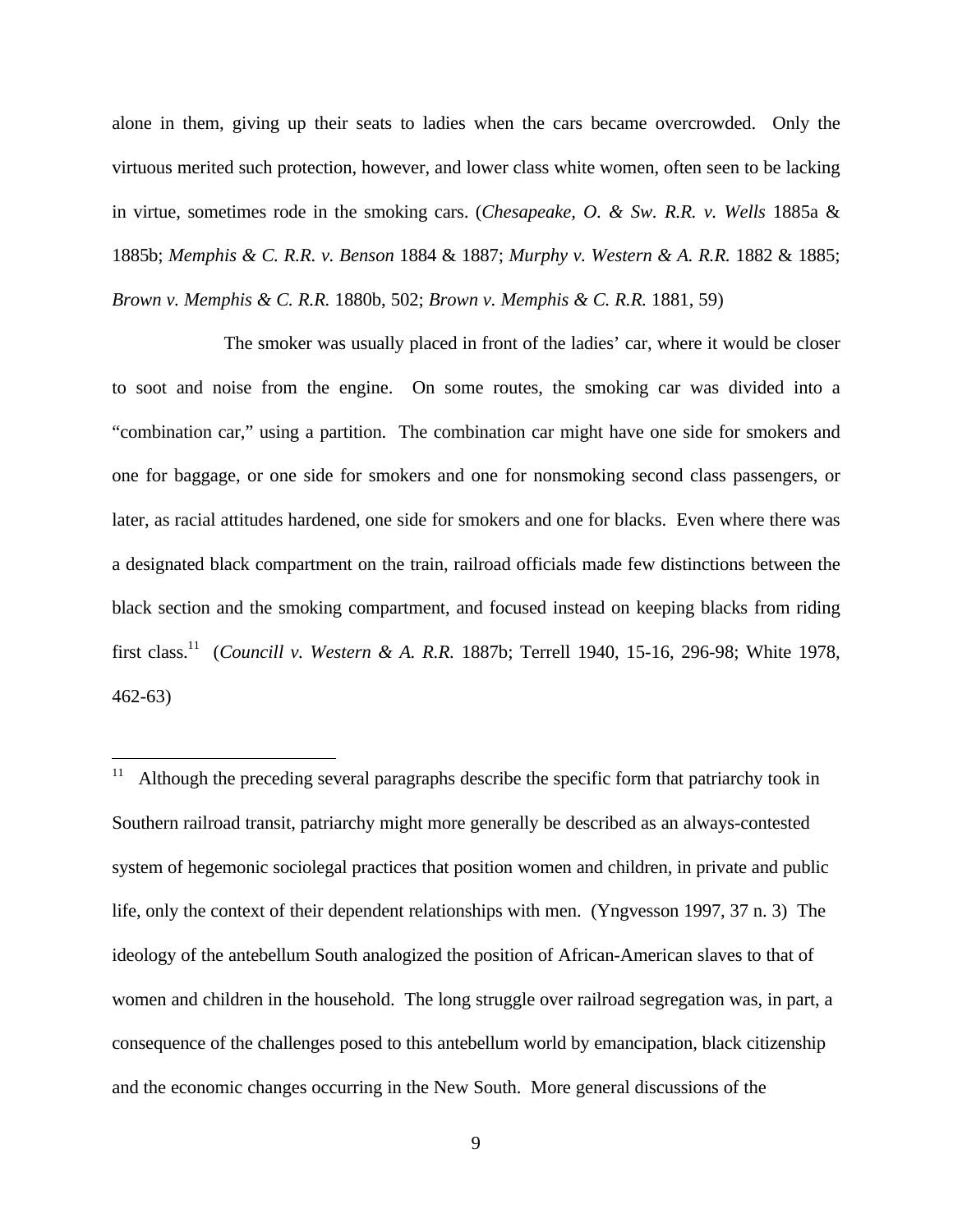alone in them, giving up their seats to ladies when the cars became overcrowded. Only the virtuous merited such protection, however, and lower class white women, often seen to be lacking in virtue, sometimes rode in the smoking cars. (*Chesapeake, O. & Sw. R.R. v. Wells* 1885a & 1885b; *Memphis & C. R.R. v. Benson* 1884 & 1887; *Murphy v. Western & A. R.R.* 1882 & 1885; *Brown v. Memphis & C. R.R.* 1880b, 502; *Brown v. Memphis & C. R.R.* 1881, 59)

The smoker was usually placed in front of the ladies' car, where it would be closer to soot and noise from the engine. On some routes, the smoking car was divided into a "combination car," using a partition. The combination car might have one side for smokers and one for baggage, or one side for smokers and one for nonsmoking second class passengers, or later, as racial attitudes hardened, one side for smokers and one for blacks. Even where there was a designated black compartment on the train, railroad officials made few distinctions between the black section and the smoking compartment, and focused instead on keeping blacks from riding first class.<sup>11</sup> (*Councill v. Western & A. R.R.* 1887b; Terrell 1940, 15-16, 296-98; White 1978, 462-63)

-

<sup>11</sup> Although the preceding several paragraphs describe the specific form that patriarchy took in Southern railroad transit, patriarchy might more generally be described as an always-contested system of hegemonic sociolegal practices that position women and children, in private and public life, only the context of their dependent relationships with men. (Yngvesson 1997, 37 n. 3) The ideology of the antebellum South analogized the position of African-American slaves to that of women and children in the household. The long struggle over railroad segregation was, in part, a consequence of the challenges posed to this antebellum world by emancipation, black citizenship and the economic changes occurring in the New South. More general discussions of the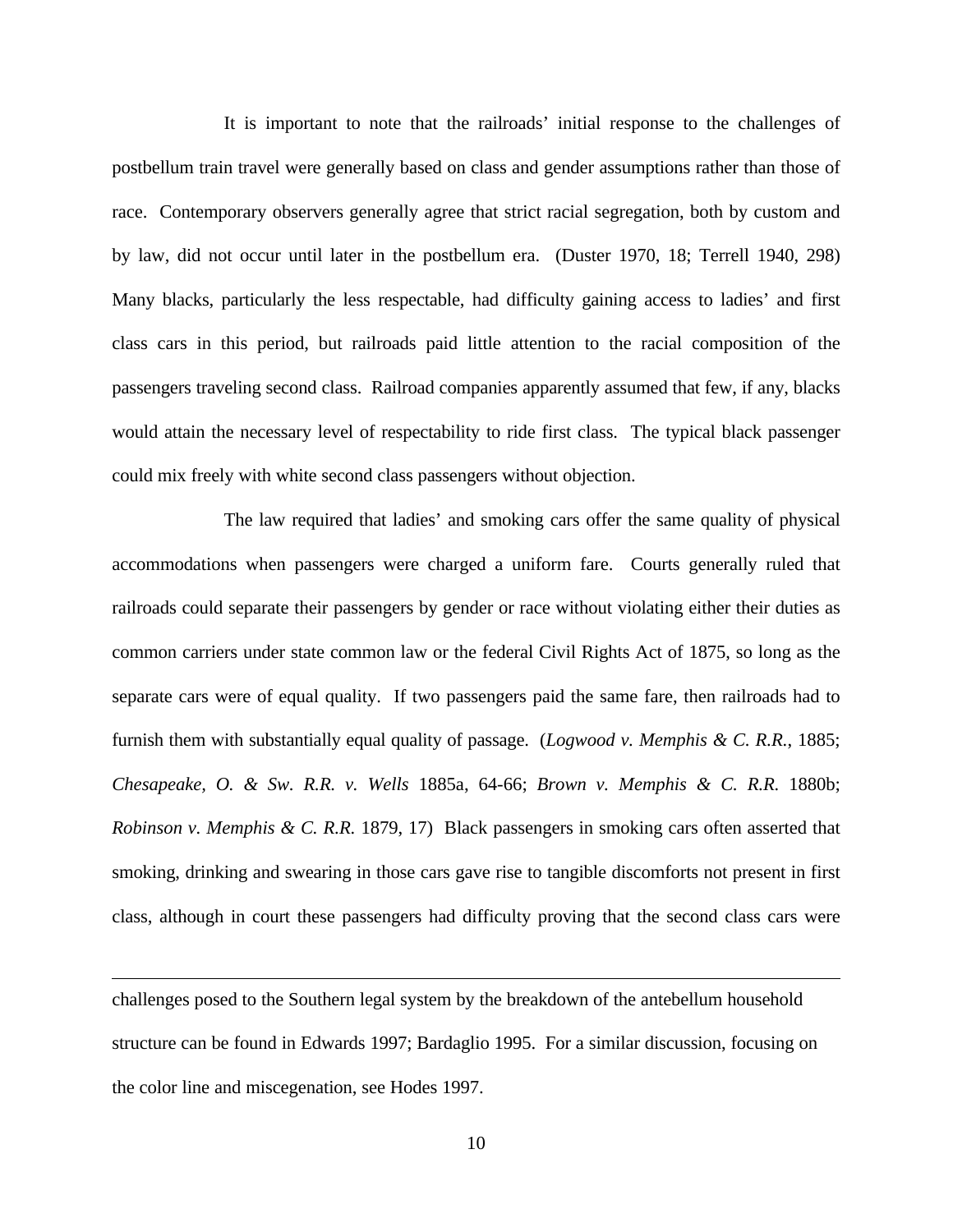It is important to note that the railroads' initial response to the challenges of postbellum train travel were generally based on class and gender assumptions rather than those of race. Contemporary observers generally agree that strict racial segregation, both by custom and by law, did not occur until later in the postbellum era. (Duster 1970, 18; Terrell 1940, 298) Many blacks, particularly the less respectable, had difficulty gaining access to ladies' and first class cars in this period, but railroads paid little attention to the racial composition of the passengers traveling second class. Railroad companies apparently assumed that few, if any, blacks would attain the necessary level of respectability to ride first class. The typical black passenger could mix freely with white second class passengers without objection.

The law required that ladies' and smoking cars offer the same quality of physical accommodations when passengers were charged a uniform fare. Courts generally ruled that railroads could separate their passengers by gender or race without violating either their duties as common carriers under state common law or the federal Civil Rights Act of 1875, so long as the separate cars were of equal quality. If two passengers paid the same fare, then railroads had to furnish them with substantially equal quality of passage. (*Logwood v. Memphis & C. R.R.*, 1885; *Chesapeake, O. & Sw. R.R. v. Wells* 1885a, 64-66; *Brown v. Memphis & C. R.R.* 1880b; *Robinson v. Memphis & C. R.R.* 1879, 17) Black passengers in smoking cars often asserted that smoking, drinking and swearing in those cars gave rise to tangible discomforts not present in first class, although in court these passengers had difficulty proving that the second class cars were

challenges posed to the Southern legal system by the breakdown of the antebellum household structure can be found in Edwards 1997; Bardaglio 1995. For a similar discussion, focusing on the color line and miscegenation, see Hodes 1997.

 $\overline{a}$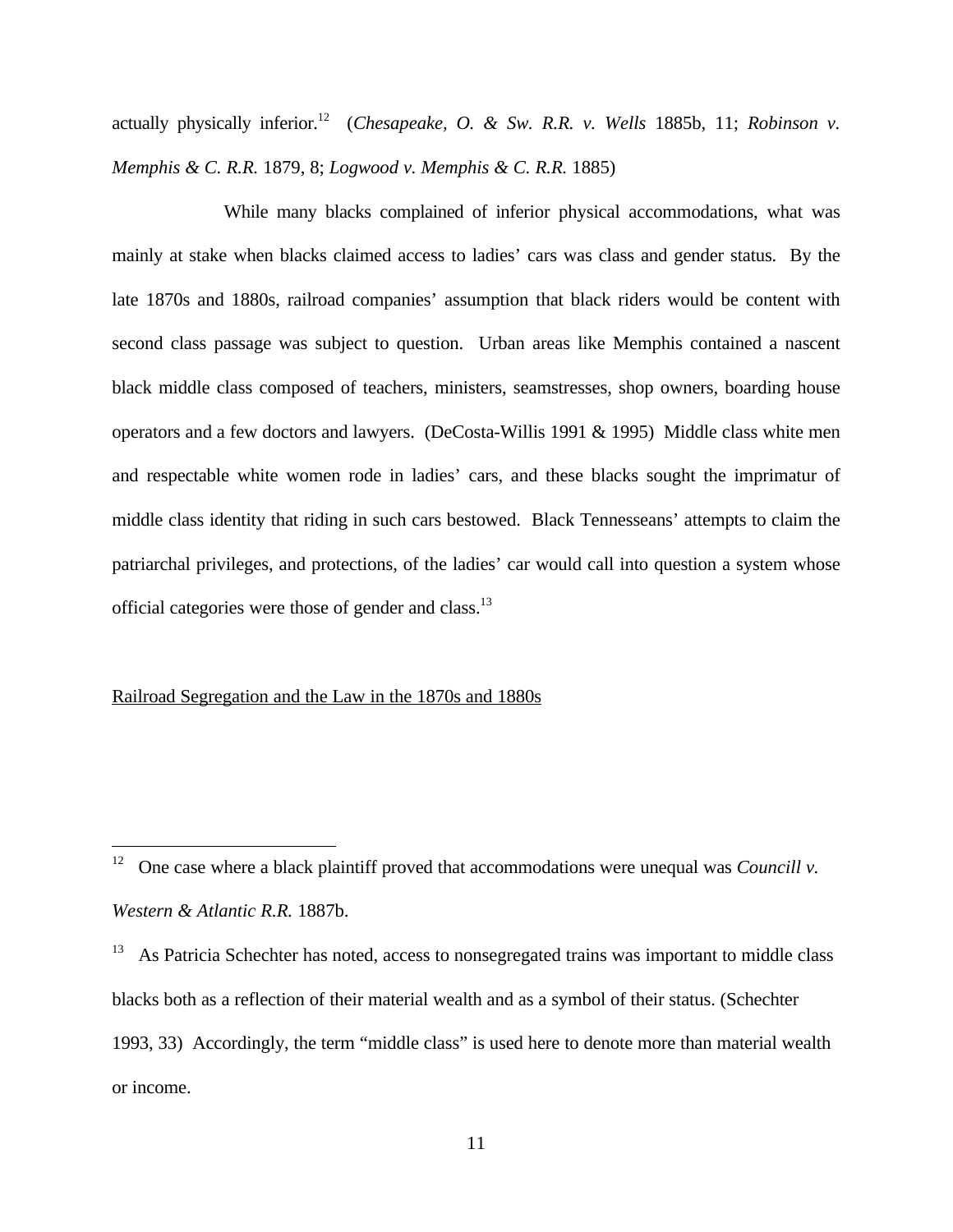actually physically inferior.<sup>12</sup> (*Chesapeake, O. & Sw. R.R. v. Wells* 1885b, 11; *Robinson v. Memphis & C. R.R.* 1879, 8; *Logwood v. Memphis & C. R.R.* 1885)

While many blacks complained of inferior physical accommodations, what was mainly at stake when blacks claimed access to ladies' cars was class and gender status. By the late 1870s and 1880s, railroad companies' assumption that black riders would be content with second class passage was subject to question. Urban areas like Memphis contained a nascent black middle class composed of teachers, ministers, seamstresses, shop owners, boarding house operators and a few doctors and lawyers. (DeCosta-Willis 1991 & 1995) Middle class white men and respectable white women rode in ladies' cars, and these blacks sought the imprimatur of middle class identity that riding in such cars bestowed. Black Tennesseans' attempts to claim the patriarchal privileges, and protections, of the ladies' car would call into question a system whose official categories were those of gender and class.<sup>13</sup>

#### Railroad Segregation and the Law in the 1870s and 1880s

 $\overline{a}$ 

<sup>&</sup>lt;sup>12</sup> One case where a black plaintiff proved that accommodations were unequal was *Councill v*. *Western & Atlantic R.R.* 1887b.

<sup>&</sup>lt;sup>13</sup> As Patricia Schechter has noted, access to nonsegregated trains was important to middle class blacks both as a reflection of their material wealth and as a symbol of their status. (Schechter 1993, 33) Accordingly, the term "middle class" is used here to denote more than material wealth or income.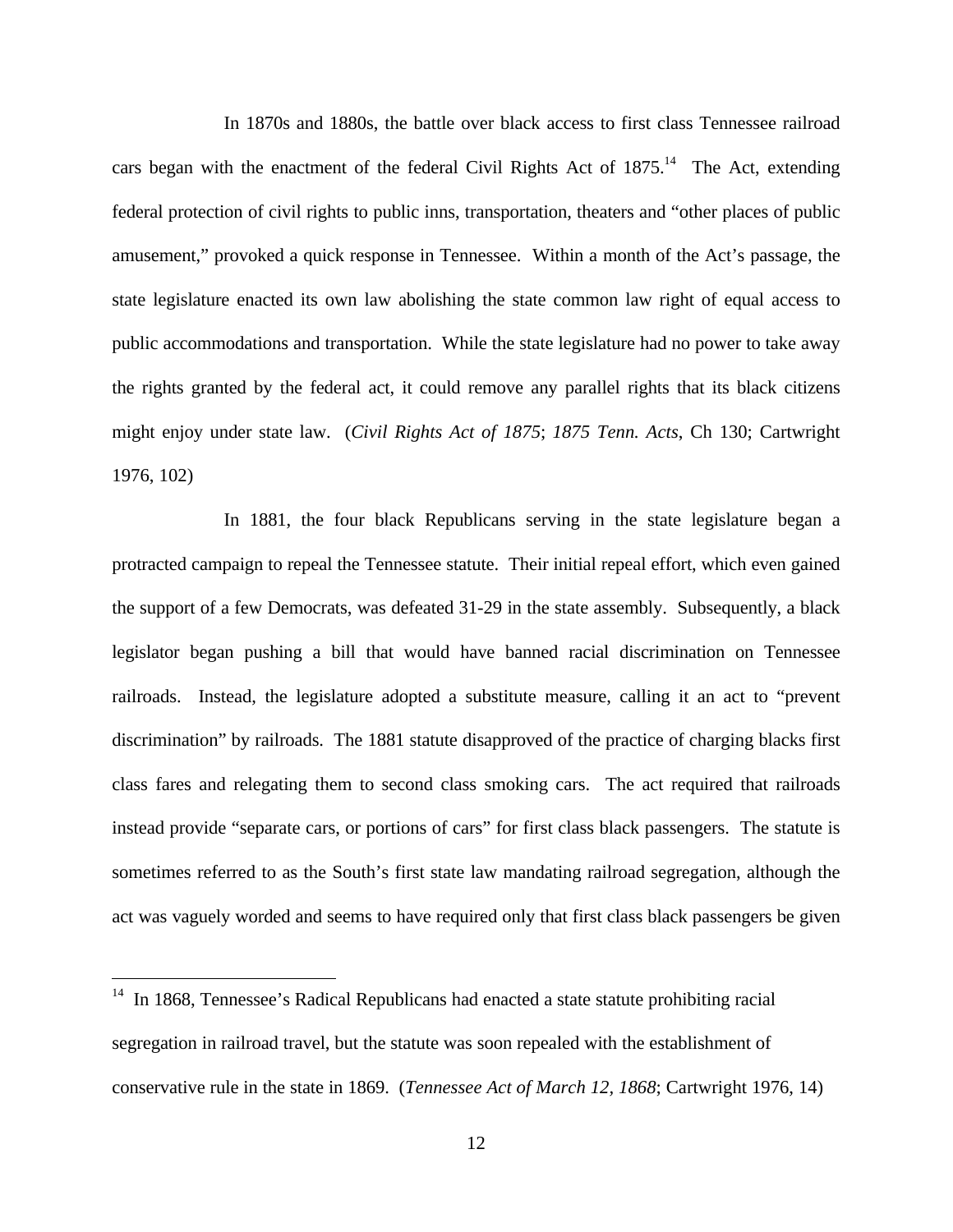In 1870s and 1880s, the battle over black access to first class Tennessee railroad cars began with the enactment of the federal Civil Rights Act of  $1875$ <sup>14</sup>. The Act, extending federal protection of civil rights to public inns, transportation, theaters and "other places of public amusement," provoked a quick response in Tennessee. Within a month of the Act's passage, the state legislature enacted its own law abolishing the state common law right of equal access to public accommodations and transportation. While the state legislature had no power to take away the rights granted by the federal act, it could remove any parallel rights that its black citizens might enjoy under state law. (*Civil Rights Act of 1875*; *1875 Tenn. Acts*, Ch 130; Cartwright 1976, 102)

In 1881, the four black Republicans serving in the state legislature began a protracted campaign to repeal the Tennessee statute. Their initial repeal effort, which even gained the support of a few Democrats, was defeated 31-29 in the state assembly. Subsequently, a black legislator began pushing a bill that would have banned racial discrimination on Tennessee railroads. Instead, the legislature adopted a substitute measure, calling it an act to "prevent discrimination" by railroads. The 1881 statute disapproved of the practice of charging blacks first class fares and relegating them to second class smoking cars. The act required that railroads instead provide "separate cars, or portions of cars" for first class black passengers. The statute is sometimes referred to as the South's first state law mandating railroad segregation, although the act was vaguely worded and seems to have required only that first class black passengers be given

<u>.</u>

In 1868, Tennessee's Radical Republicans had enacted a state statute prohibiting racial segregation in railroad travel, but the statute was soon repealed with the establishment of conservative rule in the state in 1869. (*Tennessee Act of March 12, 1868*; Cartwright 1976, 14)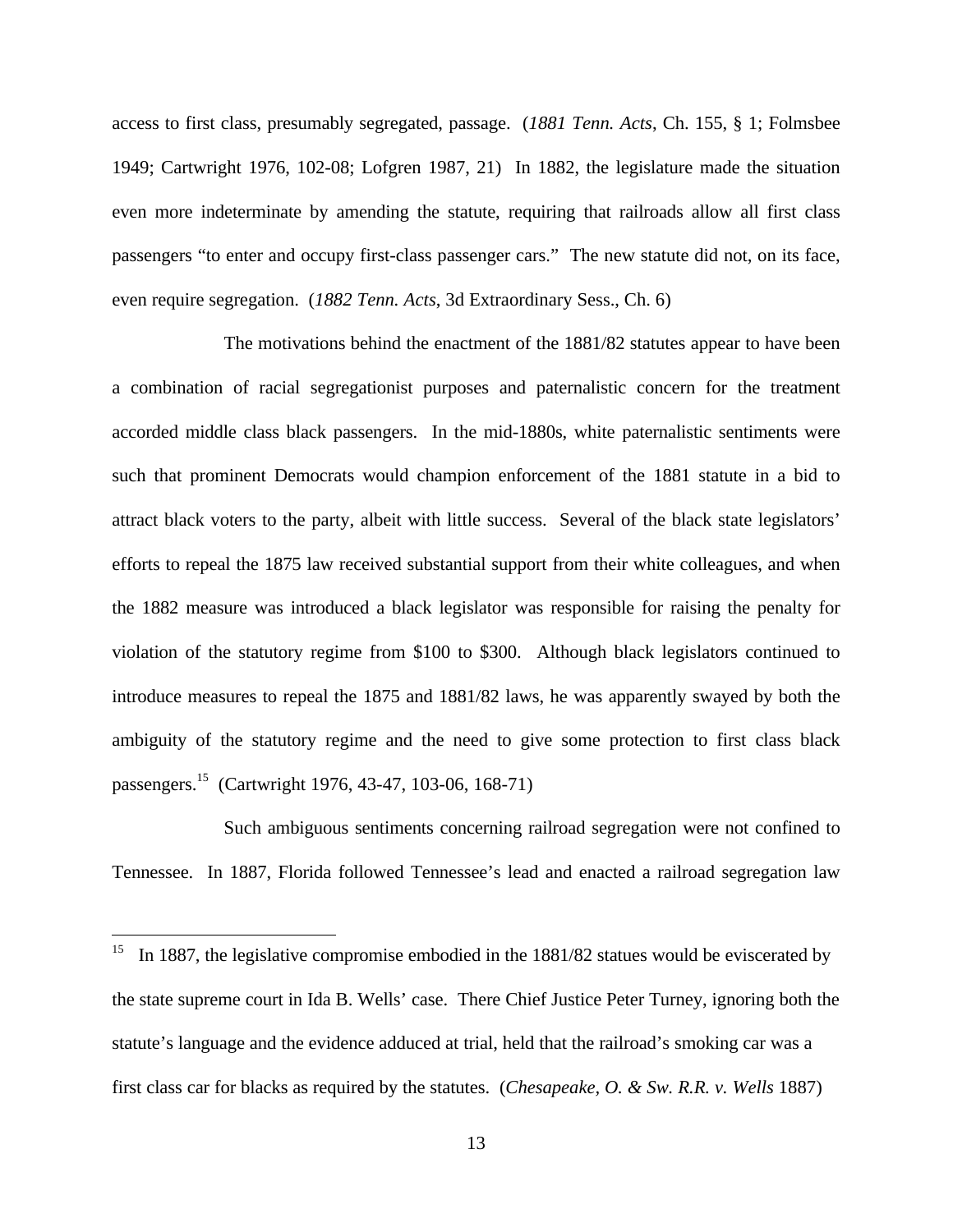access to first class, presumably segregated, passage. (*1881 Tenn. Acts*, Ch. 155, § 1; Folmsbee 1949; Cartwright 1976, 102-08; Lofgren 1987, 21) In 1882, the legislature made the situation even more indeterminate by amending the statute, requiring that railroads allow all first class passengers "to enter and occupy first-class passenger cars." The new statute did not, on its face, even require segregation. (*1882 Tenn. Acts*, 3d Extraordinary Sess., Ch. 6)

The motivations behind the enactment of the 1881/82 statutes appear to have been a combination of racial segregationist purposes and paternalistic concern for the treatment accorded middle class black passengers. In the mid-1880s, white paternalistic sentiments were such that prominent Democrats would champion enforcement of the 1881 statute in a bid to attract black voters to the party, albeit with little success. Several of the black state legislators' efforts to repeal the 1875 law received substantial support from their white colleagues, and when the 1882 measure was introduced a black legislator was responsible for raising the penalty for violation of the statutory regime from \$100 to \$300. Although black legislators continued to introduce measures to repeal the 1875 and 1881/82 laws, he was apparently swayed by both the ambiguity of the statutory regime and the need to give some protection to first class black passengers.<sup>15</sup> (Cartwright 1976, 43-47, 103-06, 168-71)

Such ambiguous sentiments concerning railroad segregation were not confined to Tennessee. In 1887, Florida followed Tennessee's lead and enacted a railroad segregation law

 $\overline{a}$ 

<sup>&</sup>lt;sup>15</sup> In 1887, the legislative compromise embodied in the  $1881/82$  statues would be eviscerated by the state supreme court in Ida B. Wells' case. There Chief Justice Peter Turney, ignoring both the statute's language and the evidence adduced at trial, held that the railroad's smoking car was a first class car for blacks as required by the statutes. (*Chesapeake, O. & Sw. R.R. v. Wells* 1887)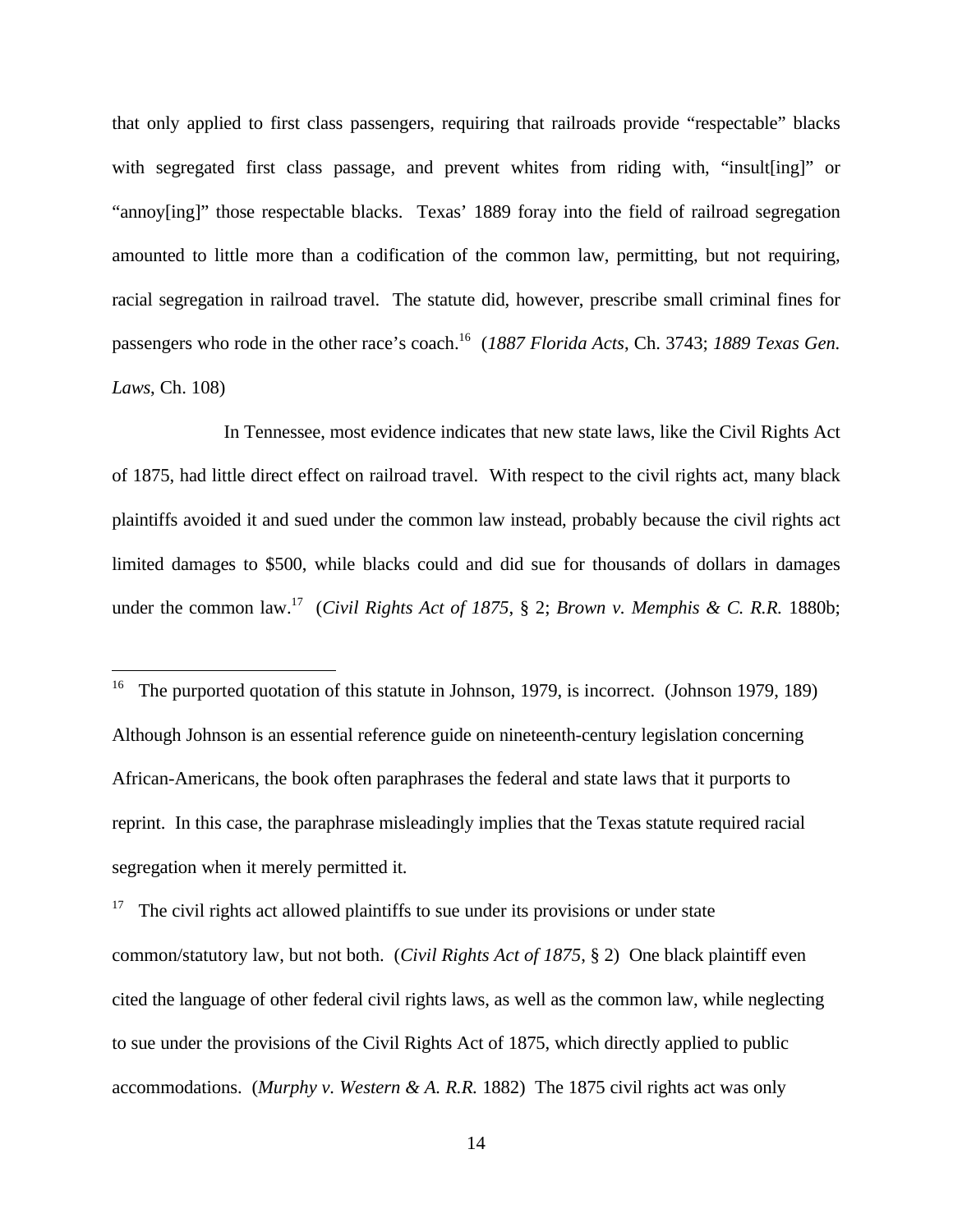that only applied to first class passengers, requiring that railroads provide "respectable" blacks with segregated first class passage, and prevent whites from riding with, "insult[ing]" or "annoy[ing]" those respectable blacks. Texas' 1889 foray into the field of railroad segregation amounted to little more than a codification of the common law, permitting, but not requiring, racial segregation in railroad travel. The statute did, however, prescribe small criminal fines for passengers who rode in the other race's coach.<sup>16</sup> (*1887 Florida Acts*, Ch. 3743; *1889 Texas Gen. Laws*, Ch. 108)

In Tennessee, most evidence indicates that new state laws, like the Civil Rights Act of 1875, had little direct effect on railroad travel. With respect to the civil rights act, many black plaintiffs avoided it and sued under the common law instead, probably because the civil rights act limited damages to \$500, while blacks could and did sue for thousands of dollars in damages under the common law.<sup>17</sup> (*Civil Rights Act of 1875*, § 2; *Brown v. Memphis & C. R.R.* 1880b;

 $\overline{a}$ 

<sup>17</sup> The civil rights act allowed plaintiffs to sue under its provisions or under state common/statutory law, but not both. (*Civil Rights Act of 1875*, § 2) One black plaintiff even cited the language of other federal civil rights laws, as well as the common law, while neglecting to sue under the provisions of the Civil Rights Act of 1875, which directly applied to public accommodations. (*Murphy v. Western & A. R.R.* 1882) The 1875 civil rights act was only

<sup>&</sup>lt;sup>16</sup> The purported quotation of this statute in Johnson, 1979, is incorrect. (Johnson 1979, 189) Although Johnson is an essential reference guide on nineteenth-century legislation concerning African-Americans, the book often paraphrases the federal and state laws that it purports to reprint. In this case, the paraphrase misleadingly implies that the Texas statute required racial segregation when it merely permitted it.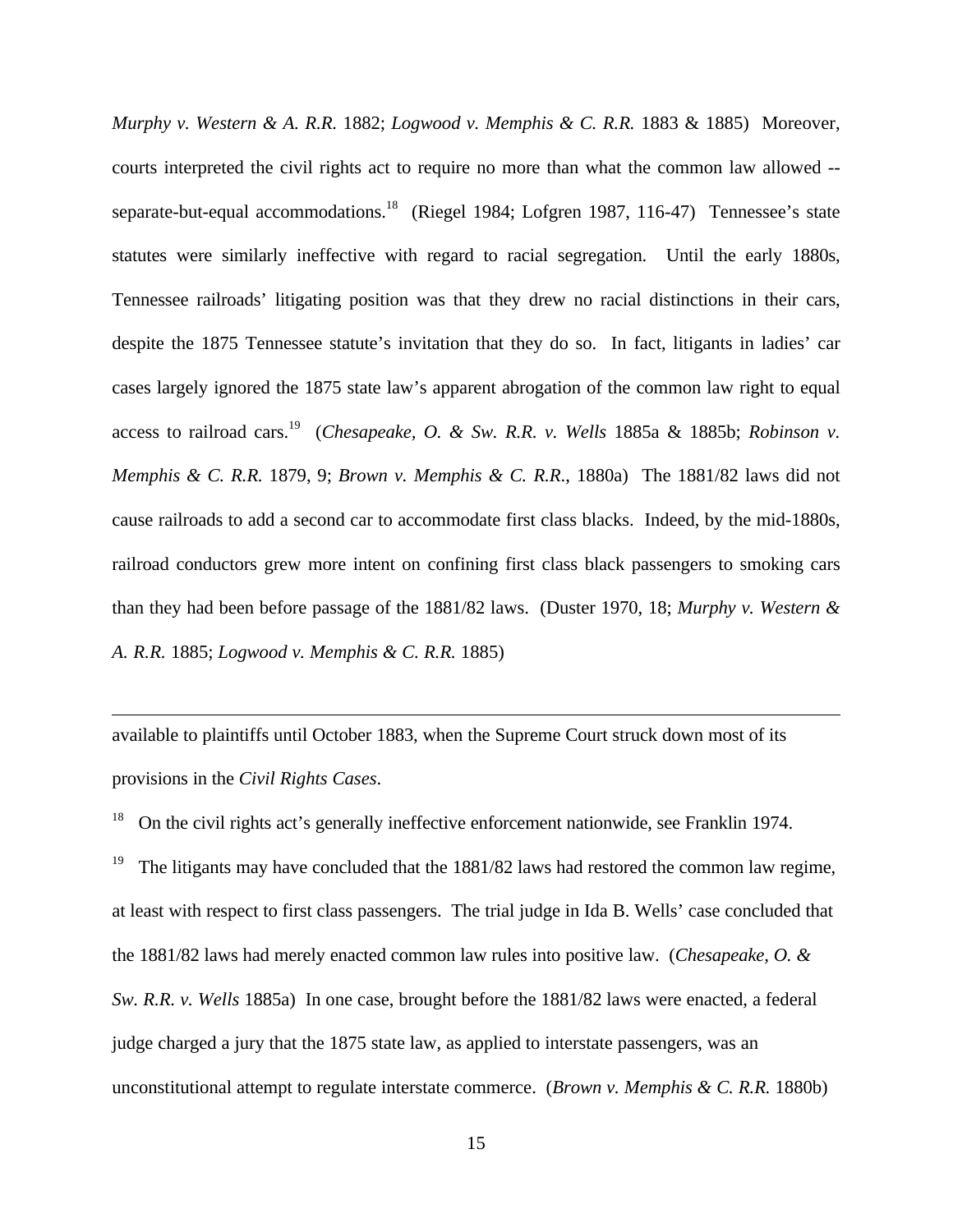*Murphy v. Western & A. R.R.* 1882; *Logwood v. Memphis & C. R.R.* 1883 & 1885) Moreover, courts interpreted the civil rights act to require no more than what the common law allowed - separate-but-equal accommodations.<sup>18</sup> (Riegel 1984; Lofgren 1987, 116-47) Tennessee's state statutes were similarly ineffective with regard to racial segregation. Until the early 1880s, Tennessee railroads' litigating position was that they drew no racial distinctions in their cars, despite the 1875 Tennessee statute's invitation that they do so. In fact, litigants in ladies' car cases largely ignored the 1875 state law's apparent abrogation of the common law right to equal access to railroad cars.<sup>19</sup> (*Chesapeake, O. & Sw. R.R. v. Wells* 1885a & 1885b; *Robinson v. Memphis & C. R.R.* 1879, 9; *Brown v. Memphis & C. R.R*., 1880a) The 1881/82 laws did not cause railroads to add a second car to accommodate first class blacks. Indeed, by the mid-1880s, railroad conductors grew more intent on confining first class black passengers to smoking cars than they had been before passage of the 1881/82 laws. (Duster 1970, 18; *Murphy v. Western & A. R.R.* 1885; *Logwood v. Memphis & C. R.R.* 1885)

available to plaintiffs until October 1883, when the Supreme Court struck down most of its provisions in the *Civil Rights Cases*.

 $\overline{a}$ 

<sup>18</sup> On the civil rights act's generally ineffective enforcement nationwide, see Franklin 1974. The litigants may have concluded that the 1881/82 laws had restored the common law regime, at least with respect to first class passengers. The trial judge in Ida B. Wells' case concluded that the 1881/82 laws had merely enacted common law rules into positive law. (*Chesapeake, O. & Sw. R.R. v. Wells* 1885a) In one case, brought before the 1881/82 laws were enacted, a federal judge charged a jury that the 1875 state law, as applied to interstate passengers, was an unconstitutional attempt to regulate interstate commerce. (*Brown v. Memphis & C. R.R.* 1880b)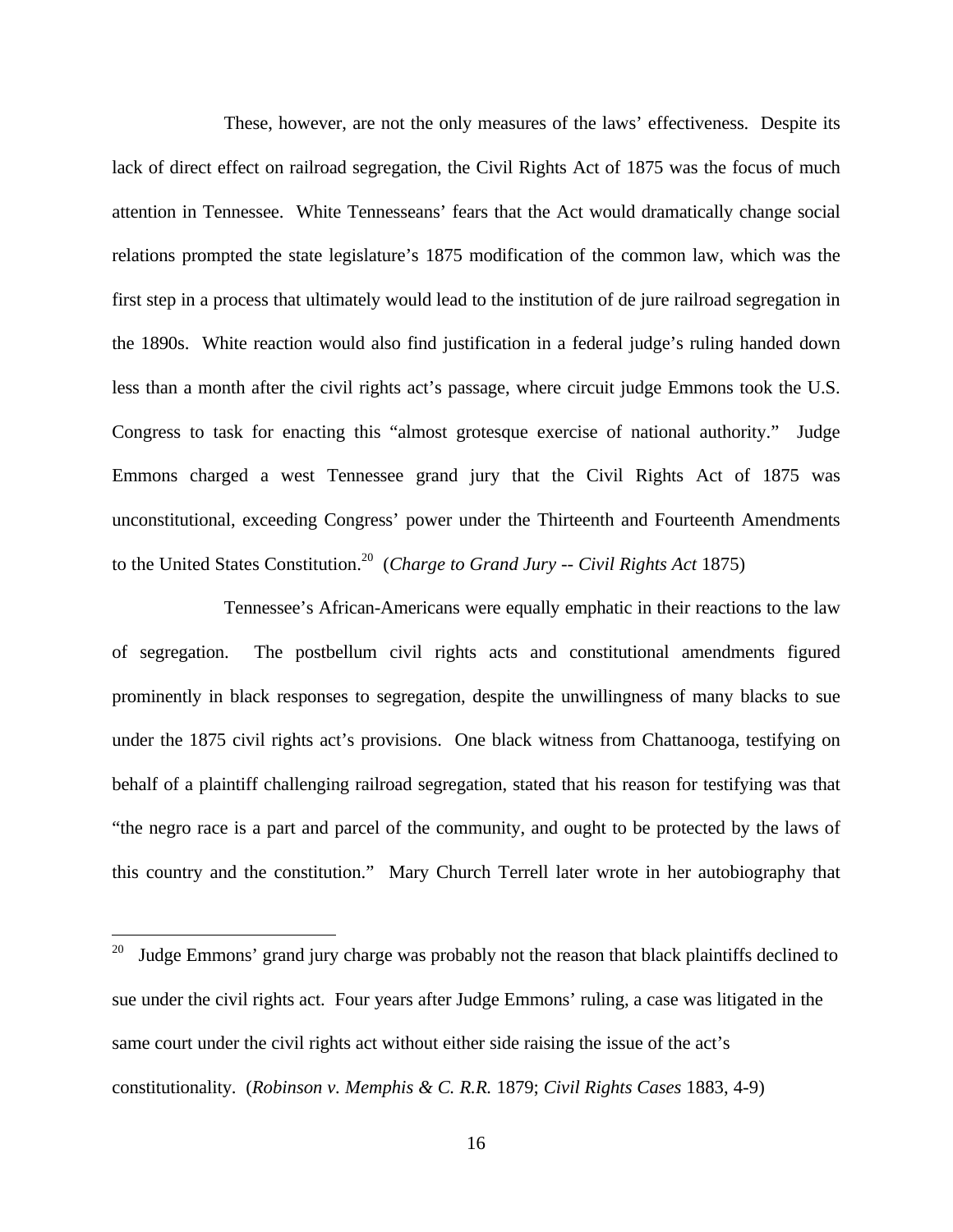These, however, are not the only measures of the laws' effectiveness. Despite its lack of direct effect on railroad segregation, the Civil Rights Act of 1875 was the focus of much attention in Tennessee. White Tennesseans' fears that the Act would dramatically change social relations prompted the state legislature's 1875 modification of the common law, which was the first step in a process that ultimately would lead to the institution of de jure railroad segregation in the 1890s. White reaction would also find justification in a federal judge's ruling handed down less than a month after the civil rights act's passage, where circuit judge Emmons took the U.S. Congress to task for enacting this "almost grotesque exercise of national authority." Judge Emmons charged a west Tennessee grand jury that the Civil Rights Act of 1875 was unconstitutional, exceeding Congress' power under the Thirteenth and Fourteenth Amendments to the United States Constitution.<sup>20</sup> (*Charge to Grand Jury -- Civil Rights Act* 1875)

Tennessee's African-Americans were equally emphatic in their reactions to the law of segregation. The postbellum civil rights acts and constitutional amendments figured prominently in black responses to segregation, despite the unwillingness of many blacks to sue under the 1875 civil rights act's provisions. One black witness from Chattanooga, testifying on behalf of a plaintiff challenging railroad segregation, stated that his reason for testifying was that "the negro race is a part and parcel of the community, and ought to be protected by the laws of this country and the constitution." Mary Church Terrell later wrote in her autobiography that

 $20\,$ Judge Emmons' grand jury charge was probably not the reason that black plaintiffs declined to sue under the civil rights act. Four years after Judge Emmons' ruling, a case was litigated in the same court under the civil rights act without either side raising the issue of the act's constitutionality. (*Robinson v. Memphis & C. R.R.* 1879; *Civil Rights Cases* 1883, 4-9)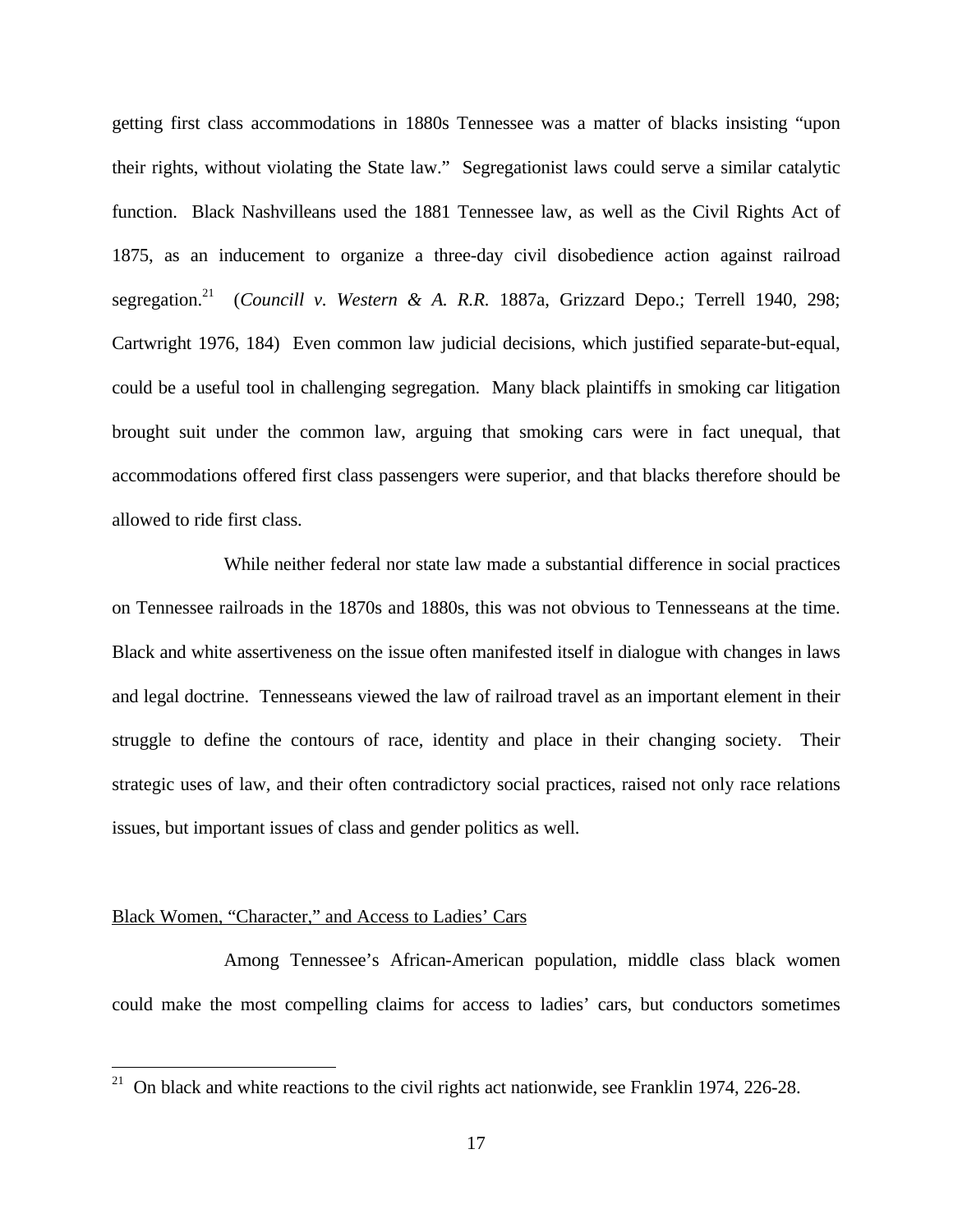getting first class accommodations in 1880s Tennessee was a matter of blacks insisting "upon their rights, without violating the State law." Segregationist laws could serve a similar catalytic function. Black Nashvilleans used the 1881 Tennessee law, as well as the Civil Rights Act of 1875, as an inducement to organize a three-day civil disobedience action against railroad segregation.<sup>21</sup> (*Councill v. Western & A. R.R.* 1887a, Grizzard Depo.; Terrell 1940, 298; Cartwright 1976, 184) Even common law judicial decisions, which justified separate-but-equal, could be a useful tool in challenging segregation. Many black plaintiffs in smoking car litigation brought suit under the common law, arguing that smoking cars were in fact unequal, that accommodations offered first class passengers were superior, and that blacks therefore should be allowed to ride first class.

While neither federal nor state law made a substantial difference in social practices on Tennessee railroads in the 1870s and 1880s, this was not obvious to Tennesseans at the time. Black and white assertiveness on the issue often manifested itself in dialogue with changes in laws and legal doctrine. Tennesseans viewed the law of railroad travel as an important element in their struggle to define the contours of race, identity and place in their changing society. Their strategic uses of law, and their often contradictory social practices, raised not only race relations issues, but important issues of class and gender politics as well.

#### Black Women, "Character," and Access to Ladies' Cars

 $\overline{a}$ 

Among Tennessee's African-American population, middle class black women could make the most compelling claims for access to ladies' cars, but conductors sometimes

<sup>&</sup>lt;sup>21</sup> On black and white reactions to the civil rights act nationwide, see Franklin 1974, 226-28.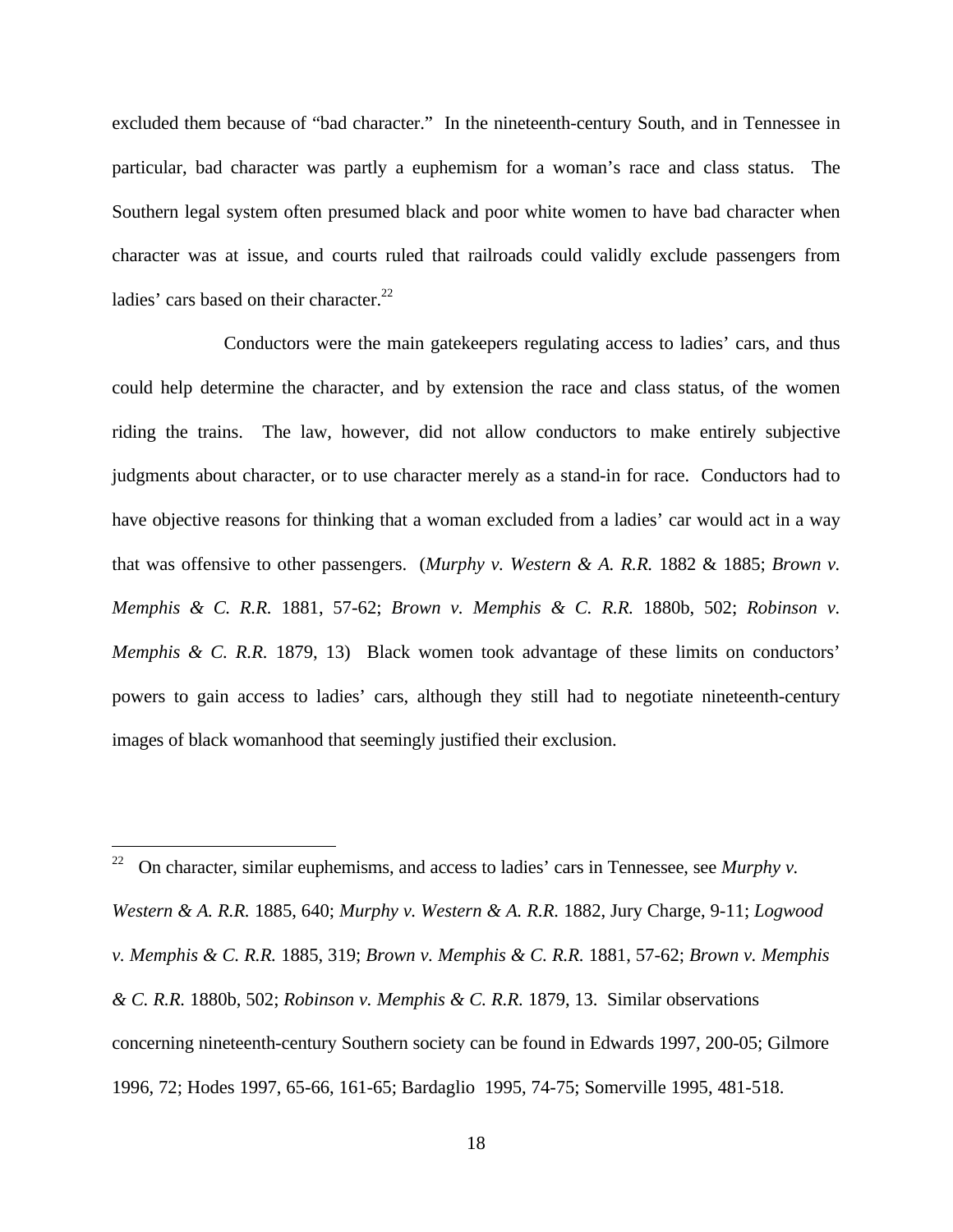excluded them because of "bad character." In the nineteenth-century South, and in Tennessee in particular, bad character was partly a euphemism for a woman's race and class status. The Southern legal system often presumed black and poor white women to have bad character when character was at issue, and courts ruled that railroads could validly exclude passengers from ladies' cars based on their character. $2^2$ 

Conductors were the main gatekeepers regulating access to ladies' cars, and thus could help determine the character, and by extension the race and class status, of the women riding the trains. The law, however, did not allow conductors to make entirely subjective judgments about character, or to use character merely as a stand-in for race. Conductors had to have objective reasons for thinking that a woman excluded from a ladies' car would act in a way that was offensive to other passengers. (*Murphy v. Western & A. R.R.* 1882 & 1885; *Brown v. Memphis & C. R.R.* 1881, 57-62; *Brown v. Memphis & C. R.R.* 1880b, 502; *Robinson v. Memphis & C. R.R.* 1879, 13) Black women took advantage of these limits on conductors' powers to gain access to ladies' cars, although they still had to negotiate nineteenth-century images of black womanhood that seemingly justified their exclusion.

 $22\,$ <sup>22</sup> On character, similar euphemisms, and access to ladies' cars in Tennessee, see *Murphy v. Western & A. R.R.* 1885, 640; *Murphy v. Western & A. R.R.* 1882, Jury Charge, 9-11; *Logwood v. Memphis & C. R.R.* 1885, 319; *Brown v. Memphis & C. R.R.* 1881, 57-62; *Brown v. Memphis & C. R.R.* 1880b, 502; *Robinson v. Memphis & C. R.R.* 1879, 13. Similar observations concerning nineteenth-century Southern society can be found in Edwards 1997, 200-05; Gilmore 1996, 72; Hodes 1997, 65-66, 161-65; Bardaglio 1995, 74-75; Somerville 1995, 481-518.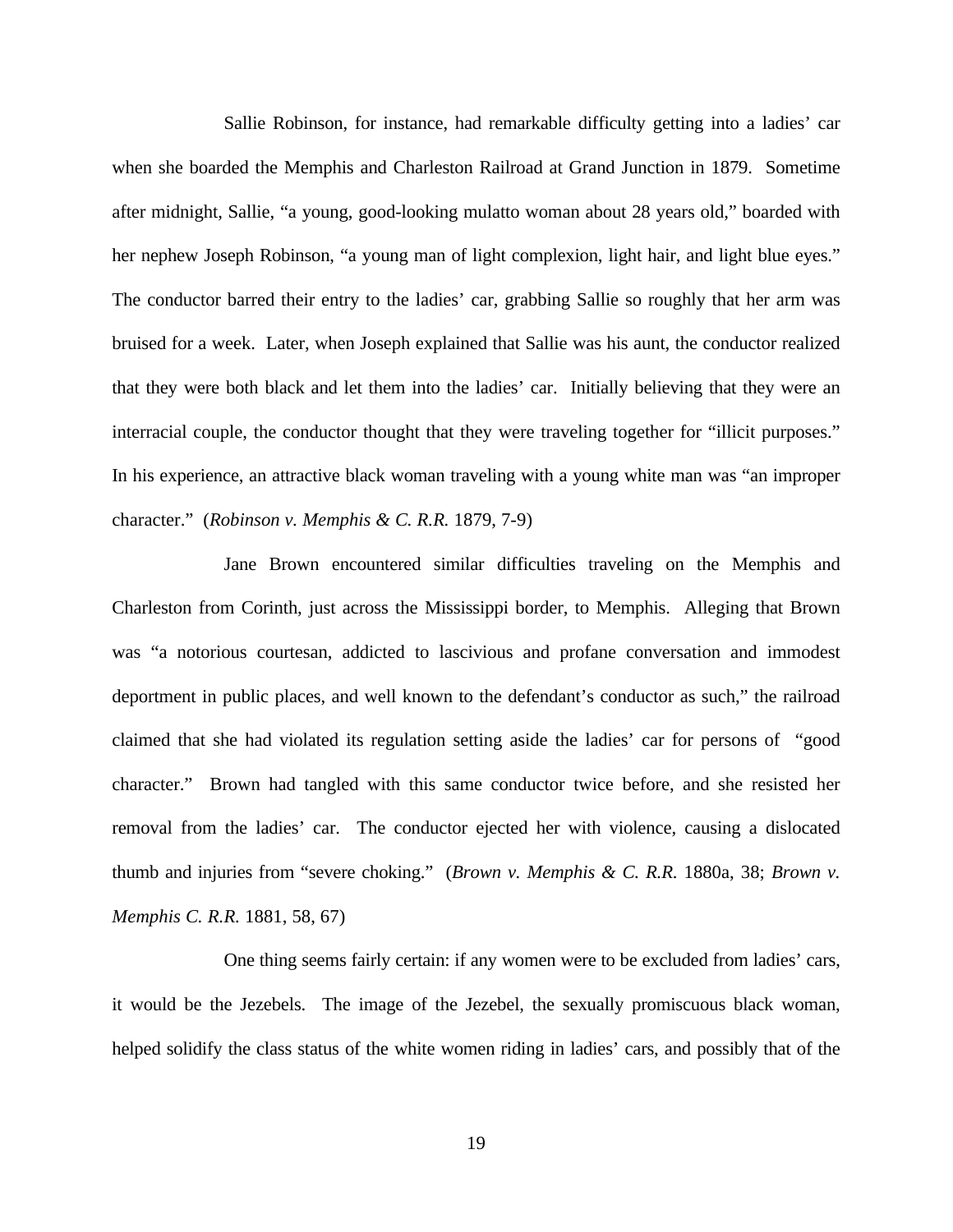Sallie Robinson, for instance, had remarkable difficulty getting into a ladies' car when she boarded the Memphis and Charleston Railroad at Grand Junction in 1879. Sometime after midnight, Sallie, "a young, good-looking mulatto woman about 28 years old," boarded with her nephew Joseph Robinson, "a young man of light complexion, light hair, and light blue eyes." The conductor barred their entry to the ladies' car, grabbing Sallie so roughly that her arm was bruised for a week. Later, when Joseph explained that Sallie was his aunt, the conductor realized that they were both black and let them into the ladies' car. Initially believing that they were an interracial couple, the conductor thought that they were traveling together for "illicit purposes." In his experience, an attractive black woman traveling with a young white man was "an improper character." (*Robinson v. Memphis & C. R.R.* 1879, 7-9)

Jane Brown encountered similar difficulties traveling on the Memphis and Charleston from Corinth, just across the Mississippi border, to Memphis. Alleging that Brown was "a notorious courtesan, addicted to lascivious and profane conversation and immodest deportment in public places, and well known to the defendant's conductor as such," the railroad claimed that she had violated its regulation setting aside the ladies' car for persons of "good character." Brown had tangled with this same conductor twice before, and she resisted her removal from the ladies' car. The conductor ejected her with violence, causing a dislocated thumb and injuries from "severe choking." (*Brown v. Memphis & C. R.R.* 1880a, 38; *Brown v. Memphis C. R.R.* 1881, 58, 67)

One thing seems fairly certain: if any women were to be excluded from ladies' cars, it would be the Jezebels. The image of the Jezebel, the sexually promiscuous black woman, helped solidify the class status of the white women riding in ladies' cars, and possibly that of the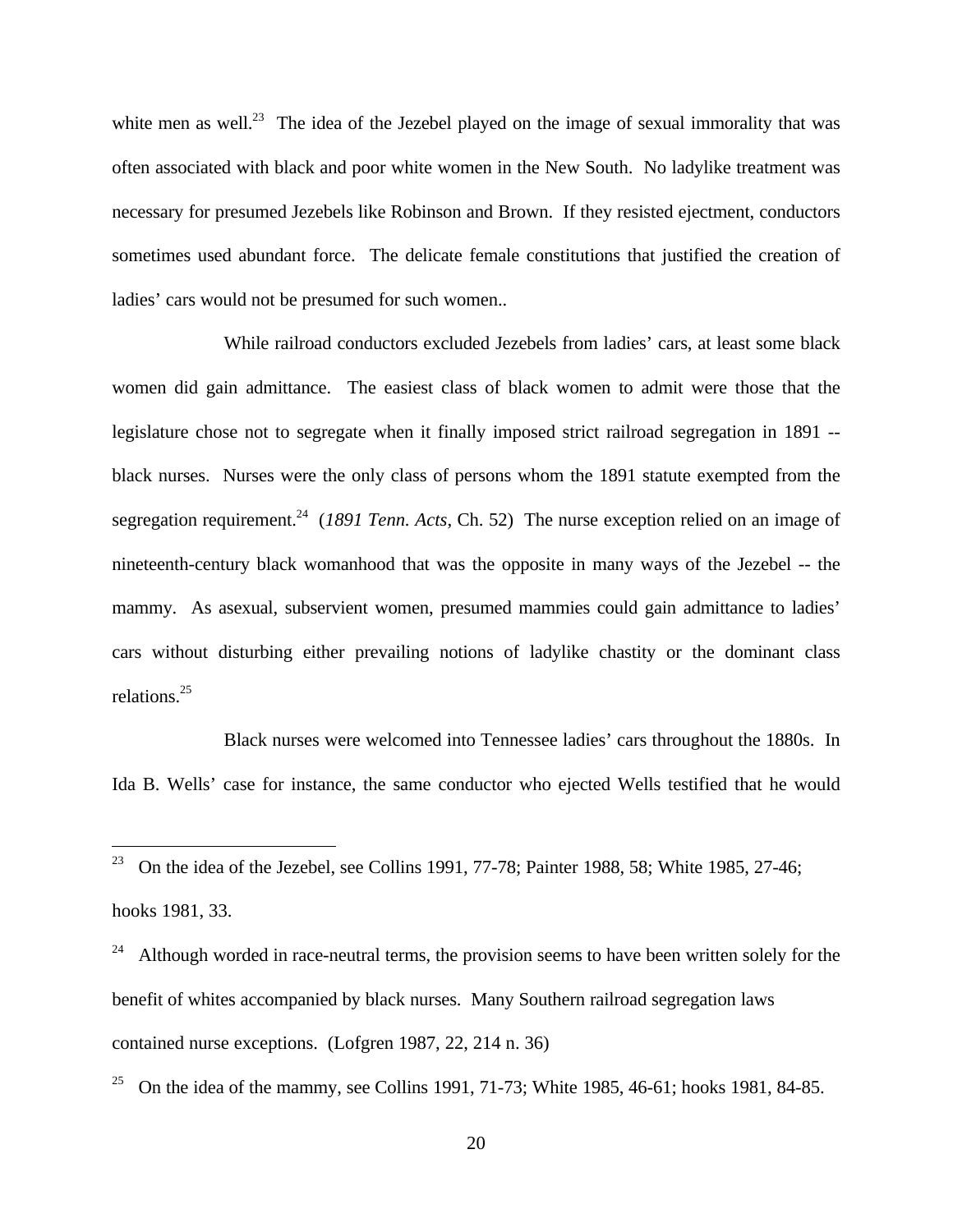white men as well.<sup>23</sup> The idea of the Jezebel played on the image of sexual immorality that was often associated with black and poor white women in the New South. No ladylike treatment was necessary for presumed Jezebels like Robinson and Brown. If they resisted ejectment, conductors sometimes used abundant force. The delicate female constitutions that justified the creation of ladies' cars would not be presumed for such women..

While railroad conductors excluded Jezebels from ladies' cars, at least some black women did gain admittance. The easiest class of black women to admit were those that the legislature chose not to segregate when it finally imposed strict railroad segregation in 1891 - black nurses. Nurses were the only class of persons whom the 1891 statute exempted from the segregation requirement.<sup>24</sup> (*1891 Tenn. Acts*, Ch. 52) The nurse exception relied on an image of nineteenth-century black womanhood that was the opposite in many ways of the Jezebel -- the mammy. As asexual, subservient women, presumed mammies could gain admittance to ladies' cars without disturbing either prevailing notions of ladylike chastity or the dominant class relations.<sup>25</sup>

Black nurses were welcomed into Tennessee ladies' cars throughout the 1880s. In Ida B. Wells' case for instance, the same conductor who ejected Wells testified that he would

<u>.</u>

<sup>&</sup>lt;sup>23</sup> On the idea of the Jezebel, see Collins 1991, 77-78; Painter 1988, 58; White 1985, 27-46; hooks 1981, 33.

Although worded in race-neutral terms, the provision seems to have been written solely for the benefit of whites accompanied by black nurses. Many Southern railroad segregation laws contained nurse exceptions. (Lofgren 1987, 22, 214 n. 36)

<sup>25</sup> On the idea of the mammy, see Collins 1991, 71-73; White 1985, 46-61; hooks 1981, 84-85.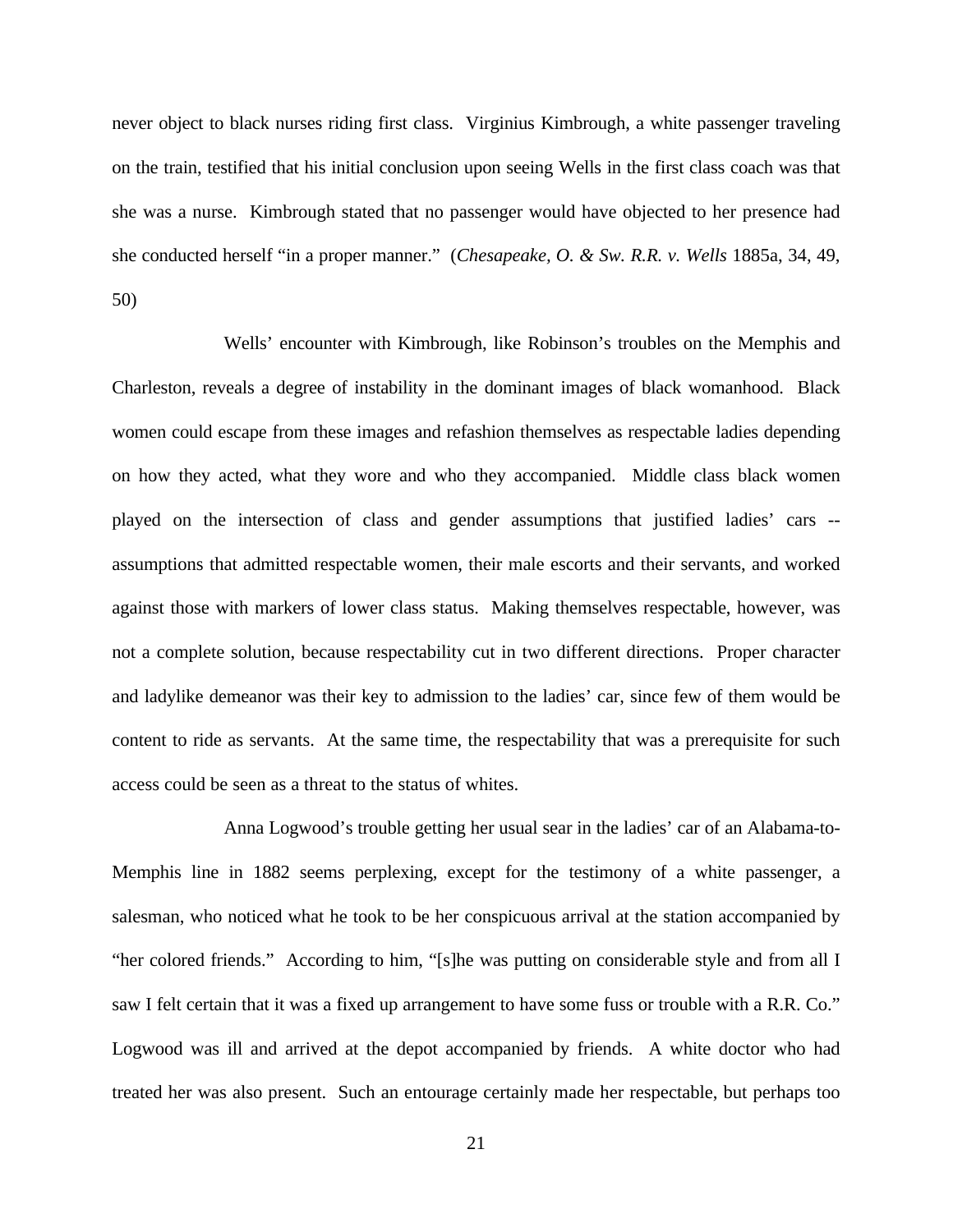never object to black nurses riding first class. Virginius Kimbrough, a white passenger traveling on the train, testified that his initial conclusion upon seeing Wells in the first class coach was that she was a nurse. Kimbrough stated that no passenger would have objected to her presence had she conducted herself "in a proper manner." (*Chesapeake, O. & Sw. R.R. v. Wells* 1885a, 34, 49, 50)

Wells' encounter with Kimbrough, like Robinson's troubles on the Memphis and Charleston, reveals a degree of instability in the dominant images of black womanhood. Black women could escape from these images and refashion themselves as respectable ladies depending on how they acted, what they wore and who they accompanied. Middle class black women played on the intersection of class and gender assumptions that justified ladies' cars - assumptions that admitted respectable women, their male escorts and their servants, and worked against those with markers of lower class status. Making themselves respectable, however, was not a complete solution, because respectability cut in two different directions. Proper character and ladylike demeanor was their key to admission to the ladies' car, since few of them would be content to ride as servants. At the same time, the respectability that was a prerequisite for such access could be seen as a threat to the status of whites.

Anna Logwood's trouble getting her usual sear in the ladies' car of an Alabama-to-Memphis line in 1882 seems perplexing, except for the testimony of a white passenger, a salesman, who noticed what he took to be her conspicuous arrival at the station accompanied by "her colored friends." According to him, "[s]he was putting on considerable style and from all I saw I felt certain that it was a fixed up arrangement to have some fuss or trouble with a R.R. Co." Logwood was ill and arrived at the depot accompanied by friends. A white doctor who had treated her was also present. Such an entourage certainly made her respectable, but perhaps too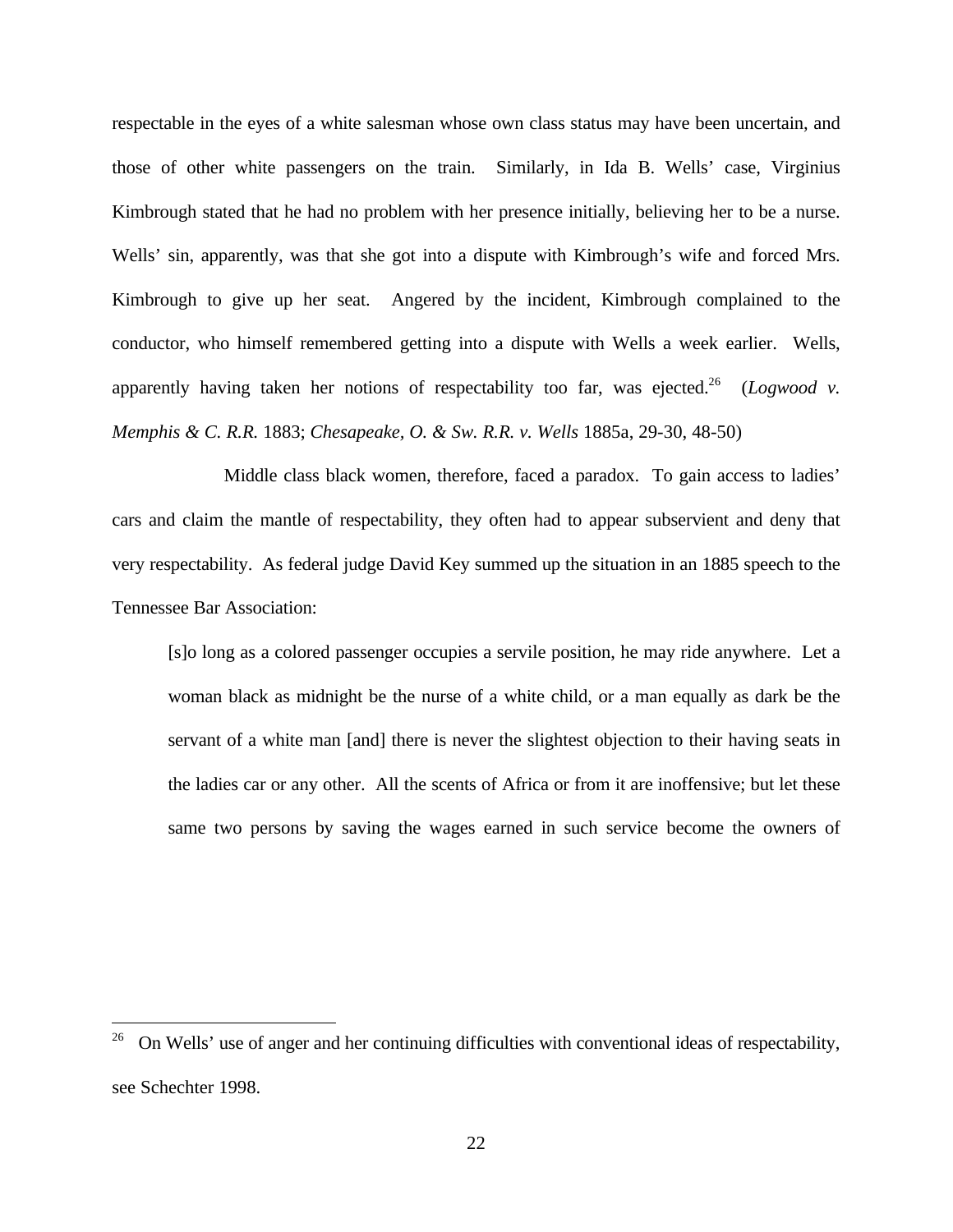respectable in the eyes of a white salesman whose own class status may have been uncertain, and those of other white passengers on the train. Similarly, in Ida B. Wells' case, Virginius Kimbrough stated that he had no problem with her presence initially, believing her to be a nurse. Wells' sin, apparently, was that she got into a dispute with Kimbrough's wife and forced Mrs. Kimbrough to give up her seat. Angered by the incident, Kimbrough complained to the conductor, who himself remembered getting into a dispute with Wells a week earlier. Wells, apparently having taken her notions of respectability too far, was ejected.<sup>26</sup> (*Logwood v. Memphis & C. R.R.* 1883; *Chesapeake, O. & Sw. R.R. v. Wells* 1885a, 29-30, 48-50)

Middle class black women, therefore, faced a paradox. To gain access to ladies' cars and claim the mantle of respectability, they often had to appear subservient and deny that very respectability. As federal judge David Key summed up the situation in an 1885 speech to the Tennessee Bar Association:

[s]o long as a colored passenger occupies a servile position, he may ride anywhere. Let a woman black as midnight be the nurse of a white child, or a man equally as dark be the servant of a white man [and] there is never the slightest objection to their having seats in the ladies car or any other. All the scents of Africa or from it are inoffensive; but let these same two persons by saving the wages earned in such service become the owners of

<u>.</u>

<sup>26</sup> On Wells' use of anger and her continuing difficulties with conventional ideas of respectability, see Schechter 1998.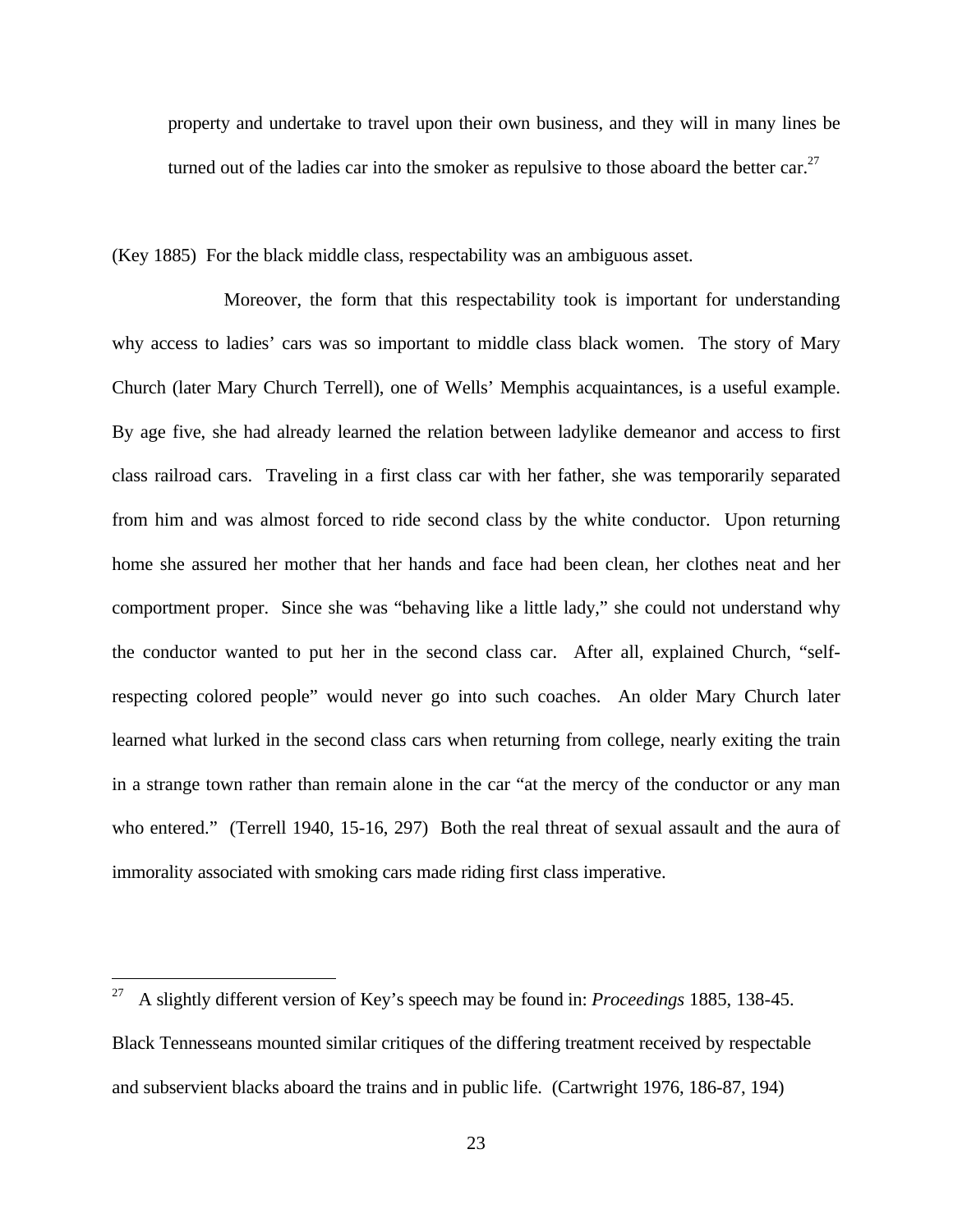property and undertake to travel upon their own business, and they will in many lines be turned out of the ladies car into the smoker as repulsive to those aboard the better car.<sup>27</sup>

(Key 1885) For the black middle class, respectability was an ambiguous asset.

Moreover, the form that this respectability took is important for understanding why access to ladies' cars was so important to middle class black women. The story of Mary Church (later Mary Church Terrell), one of Wells' Memphis acquaintances, is a useful example. By age five, she had already learned the relation between ladylike demeanor and access to first class railroad cars. Traveling in a first class car with her father, she was temporarily separated from him and was almost forced to ride second class by the white conductor. Upon returning home she assured her mother that her hands and face had been clean, her clothes neat and her comportment proper. Since she was "behaving like a little lady," she could not understand why the conductor wanted to put her in the second class car. After all, explained Church, "selfrespecting colored people" would never go into such coaches. An older Mary Church later learned what lurked in the second class cars when returning from college, nearly exiting the train in a strange town rather than remain alone in the car "at the mercy of the conductor or any man who entered." (Terrell 1940, 15-16, 297) Both the real threat of sexual assault and the aura of immorality associated with smoking cars made riding first class imperative.

<sup>27</sup> <sup>27</sup> A slightly different version of Key's speech may be found in: *Proceedings* 1885, 138-45. Black Tennesseans mounted similar critiques of the differing treatment received by respectable and subservient blacks aboard the trains and in public life. (Cartwright 1976, 186-87, 194)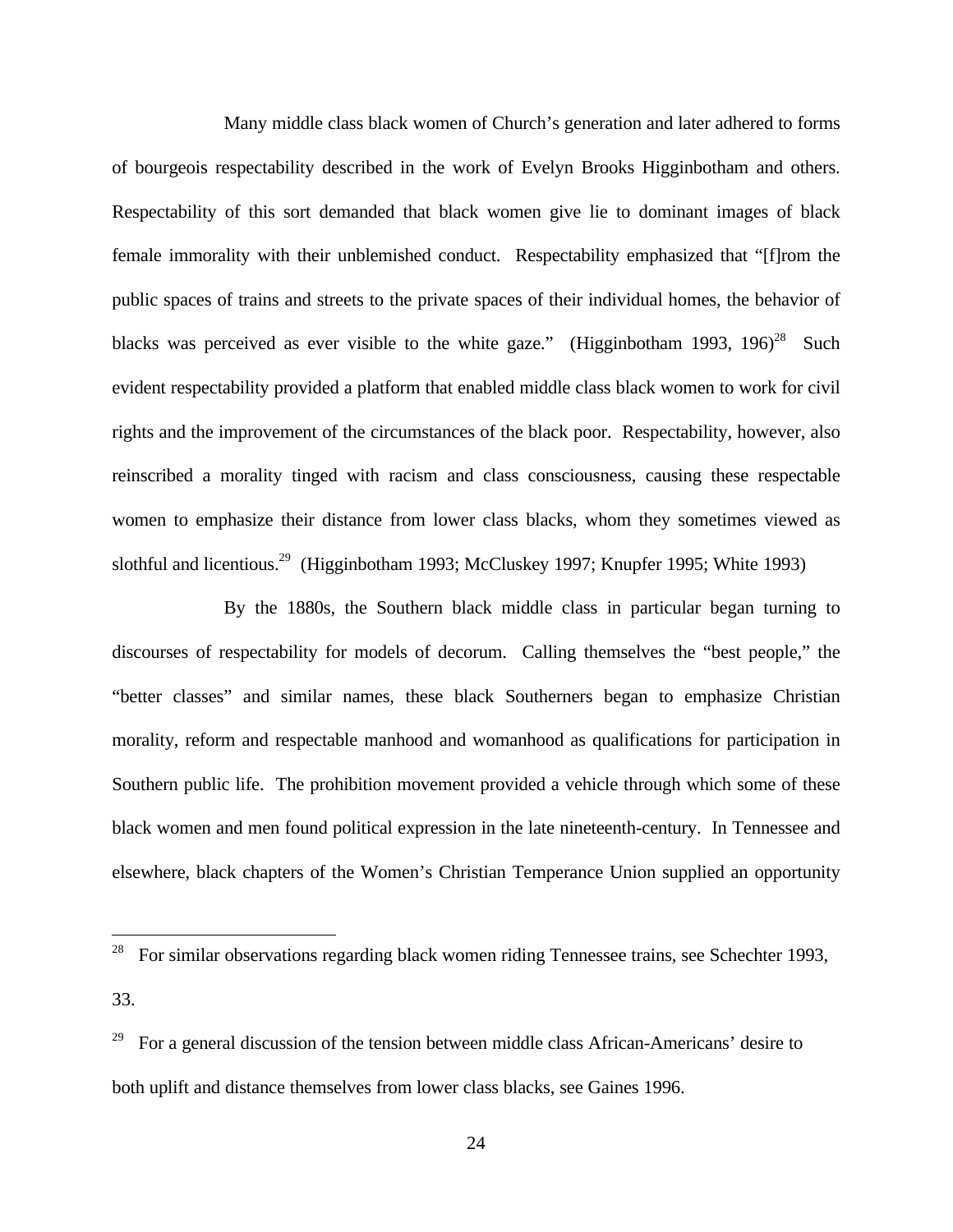Many middle class black women of Church's generation and later adhered to forms of bourgeois respectability described in the work of Evelyn Brooks Higginbotham and others. Respectability of this sort demanded that black women give lie to dominant images of black female immorality with their unblemished conduct. Respectability emphasized that "[f]rom the public spaces of trains and streets to the private spaces of their individual homes, the behavior of blacks was perceived as ever visible to the white gaze." (Higginbotham 1993, 196)<sup>28</sup> Such evident respectability provided a platform that enabled middle class black women to work for civil rights and the improvement of the circumstances of the black poor. Respectability, however, also reinscribed a morality tinged with racism and class consciousness, causing these respectable women to emphasize their distance from lower class blacks, whom they sometimes viewed as slothful and licentious.<sup>29</sup> (Higginbotham 1993; McCluskey 1997; Knupfer 1995; White 1993)

By the 1880s, the Southern black middle class in particular began turning to discourses of respectability for models of decorum. Calling themselves the "best people," the "better classes" and similar names, these black Southerners began to emphasize Christian morality, reform and respectable manhood and womanhood as qualifications for participation in Southern public life. The prohibition movement provided a vehicle through which some of these black women and men found political expression in the late nineteenth-century. In Tennessee and elsewhere, black chapters of the Women's Christian Temperance Union supplied an opportunity

<u>.</u>

 $28$  For similar observations regarding black women riding Tennessee trains, see Schechter 1993,

<sup>33.</sup>

<sup>29</sup> For a general discussion of the tension between middle class African-Americans' desire to both uplift and distance themselves from lower class blacks, see Gaines 1996.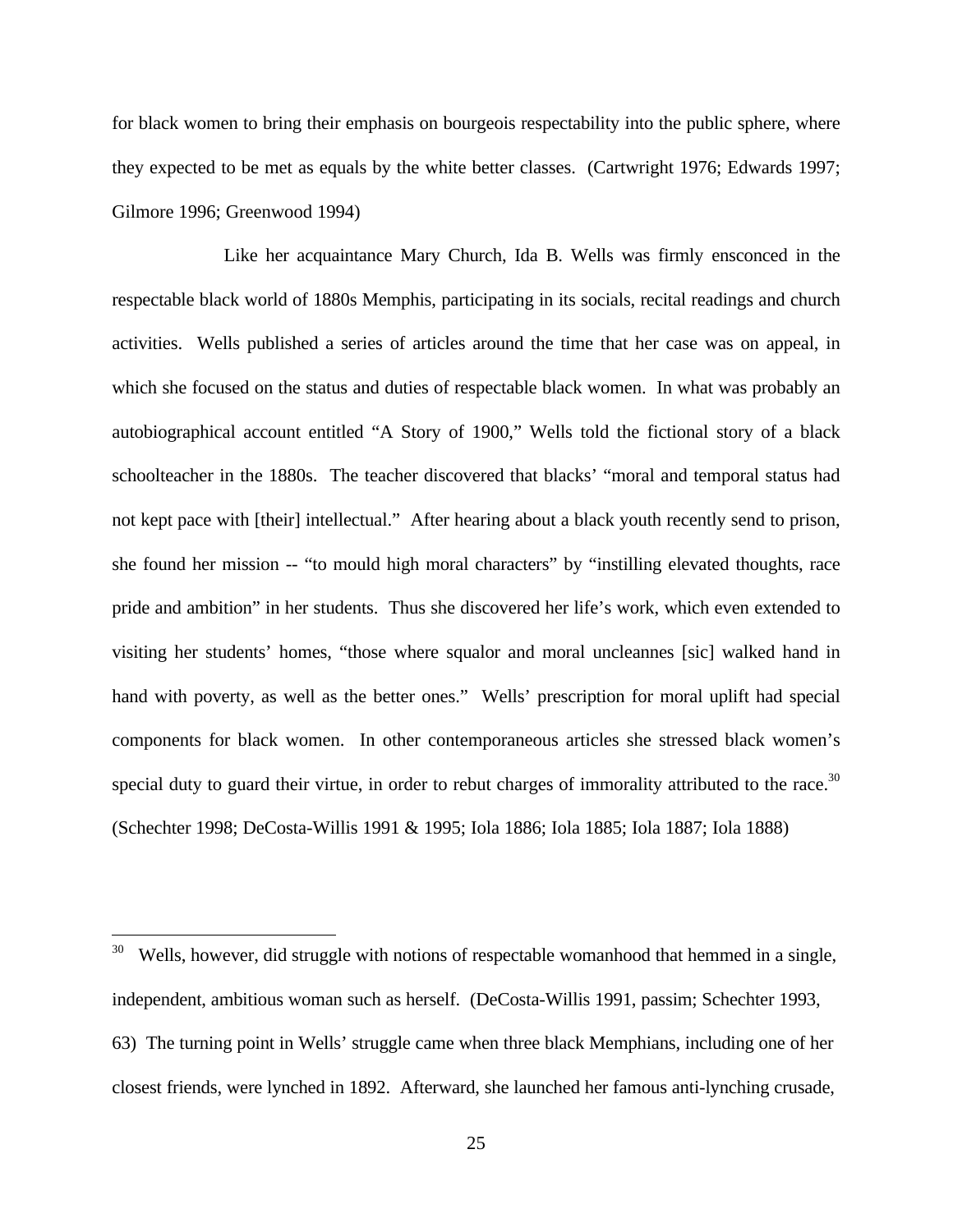for black women to bring their emphasis on bourgeois respectability into the public sphere, where they expected to be met as equals by the white better classes. (Cartwright 1976; Edwards 1997; Gilmore 1996; Greenwood 1994)

Like her acquaintance Mary Church, Ida B. Wells was firmly ensconced in the respectable black world of 1880s Memphis, participating in its socials, recital readings and church activities. Wells published a series of articles around the time that her case was on appeal, in which she focused on the status and duties of respectable black women. In what was probably an autobiographical account entitled "A Story of 1900," Wells told the fictional story of a black schoolteacher in the 1880s. The teacher discovered that blacks' "moral and temporal status had not kept pace with [their] intellectual." After hearing about a black youth recently send to prison, she found her mission -- "to mould high moral characters" by "instilling elevated thoughts, race pride and ambition" in her students. Thus she discovered her life's work, which even extended to visiting her students' homes, "those where squalor and moral uncleannes [sic] walked hand in hand with poverty, as well as the better ones." Wells' prescription for moral uplift had special components for black women. In other contemporaneous articles she stressed black women's special duty to guard their virtue, in order to rebut charges of immorality attributed to the race.<sup>30</sup> (Schechter 1998; DeCosta-Willis 1991 & 1995; Iola 1886; Iola 1885; Iola 1887; Iola 1888)

<u>.</u>

 $30$  Wells, however, did struggle with notions of respectable womanhood that hemmed in a single, independent, ambitious woman such as herself. (DeCosta-Willis 1991, passim; Schechter 1993, 63) The turning point in Wells' struggle came when three black Memphians, including one of her closest friends, were lynched in 1892. Afterward, she launched her famous anti-lynching crusade,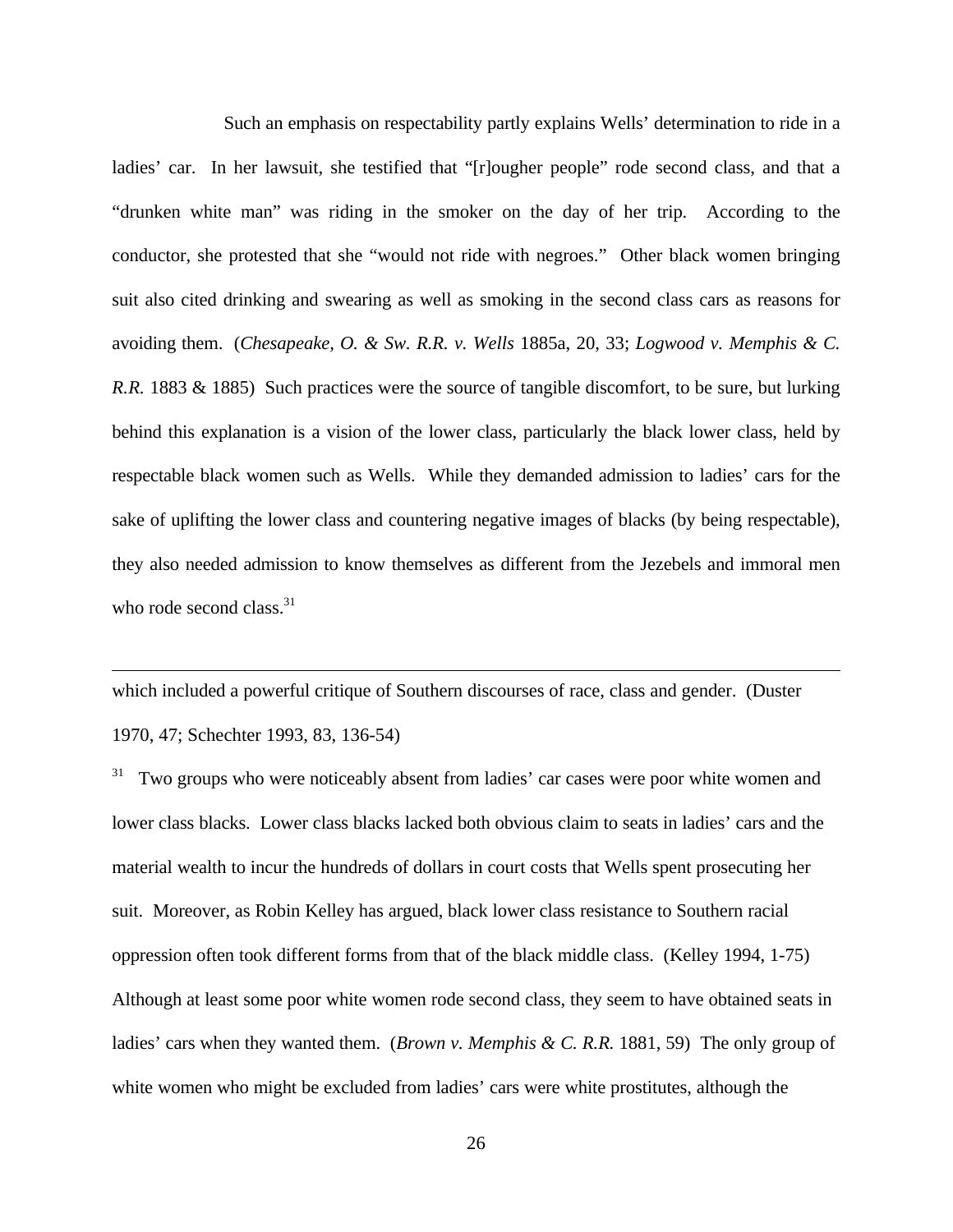Such an emphasis on respectability partly explains Wells' determination to ride in a ladies' car. In her lawsuit, she testified that "[r]ougher people" rode second class, and that a "drunken white man" was riding in the smoker on the day of her trip. According to the conductor, she protested that she "would not ride with negroes." Other black women bringing suit also cited drinking and swearing as well as smoking in the second class cars as reasons for avoiding them. (*Chesapeake, O. & Sw. R.R. v. Wells* 1885a, 20, 33; *Logwood v. Memphis & C. R.R.* 1883 & 1885) Such practices were the source of tangible discomfort, to be sure, but lurking behind this explanation is a vision of the lower class, particularly the black lower class, held by respectable black women such as Wells. While they demanded admission to ladies' cars for the sake of uplifting the lower class and countering negative images of blacks (by being respectable), they also needed admission to know themselves as different from the Jezebels and immoral men who rode second class. $31$ 

which included a powerful critique of Southern discourses of race, class and gender. (Duster 1970, 47; Schechter 1993, 83, 136-54)

 $\overline{a}$ 

Two groups who were noticeably absent from ladies' car cases were poor white women and lower class blacks. Lower class blacks lacked both obvious claim to seats in ladies' cars and the material wealth to incur the hundreds of dollars in court costs that Wells spent prosecuting her suit. Moreover, as Robin Kelley has argued, black lower class resistance to Southern racial oppression often took different forms from that of the black middle class. (Kelley 1994, 1-75) Although at least some poor white women rode second class, they seem to have obtained seats in ladies' cars when they wanted them. (*Brown v. Memphis & C. R.R.* 1881, 59) The only group of white women who might be excluded from ladies' cars were white prostitutes, although the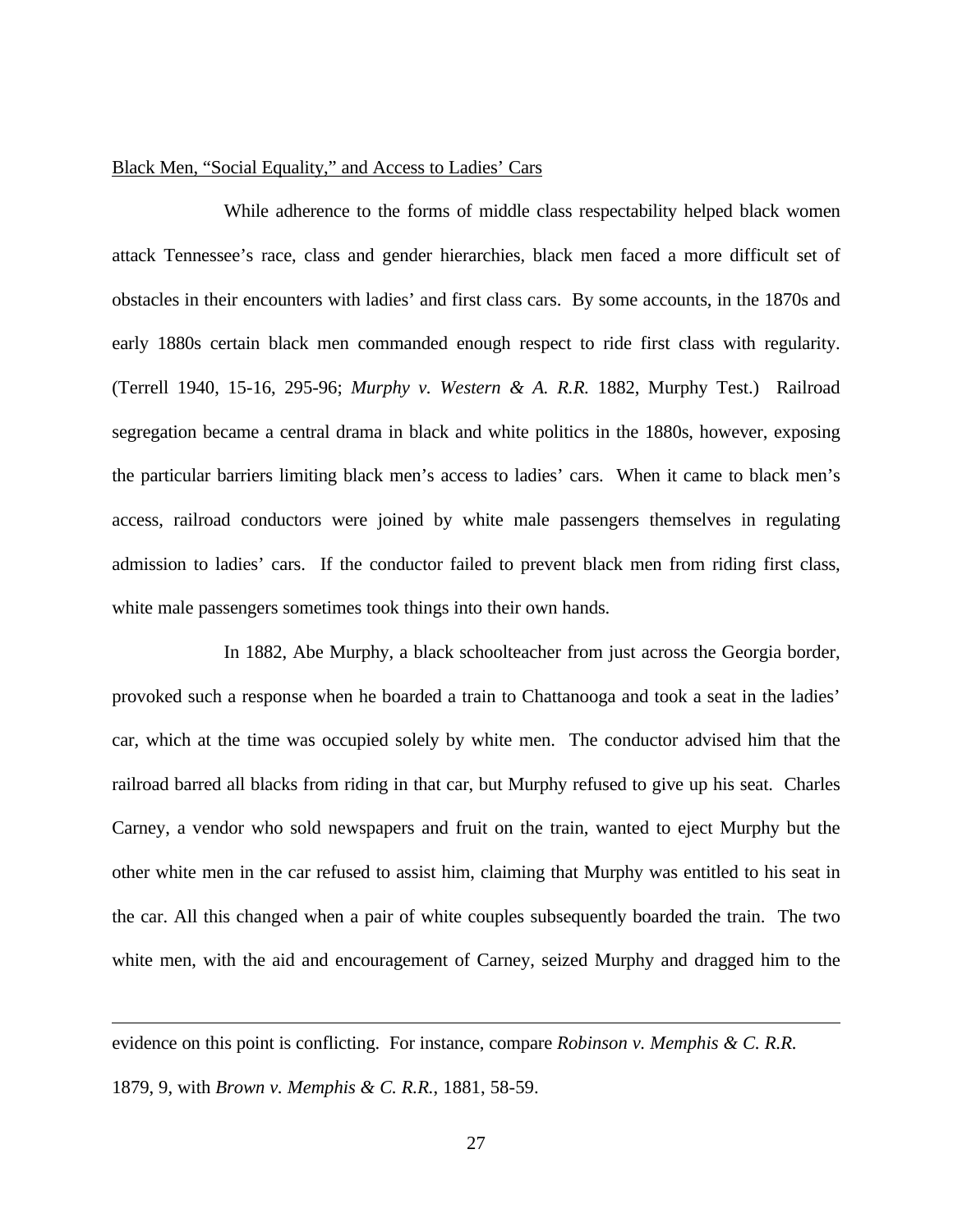#### Black Men, "Social Equality," and Access to Ladies' Cars

While adherence to the forms of middle class respectability helped black women attack Tennessee's race, class and gender hierarchies, black men faced a more difficult set of obstacles in their encounters with ladies' and first class cars. By some accounts, in the 1870s and early 1880s certain black men commanded enough respect to ride first class with regularity. (Terrell 1940, 15-16, 295-96; *Murphy v. Western & A. R.R.* 1882, Murphy Test.) Railroad segregation became a central drama in black and white politics in the 1880s, however, exposing the particular barriers limiting black men's access to ladies' cars. When it came to black men's access, railroad conductors were joined by white male passengers themselves in regulating admission to ladies' cars. If the conductor failed to prevent black men from riding first class, white male passengers sometimes took things into their own hands.

In 1882, Abe Murphy, a black schoolteacher from just across the Georgia border, provoked such a response when he boarded a train to Chattanooga and took a seat in the ladies' car, which at the time was occupied solely by white men. The conductor advised him that the railroad barred all blacks from riding in that car, but Murphy refused to give up his seat. Charles Carney, a vendor who sold newspapers and fruit on the train, wanted to eject Murphy but the other white men in the car refused to assist him, claiming that Murphy was entitled to his seat in the car. All this changed when a pair of white couples subsequently boarded the train. The two white men, with the aid and encouragement of Carney, seized Murphy and dragged him to the

evidence on this point is conflicting. For instance, compare *Robinson v. Memphis & C. R.R.* 1879, 9, with *Brown v. Memphis & C. R.R.*, 1881, 58-59.

 $\overline{a}$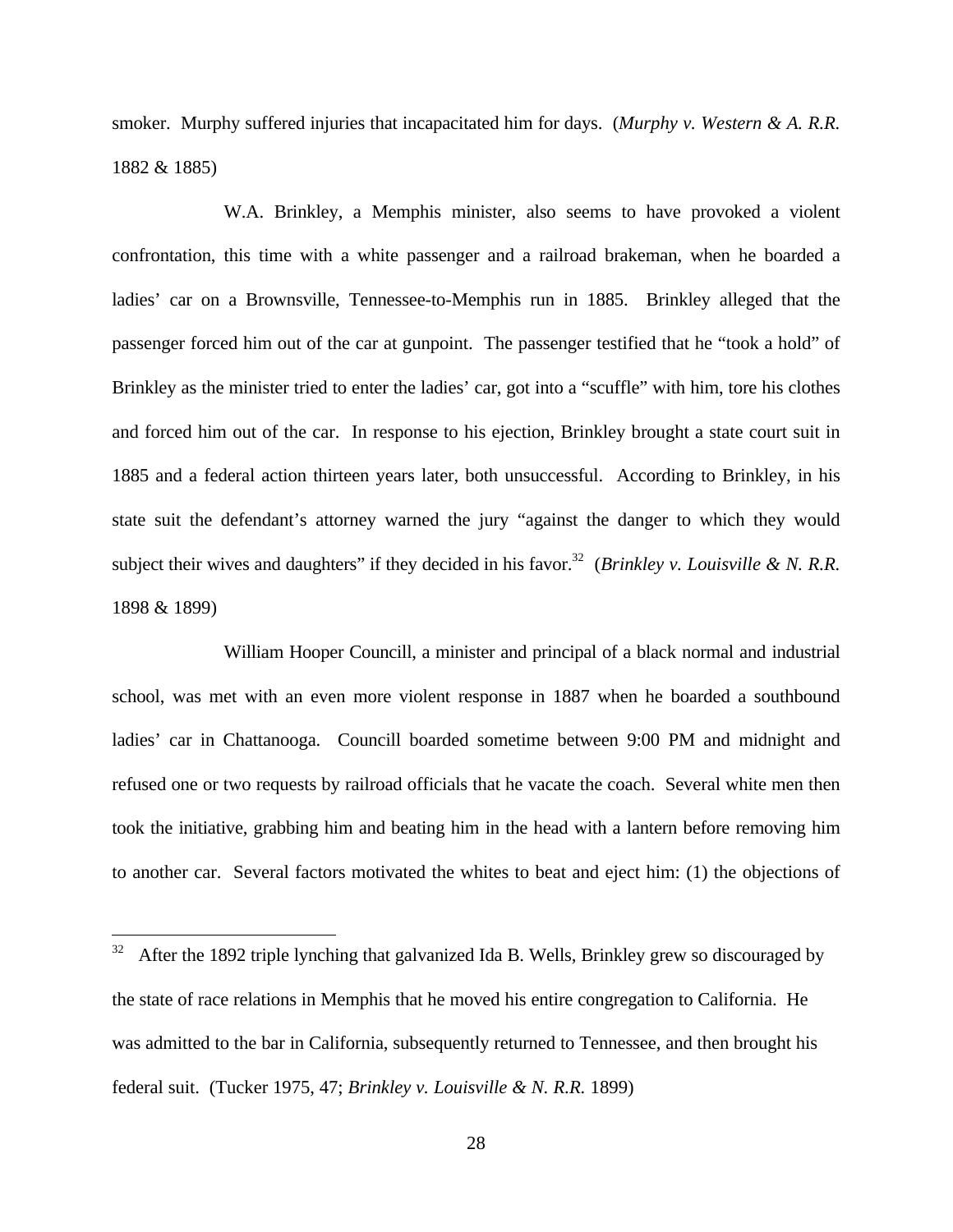smoker. Murphy suffered injuries that incapacitated him for days. (*Murphy v. Western & A. R.R.* 1882 & 1885)

W.A. Brinkley, a Memphis minister, also seems to have provoked a violent confrontation, this time with a white passenger and a railroad brakeman, when he boarded a ladies' car on a Brownsville, Tennessee-to-Memphis run in 1885. Brinkley alleged that the passenger forced him out of the car at gunpoint. The passenger testified that he "took a hold" of Brinkley as the minister tried to enter the ladies' car, got into a "scuffle" with him, tore his clothes and forced him out of the car. In response to his ejection, Brinkley brought a state court suit in 1885 and a federal action thirteen years later, both unsuccessful. According to Brinkley, in his state suit the defendant's attorney warned the jury "against the danger to which they would subject their wives and daughters" if they decided in his favor.<sup>32</sup> (*Brinkley v. Louisville & N. R.R.*) 1898 & 1899)

William Hooper Councill, a minister and principal of a black normal and industrial school, was met with an even more violent response in 1887 when he boarded a southbound ladies' car in Chattanooga. Councill boarded sometime between 9:00 PM and midnight and refused one or two requests by railroad officials that he vacate the coach. Several white men then took the initiative, grabbing him and beating him in the head with a lantern before removing him to another car. Several factors motivated the whites to beat and eject him: (1) the objections of

 $32\,$ <sup>32</sup> After the 1892 triple lynching that galvanized Ida B. Wells, Brinkley grew so discouraged by the state of race relations in Memphis that he moved his entire congregation to California. He was admitted to the bar in California, subsequently returned to Tennessee, and then brought his federal suit. (Tucker 1975, 47; *Brinkley v. Louisville & N. R.R.* 1899)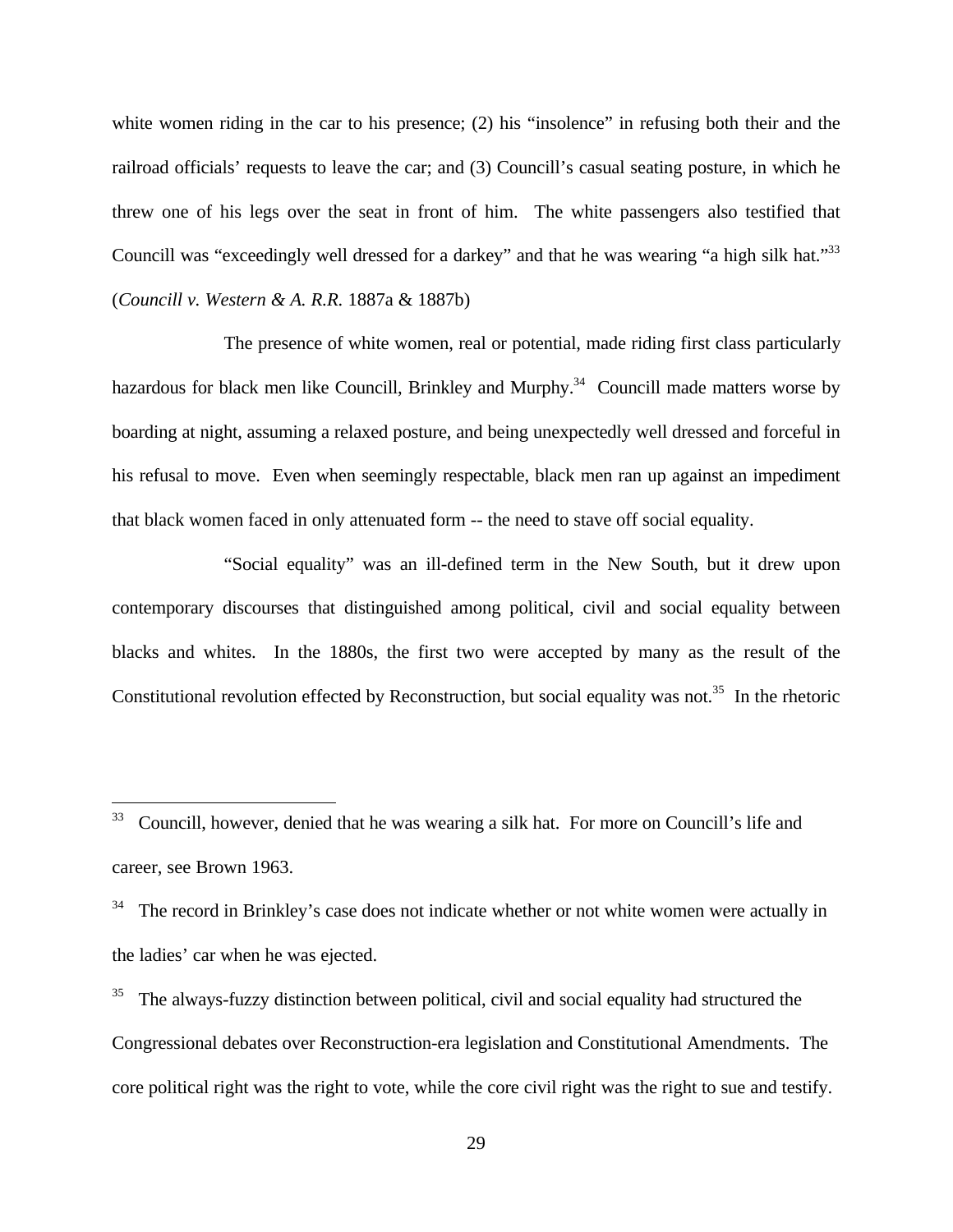white women riding in the car to his presence; (2) his "insolence" in refusing both their and the railroad officials' requests to leave the car; and (3) Councill's casual seating posture, in which he threw one of his legs over the seat in front of him. The white passengers also testified that Councill was "exceedingly well dressed for a darkey" and that he was wearing "a high silk hat."<sup>33</sup> (*Councill v. Western & A. R.R.* 1887a & 1887b)

The presence of white women, real or potential, made riding first class particularly hazardous for black men like Councill, Brinkley and Murphy.<sup>34</sup> Councill made matters worse by boarding at night, assuming a relaxed posture, and being unexpectedly well dressed and forceful in his refusal to move. Even when seemingly respectable, black men ran up against an impediment that black women faced in only attenuated form -- the need to stave off social equality.

"Social equality" was an ill-defined term in the New South, but it drew upon contemporary discourses that distinguished among political, civil and social equality between blacks and whites. In the 1880s, the first two were accepted by many as the result of the Constitutional revolution effected by Reconstruction, but social equality was not.<sup>35</sup> In the rhetoric

<sup>33</sup> <sup>33</sup> Councill, however, denied that he was wearing a silk hat. For more on Councill's life and career, see Brown 1963.

The record in Brinkley's case does not indicate whether or not white women were actually in the ladies' car when he was ejected.

<sup>35</sup> The always-fuzzy distinction between political, civil and social equality had structured the Congressional debates over Reconstruction-era legislation and Constitutional Amendments. The core political right was the right to vote, while the core civil right was the right to sue and testify.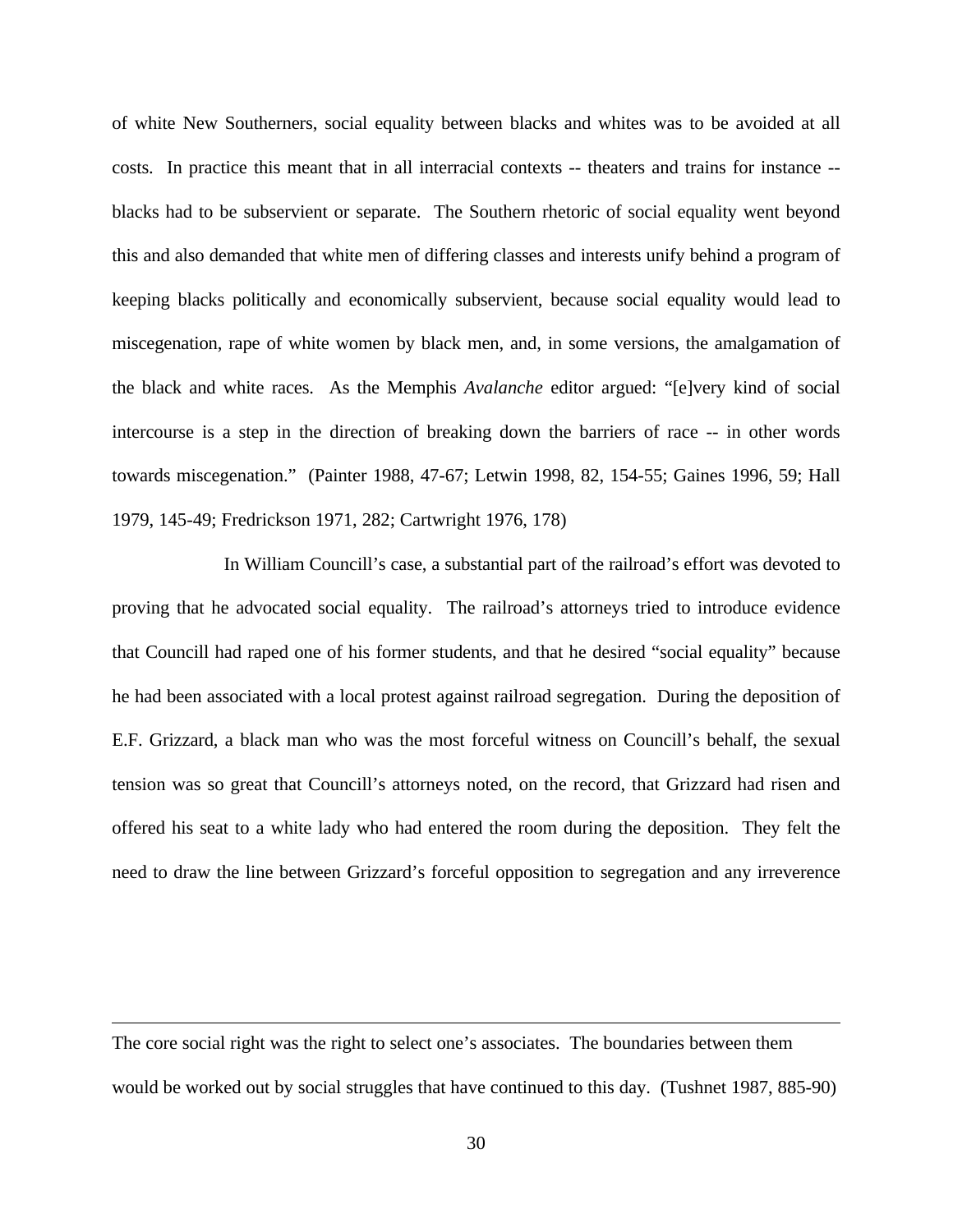of white New Southerners, social equality between blacks and whites was to be avoided at all costs. In practice this meant that in all interracial contexts -- theaters and trains for instance - blacks had to be subservient or separate. The Southern rhetoric of social equality went beyond this and also demanded that white men of differing classes and interests unify behind a program of keeping blacks politically and economically subservient, because social equality would lead to miscegenation, rape of white women by black men, and, in some versions, the amalgamation of the black and white races. As the Memphis *Avalanche* editor argued: "[e]very kind of social intercourse is a step in the direction of breaking down the barriers of race -- in other words towards miscegenation." (Painter 1988, 47-67; Letwin 1998, 82, 154-55; Gaines 1996, 59; Hall 1979, 145-49; Fredrickson 1971, 282; Cartwright 1976, 178)

In William Councill's case, a substantial part of the railroad's effort was devoted to proving that he advocated social equality. The railroad's attorneys tried to introduce evidence that Councill had raped one of his former students, and that he desired "social equality" because he had been associated with a local protest against railroad segregation. During the deposition of E.F. Grizzard, a black man who was the most forceful witness on Councill's behalf, the sexual tension was so great that Councill's attorneys noted, on the record, that Grizzard had risen and offered his seat to a white lady who had entered the room during the deposition. They felt the need to draw the line between Grizzard's forceful opposition to segregation and any irreverence

The core social right was the right to select one's associates. The boundaries between them would be worked out by social struggles that have continued to this day. (Tushnet 1987, 885-90)

 $\overline{a}$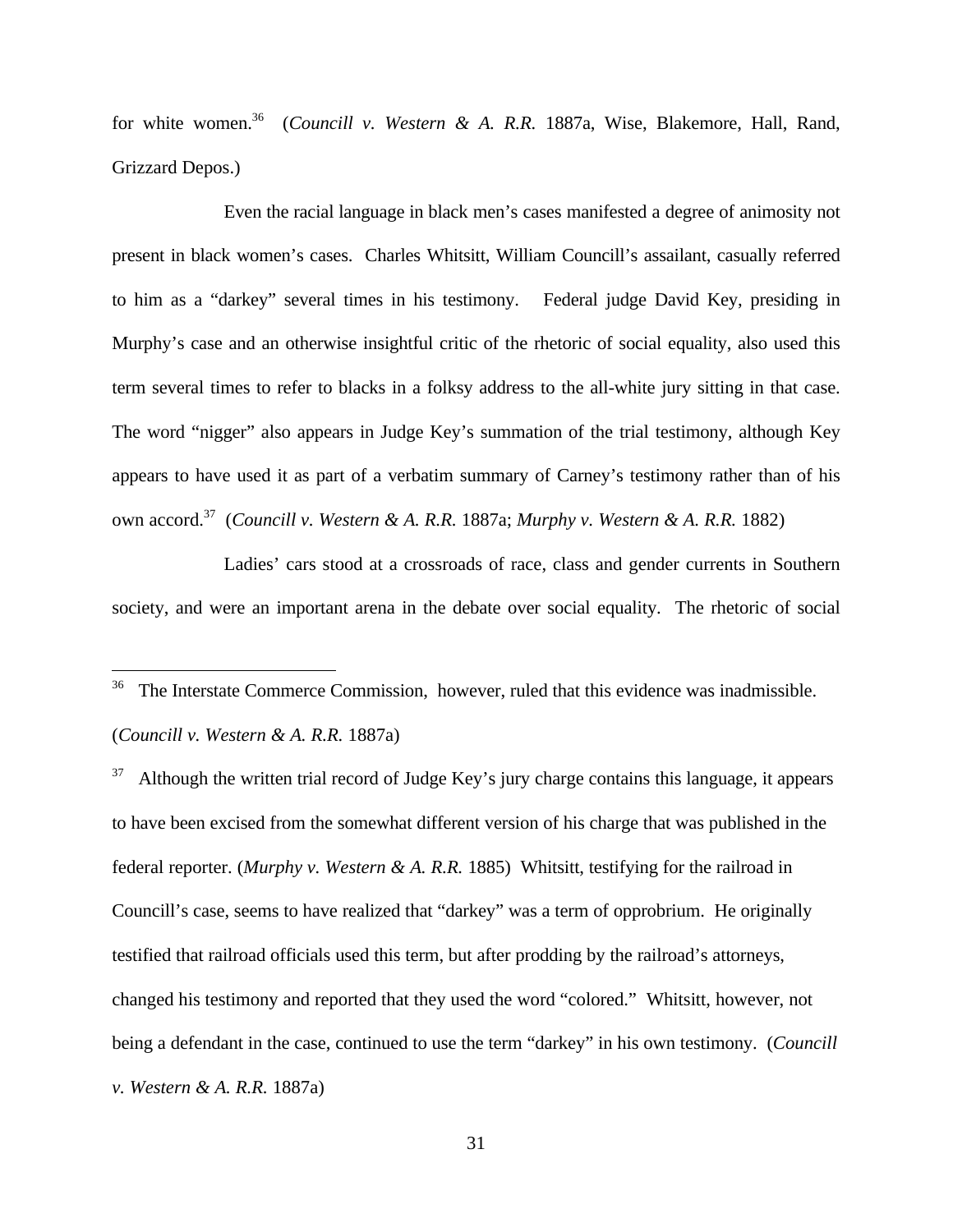for white women.<sup>36</sup> (*Councill v. Western & A. R.R.* 1887a, Wise, Blakemore, Hall, Rand, Grizzard Depos.)

Even the racial language in black men's cases manifested a degree of animosity not present in black women's cases. Charles Whitsitt, William Councill's assailant, casually referred to him as a "darkey" several times in his testimony. Federal judge David Key, presiding in Murphy's case and an otherwise insightful critic of the rhetoric of social equality, also used this term several times to refer to blacks in a folksy address to the all-white jury sitting in that case. The word "nigger" also appears in Judge Key's summation of the trial testimony, although Key appears to have used it as part of a verbatim summary of Carney's testimony rather than of his own accord.<sup>37</sup> (*Councill v. Western & A. R.R.* 1887a; *Murphy v. Western & A. R.R.* 1882)

Ladies' cars stood at a crossroads of race, class and gender currents in Southern society, and were an important arena in the debate over social equality. The rhetoric of social

The Interstate Commerce Commission, however, ruled that this evidence was inadmissible. (*Councill v. Western & A. R.R.* 1887a)

 $\overline{a}$ 

<sup>37</sup> Although the written trial record of Judge Key's jury charge contains this language, it appears to have been excised from the somewhat different version of his charge that was published in the federal reporter. (*Murphy v. Western & A. R.R.* 1885) Whitsitt, testifying for the railroad in Councill's case, seems to have realized that "darkey" was a term of opprobrium. He originally testified that railroad officials used this term, but after prodding by the railroad's attorneys, changed his testimony and reported that they used the word "colored." Whitsitt, however, not being a defendant in the case, continued to use the term "darkey" in his own testimony. (*Councill v. Western & A. R.R.* 1887a)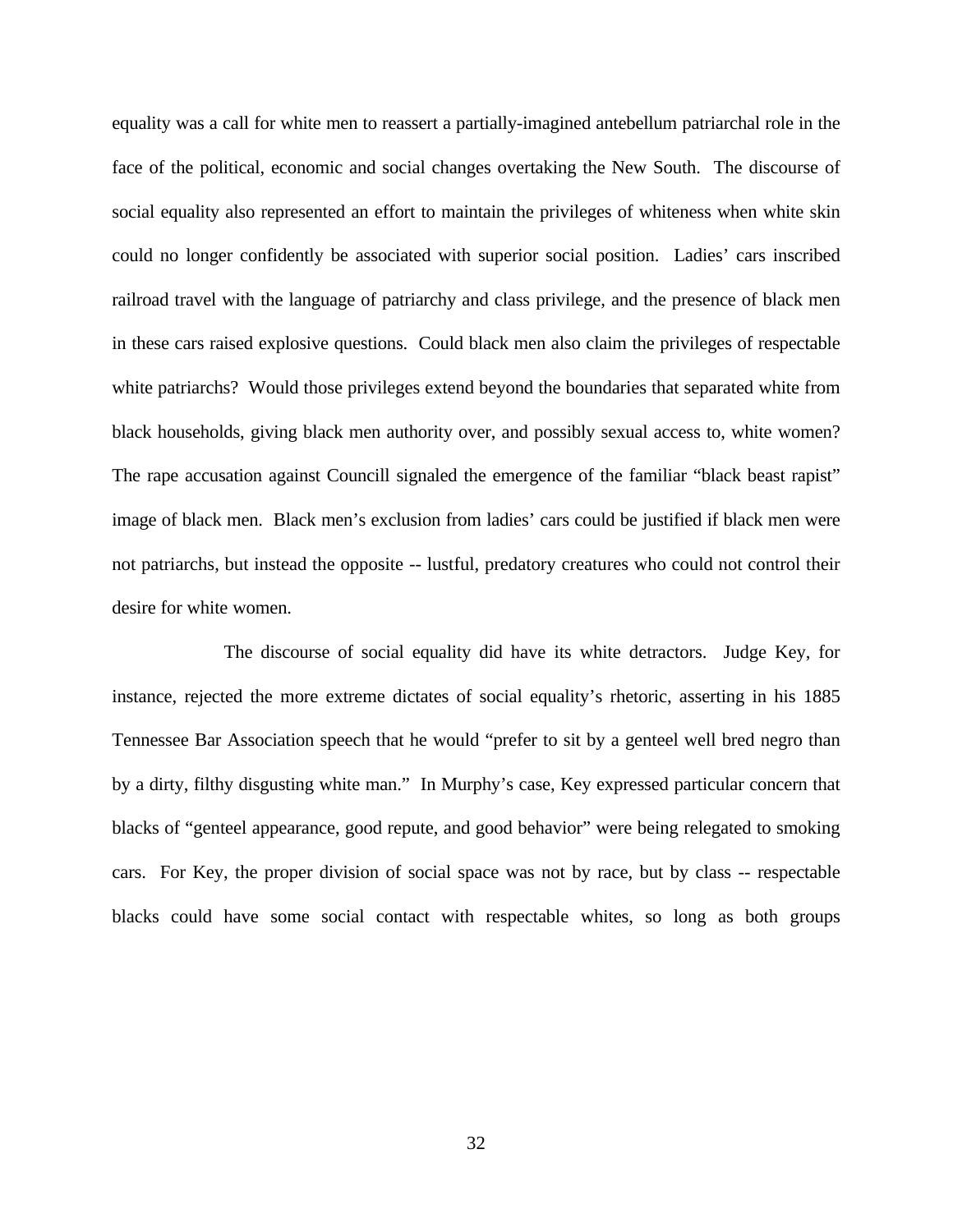equality was a call for white men to reassert a partially-imagined antebellum patriarchal role in the face of the political, economic and social changes overtaking the New South. The discourse of social equality also represented an effort to maintain the privileges of whiteness when white skin could no longer confidently be associated with superior social position. Ladies' cars inscribed railroad travel with the language of patriarchy and class privilege, and the presence of black men in these cars raised explosive questions. Could black men also claim the privileges of respectable white patriarchs? Would those privileges extend beyond the boundaries that separated white from black households, giving black men authority over, and possibly sexual access to, white women? The rape accusation against Councill signaled the emergence of the familiar "black beast rapist" image of black men. Black men's exclusion from ladies' cars could be justified if black men were not patriarchs, but instead the opposite -- lustful, predatory creatures who could not control their desire for white women.

The discourse of social equality did have its white detractors. Judge Key, for instance, rejected the more extreme dictates of social equality's rhetoric, asserting in his 1885 Tennessee Bar Association speech that he would "prefer to sit by a genteel well bred negro than by a dirty, filthy disgusting white man." In Murphy's case, Key expressed particular concern that blacks of "genteel appearance, good repute, and good behavior" were being relegated to smoking cars. For Key, the proper division of social space was not by race, but by class -- respectable blacks could have some social contact with respectable whites, so long as both groups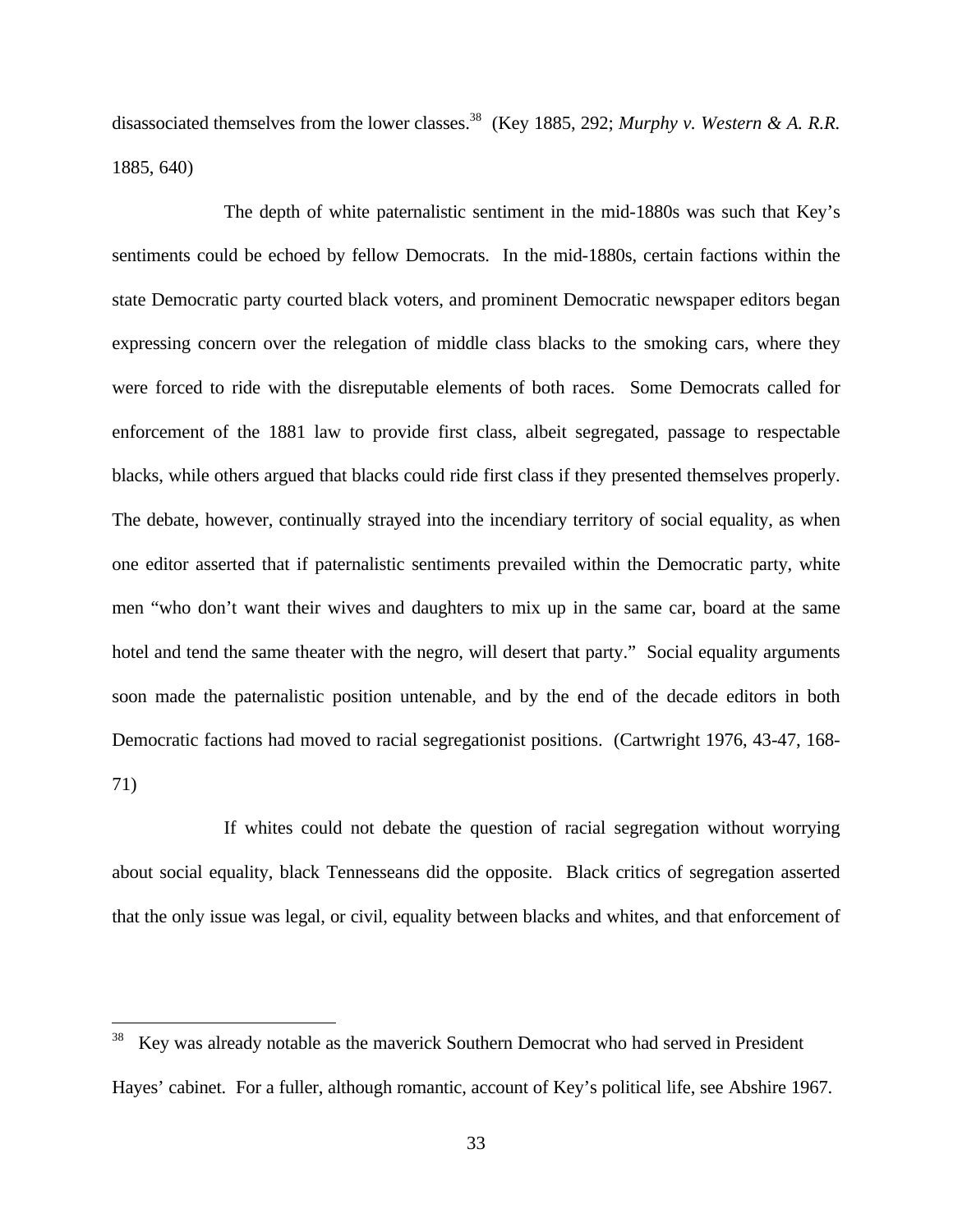disassociated themselves from the lower classes.<sup>38</sup> (Key 1885, 292; *Murphy v. Western & A. R.R.*) 1885, 640)

The depth of white paternalistic sentiment in the mid-1880s was such that Key's sentiments could be echoed by fellow Democrats. In the mid-1880s, certain factions within the state Democratic party courted black voters, and prominent Democratic newspaper editors began expressing concern over the relegation of middle class blacks to the smoking cars, where they were forced to ride with the disreputable elements of both races. Some Democrats called for enforcement of the 1881 law to provide first class, albeit segregated, passage to respectable blacks, while others argued that blacks could ride first class if they presented themselves properly. The debate, however, continually strayed into the incendiary territory of social equality, as when one editor asserted that if paternalistic sentiments prevailed within the Democratic party, white men "who don't want their wives and daughters to mix up in the same car, board at the same hotel and tend the same theater with the negro, will desert that party." Social equality arguments soon made the paternalistic position untenable, and by the end of the decade editors in both Democratic factions had moved to racial segregationist positions. (Cartwright 1976, 43-47, 168- 71)

If whites could not debate the question of racial segregation without worrying about social equality, black Tennesseans did the opposite. Black critics of segregation asserted that the only issue was legal, or civil, equality between blacks and whites, and that enforcement of

 $\overline{a}$ 

Key was already notable as the maverick Southern Democrat who had served in President Hayes' cabinet. For a fuller, although romantic, account of Key's political life, see Abshire 1967.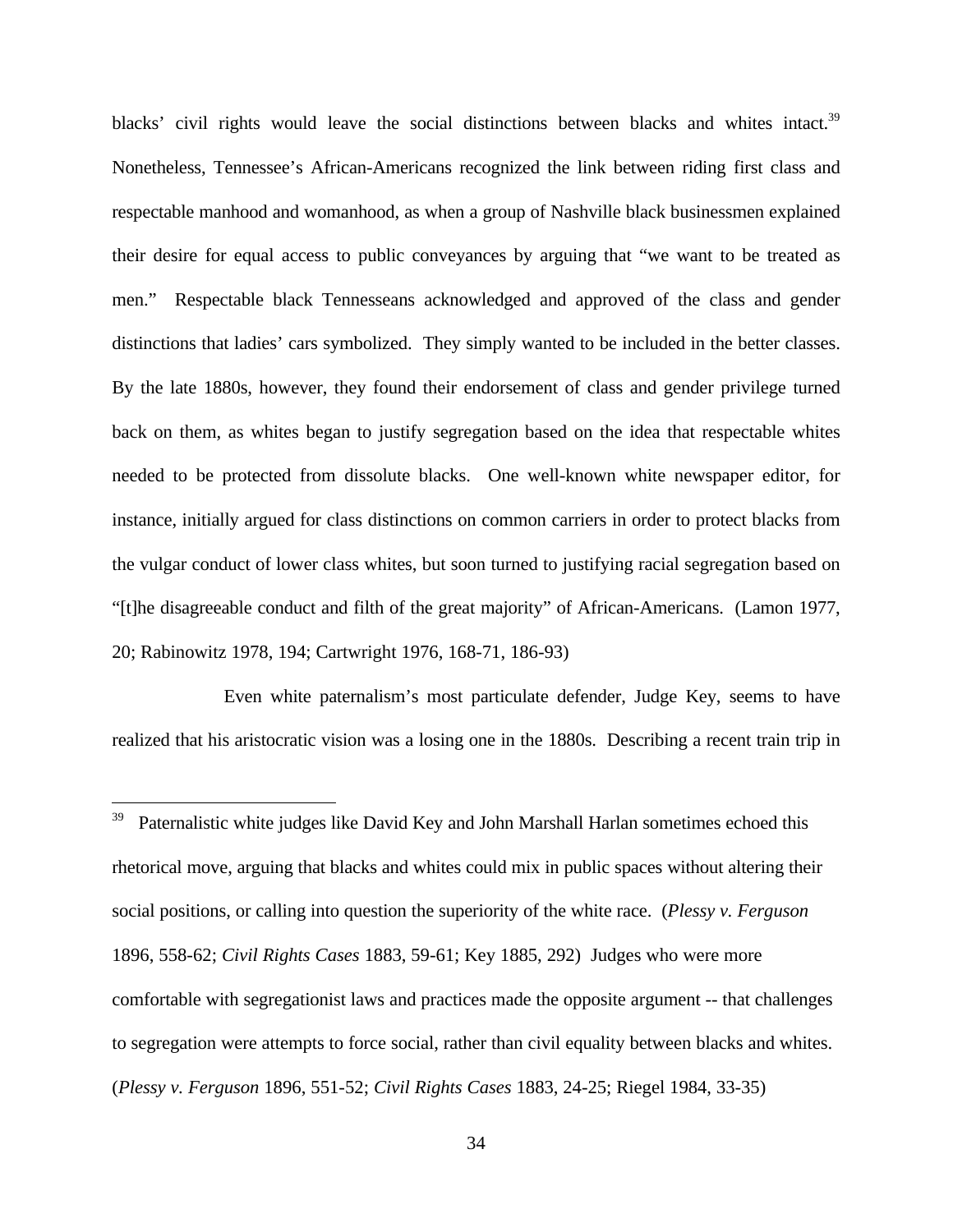blacks' civil rights would leave the social distinctions between blacks and whites intact.<sup>39</sup> Nonetheless, Tennessee's African-Americans recognized the link between riding first class and respectable manhood and womanhood, as when a group of Nashville black businessmen explained their desire for equal access to public conveyances by arguing that "we want to be treated as men." Respectable black Tennesseans acknowledged and approved of the class and gender distinctions that ladies' cars symbolized. They simply wanted to be included in the better classes. By the late 1880s, however, they found their endorsement of class and gender privilege turned back on them, as whites began to justify segregation based on the idea that respectable whites needed to be protected from dissolute blacks. One well-known white newspaper editor, for instance, initially argued for class distinctions on common carriers in order to protect blacks from the vulgar conduct of lower class whites, but soon turned to justifying racial segregation based on "[t]he disagreeable conduct and filth of the great majority" of African-Americans. (Lamon 1977, 20; Rabinowitz 1978, 194; Cartwright 1976, 168-71, 186-93)

Even white paternalism's most particulate defender, Judge Key, seems to have realized that his aristocratic vision was a losing one in the 1880s. Describing a recent train trip in

<u>.</u>

Paternalistic white judges like David Key and John Marshall Harlan sometimes echoed this rhetorical move, arguing that blacks and whites could mix in public spaces without altering their social positions, or calling into question the superiority of the white race. (*Plessy v. Ferguson* 1896, 558-62; *Civil Rights Cases* 1883, 59-61; Key 1885, 292) Judges who were more comfortable with segregationist laws and practices made the opposite argument -- that challenges to segregation were attempts to force social, rather than civil equality between blacks and whites. (*Plessy v. Ferguson* 1896, 551-52; *Civil Rights Cases* 1883, 24-25; Riegel 1984, 33-35)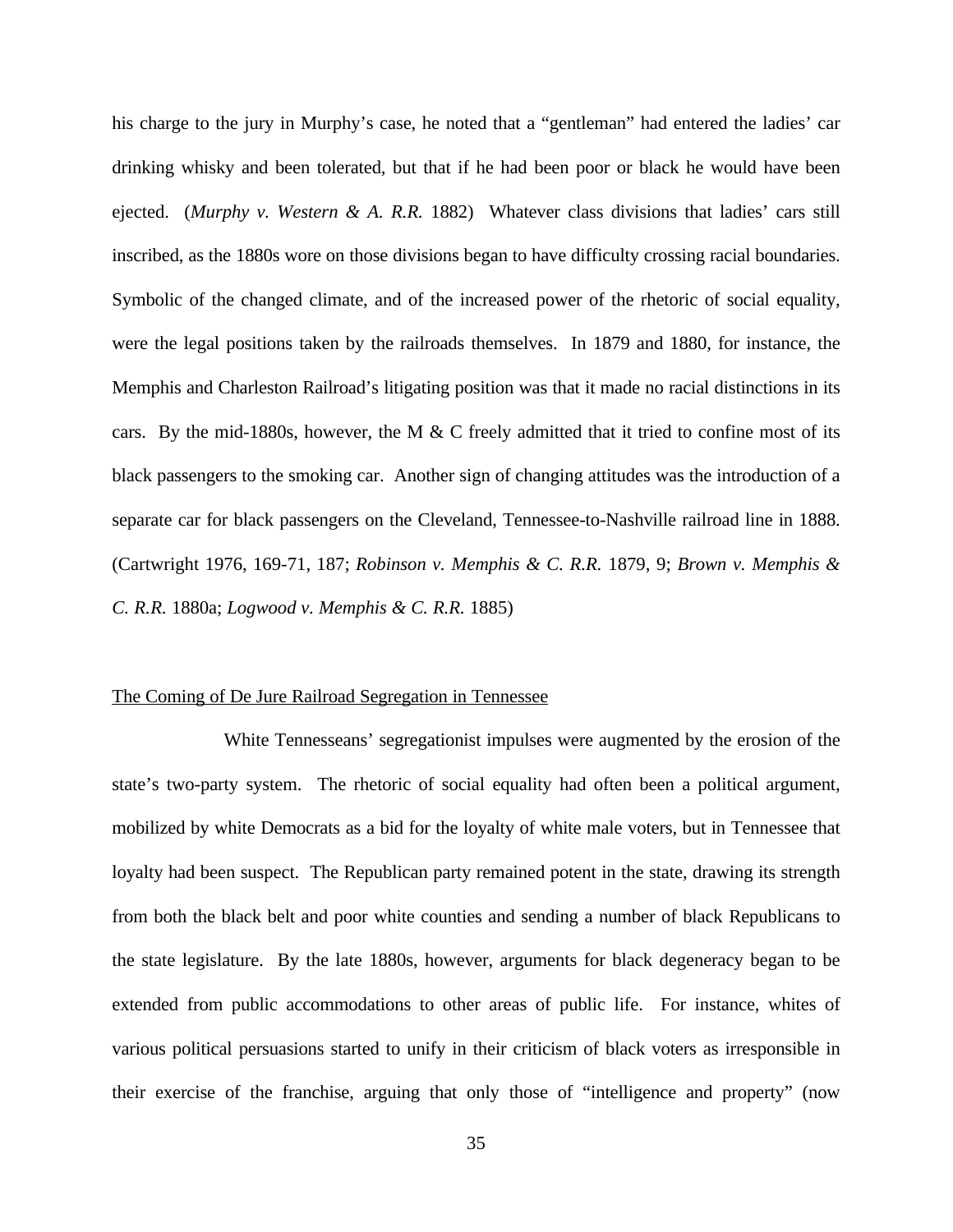his charge to the jury in Murphy's case, he noted that a "gentleman" had entered the ladies' car drinking whisky and been tolerated, but that if he had been poor or black he would have been ejected. (*Murphy v. Western & A. R.R.* 1882) Whatever class divisions that ladies' cars still inscribed, as the 1880s wore on those divisions began to have difficulty crossing racial boundaries. Symbolic of the changed climate, and of the increased power of the rhetoric of social equality, were the legal positions taken by the railroads themselves. In 1879 and 1880, for instance, the Memphis and Charleston Railroad's litigating position was that it made no racial distinctions in its cars. By the mid-1880s, however, the M  $&$  C freely admitted that it tried to confine most of its black passengers to the smoking car. Another sign of changing attitudes was the introduction of a separate car for black passengers on the Cleveland, Tennessee-to-Nashville railroad line in 1888. (Cartwright 1976, 169-71, 187; *Robinson v. Memphis & C. R.R.* 1879, 9; *Brown v. Memphis & C. R.R.* 1880a; *Logwood v. Memphis & C. R.R.* 1885)

#### The Coming of De Jure Railroad Segregation in Tennessee

White Tennesseans' segregationist impulses were augmented by the erosion of the state's two-party system. The rhetoric of social equality had often been a political argument, mobilized by white Democrats as a bid for the loyalty of white male voters, but in Tennessee that loyalty had been suspect. The Republican party remained potent in the state, drawing its strength from both the black belt and poor white counties and sending a number of black Republicans to the state legislature. By the late 1880s, however, arguments for black degeneracy began to be extended from public accommodations to other areas of public life. For instance, whites of various political persuasions started to unify in their criticism of black voters as irresponsible in their exercise of the franchise, arguing that only those of "intelligence and property" (now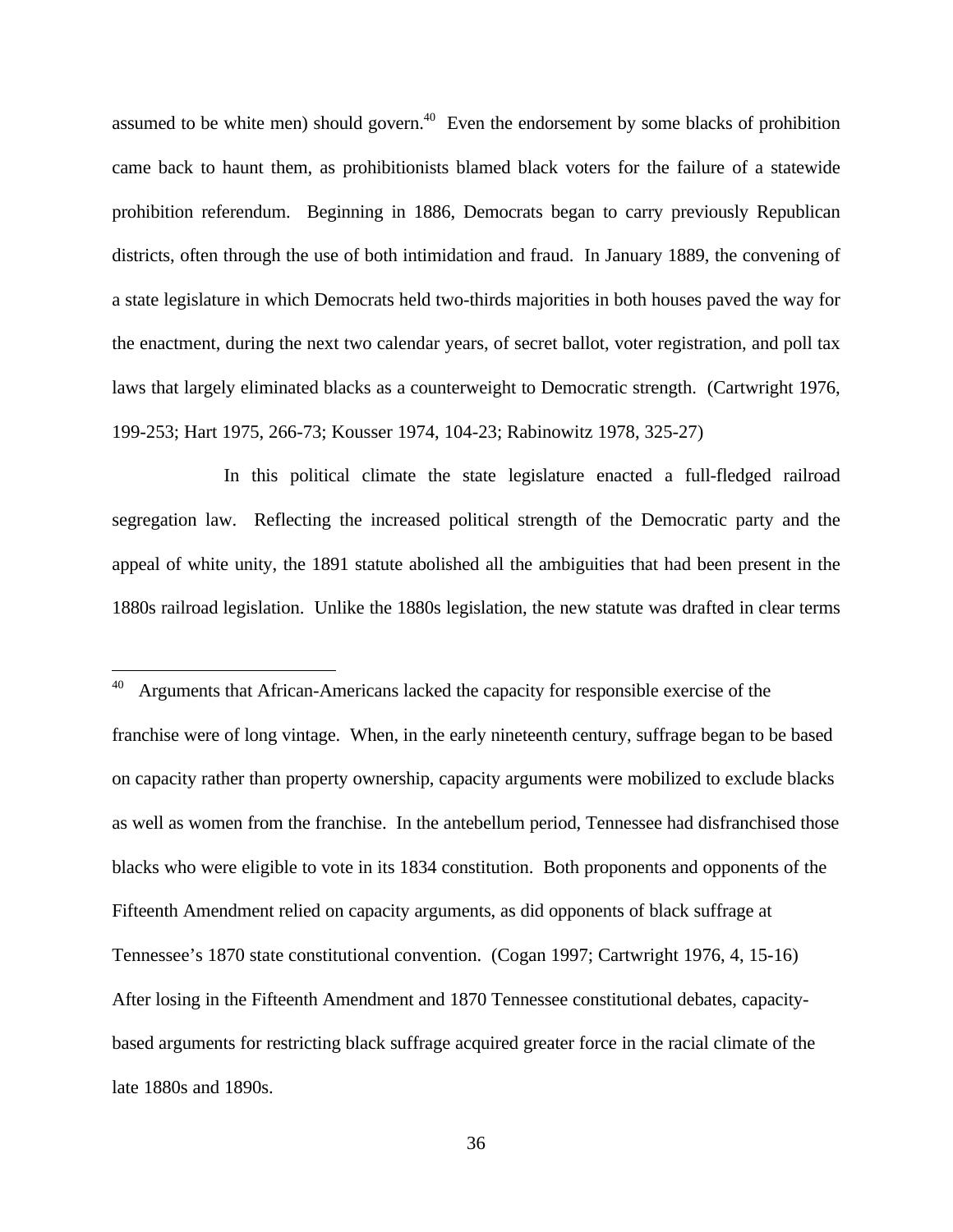assumed to be white men) should govern. $40$  Even the endorsement by some blacks of prohibition came back to haunt them, as prohibitionists blamed black voters for the failure of a statewide prohibition referendum. Beginning in 1886, Democrats began to carry previously Republican districts, often through the use of both intimidation and fraud. In January 1889, the convening of a state legislature in which Democrats held two-thirds majorities in both houses paved the way for the enactment, during the next two calendar years, of secret ballot, voter registration, and poll tax laws that largely eliminated blacks as a counterweight to Democratic strength. (Cartwright 1976, 199-253; Hart 1975, 266-73; Kousser 1974, 104-23; Rabinowitz 1978, 325-27)

In this political climate the state legislature enacted a full-fledged railroad segregation law. Reflecting the increased political strength of the Democratic party and the appeal of white unity, the 1891 statute abolished all the ambiguities that had been present in the 1880s railroad legislation. Unlike the 1880s legislation, the new statute was drafted in clear terms

-

Arguments that African-Americans lacked the capacity for responsible exercise of the franchise were of long vintage. When, in the early nineteenth century, suffrage began to be based on capacity rather than property ownership, capacity arguments were mobilized to exclude blacks as well as women from the franchise. In the antebellum period, Tennessee had disfranchised those blacks who were eligible to vote in its 1834 constitution. Both proponents and opponents of the Fifteenth Amendment relied on capacity arguments, as did opponents of black suffrage at Tennessee's 1870 state constitutional convention. (Cogan 1997; Cartwright 1976, 4, 15-16) After losing in the Fifteenth Amendment and 1870 Tennessee constitutional debates, capacitybased arguments for restricting black suffrage acquired greater force in the racial climate of the late 1880s and 1890s.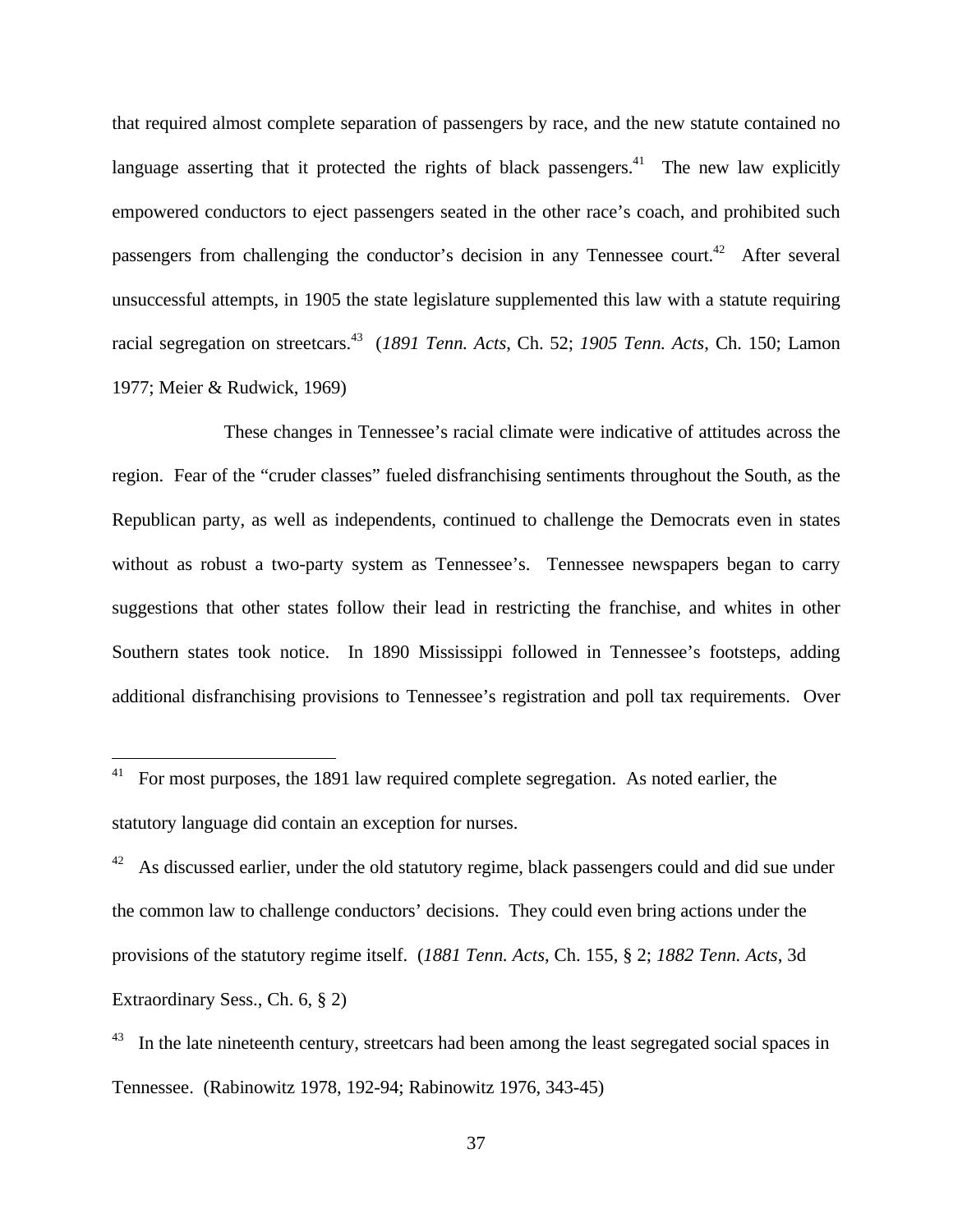that required almost complete separation of passengers by race, and the new statute contained no language asserting that it protected the rights of black passengers.<sup>41</sup> The new law explicitly empowered conductors to eject passengers seated in the other race's coach, and prohibited such passengers from challenging the conductor's decision in any Tennessee court.<sup>42</sup> After several unsuccessful attempts, in 1905 the state legislature supplemented this law with a statute requiring racial segregation on streetcars.<sup>43</sup> (*1891 Tenn. Acts*, Ch. 52; *1905 Tenn. Acts*, Ch. 150; Lamon 1977; Meier & Rudwick, 1969)

These changes in Tennessee's racial climate were indicative of attitudes across the region. Fear of the "cruder classes" fueled disfranchising sentiments throughout the South, as the Republican party, as well as independents, continued to challenge the Democrats even in states without as robust a two-party system as Tennessee's. Tennessee newspapers began to carry suggestions that other states follow their lead in restricting the franchise, and whites in other Southern states took notice. In 1890 Mississippi followed in Tennessee's footsteps, adding additional disfranchising provisions to Tennessee's registration and poll tax requirements. Over

 $\overline{a}$ 

 $41$  For most purposes, the 1891 law required complete segregation. As noted earlier, the statutory language did contain an exception for nurses.

As discussed earlier, under the old statutory regime, black passengers could and did sue under the common law to challenge conductors' decisions. They could even bring actions under the provisions of the statutory regime itself. (*1881 Tenn. Acts*, Ch. 155, § 2; *1882 Tenn. Acts*, 3d Extraordinary Sess., Ch. 6, § 2)

In the late nineteenth century, streetcars had been among the least segregated social spaces in Tennessee. (Rabinowitz 1978, 192-94; Rabinowitz 1976, 343-45)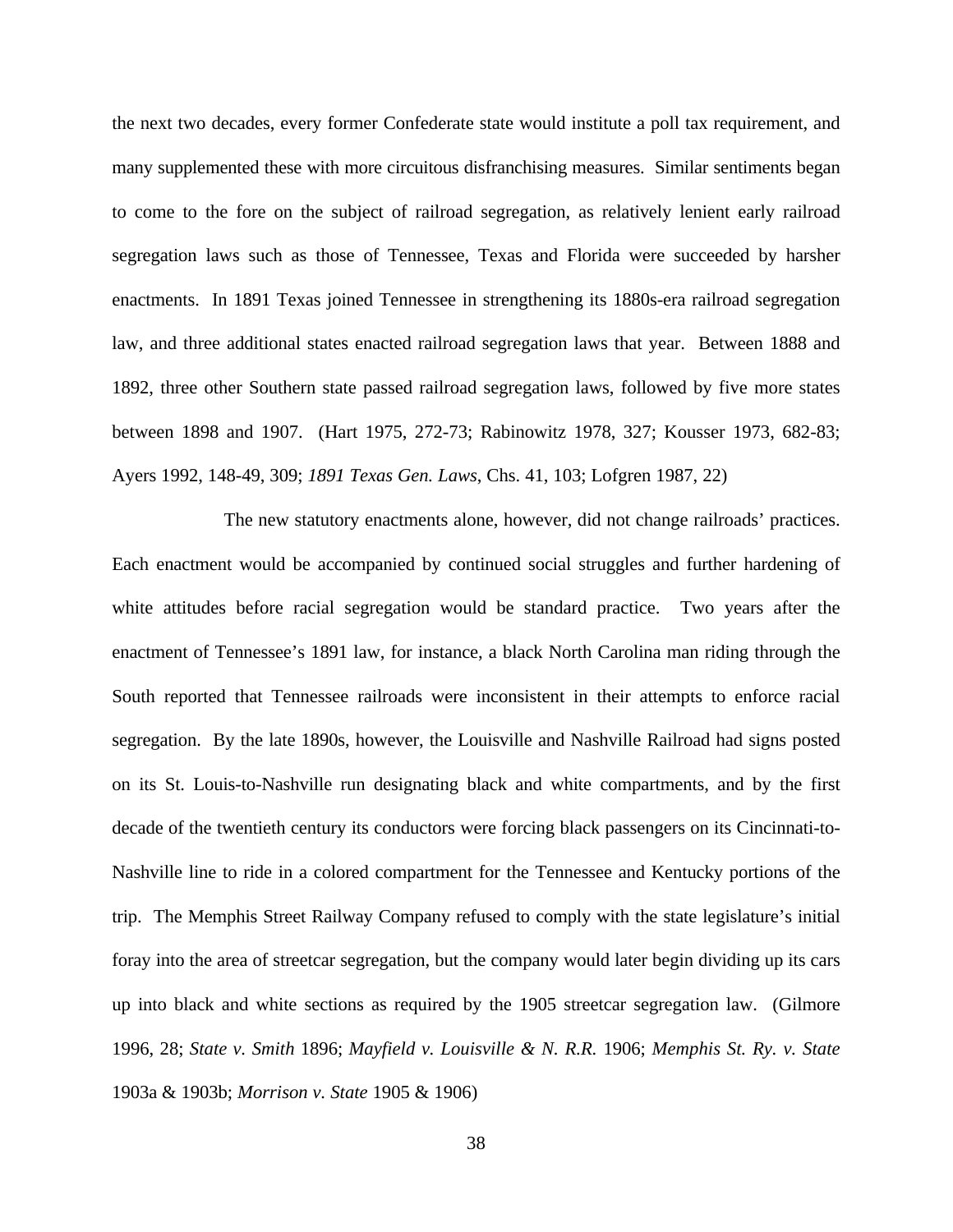the next two decades, every former Confederate state would institute a poll tax requirement, and many supplemented these with more circuitous disfranchising measures. Similar sentiments began to come to the fore on the subject of railroad segregation, as relatively lenient early railroad segregation laws such as those of Tennessee, Texas and Florida were succeeded by harsher enactments. In 1891 Texas joined Tennessee in strengthening its 1880s-era railroad segregation law, and three additional states enacted railroad segregation laws that year. Between 1888 and 1892, three other Southern state passed railroad segregation laws, followed by five more states between 1898 and 1907. (Hart 1975, 272-73; Rabinowitz 1978, 327; Kousser 1973, 682-83; Ayers 1992, 148-49, 309; *1891 Texas Gen. Laws*, Chs. 41, 103; Lofgren 1987, 22)

The new statutory enactments alone, however, did not change railroads' practices. Each enactment would be accompanied by continued social struggles and further hardening of white attitudes before racial segregation would be standard practice. Two years after the enactment of Tennessee's 1891 law, for instance, a black North Carolina man riding through the South reported that Tennessee railroads were inconsistent in their attempts to enforce racial segregation. By the late 1890s, however, the Louisville and Nashville Railroad had signs posted on its St. Louis-to-Nashville run designating black and white compartments, and by the first decade of the twentieth century its conductors were forcing black passengers on its Cincinnati-to-Nashville line to ride in a colored compartment for the Tennessee and Kentucky portions of the trip. The Memphis Street Railway Company refused to comply with the state legislature's initial foray into the area of streetcar segregation, but the company would later begin dividing up its cars up into black and white sections as required by the 1905 streetcar segregation law. (Gilmore 1996, 28; *State v. Smith* 1896; *Mayfield v. Louisville & N. R.R.* 1906; *Memphis St. Ry. v. State* 1903a & 1903b; *Morrison v. State* 1905 & 1906)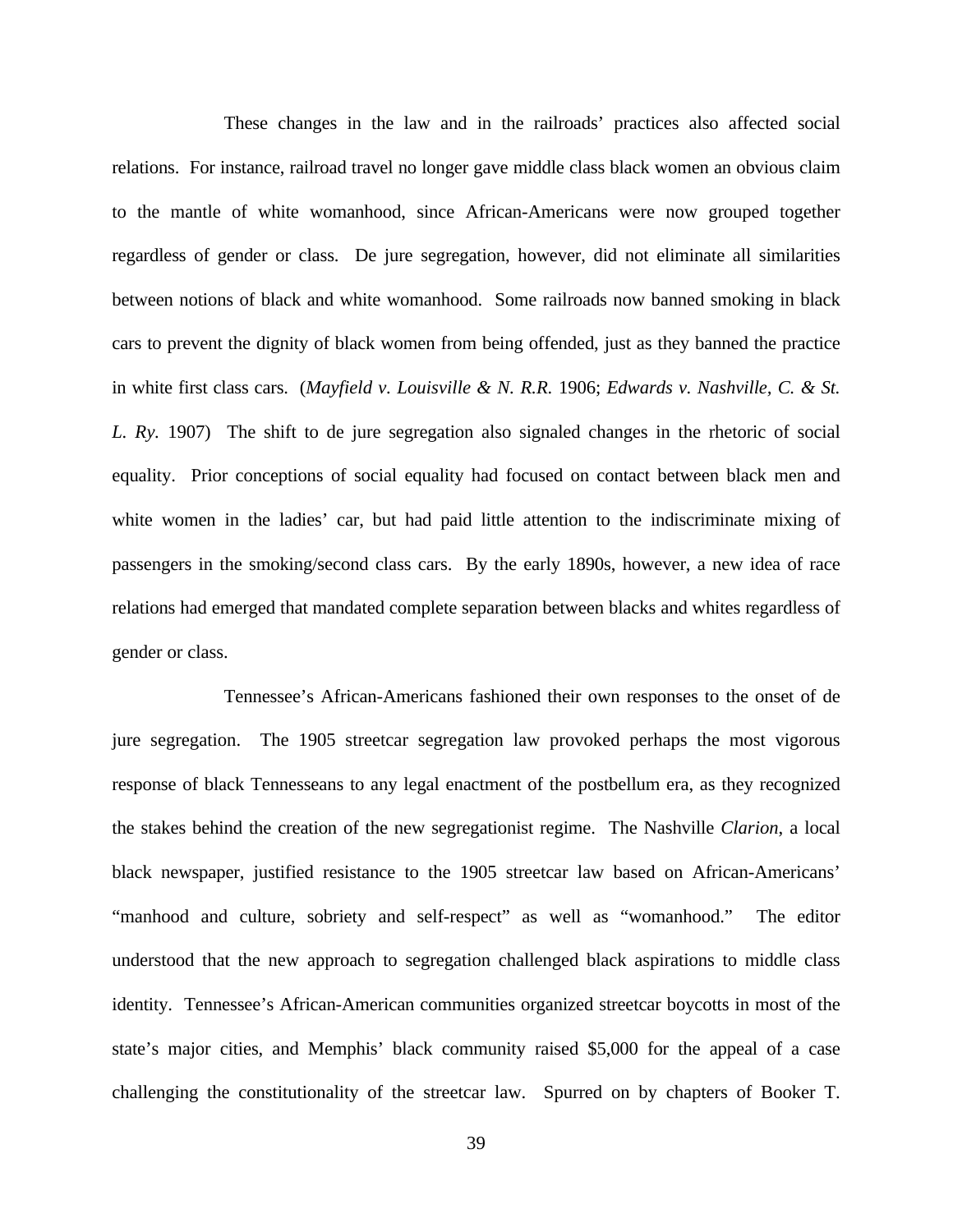These changes in the law and in the railroads' practices also affected social relations. For instance, railroad travel no longer gave middle class black women an obvious claim to the mantle of white womanhood, since African-Americans were now grouped together regardless of gender or class. De jure segregation, however, did not eliminate all similarities between notions of black and white womanhood. Some railroads now banned smoking in black cars to prevent the dignity of black women from being offended, just as they banned the practice in white first class cars. (*Mayfield v. Louisville & N. R.R.* 1906; *Edwards v. Nashville, C. & St. L. Ry.* 1907) The shift to de jure segregation also signaled changes in the rhetoric of social equality. Prior conceptions of social equality had focused on contact between black men and white women in the ladies' car, but had paid little attention to the indiscriminate mixing of passengers in the smoking/second class cars. By the early 1890s, however, a new idea of race relations had emerged that mandated complete separation between blacks and whites regardless of gender or class.

Tennessee's African-Americans fashioned their own responses to the onset of de jure segregation. The 1905 streetcar segregation law provoked perhaps the most vigorous response of black Tennesseans to any legal enactment of the postbellum era, as they recognized the stakes behind the creation of the new segregationist regime. The Nashville *Clarion*, a local black newspaper, justified resistance to the 1905 streetcar law based on African-Americans' "manhood and culture, sobriety and self-respect" as well as "womanhood." The editor understood that the new approach to segregation challenged black aspirations to middle class identity. Tennessee's African-American communities organized streetcar boycotts in most of the state's major cities, and Memphis' black community raised \$5,000 for the appeal of a case challenging the constitutionality of the streetcar law. Spurred on by chapters of Booker T.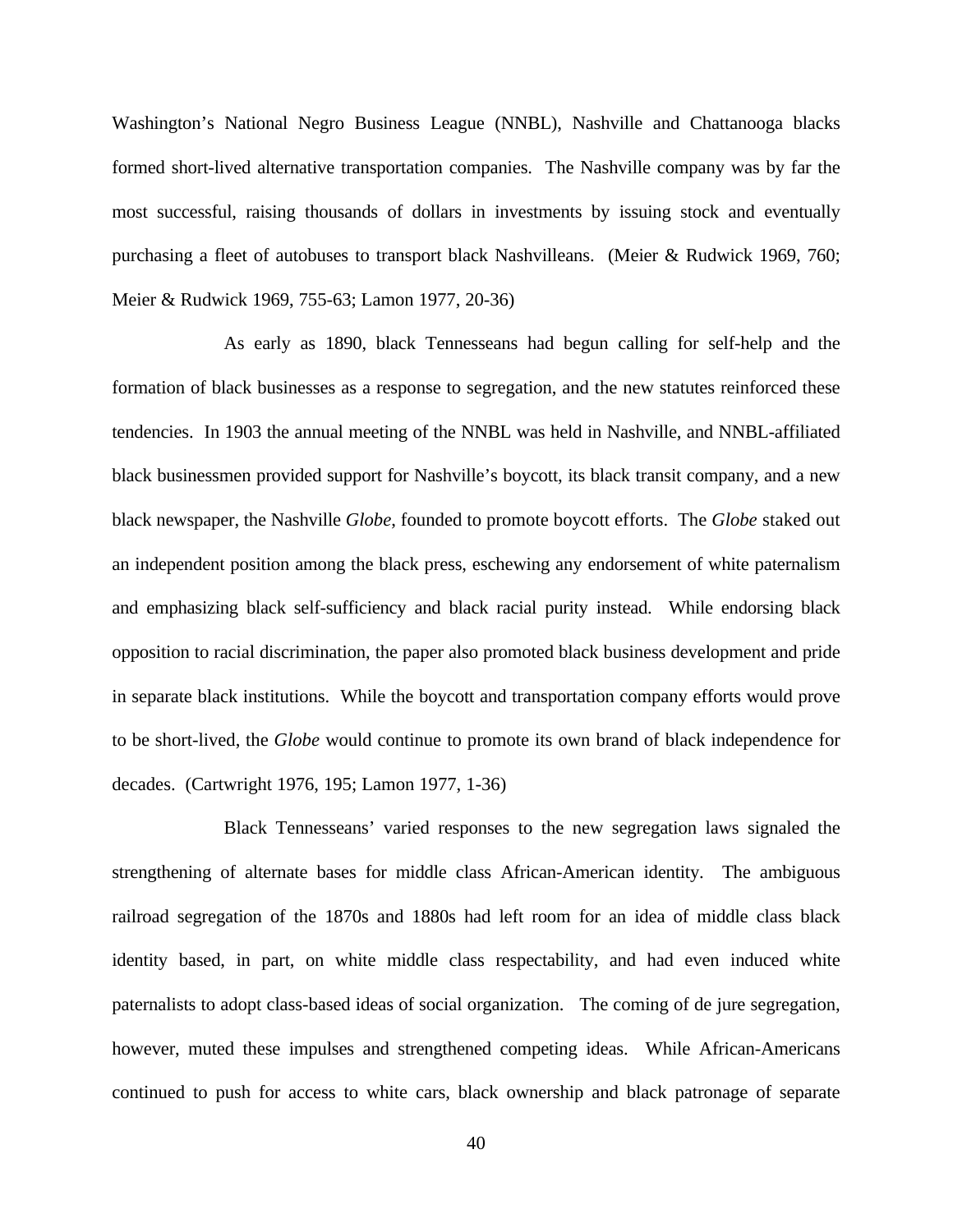Washington's National Negro Business League (NNBL), Nashville and Chattanooga blacks formed short-lived alternative transportation companies. The Nashville company was by far the most successful, raising thousands of dollars in investments by issuing stock and eventually purchasing a fleet of autobuses to transport black Nashvilleans. (Meier & Rudwick 1969, 760; Meier & Rudwick 1969, 755-63; Lamon 1977, 20-36)

As early as 1890, black Tennesseans had begun calling for self-help and the formation of black businesses as a response to segregation, and the new statutes reinforced these tendencies. In 1903 the annual meeting of the NNBL was held in Nashville, and NNBL-affiliated black businessmen provided support for Nashville's boycott, its black transit company, and a new black newspaper, the Nashville *Globe*, founded to promote boycott efforts. The *Globe* staked out an independent position among the black press, eschewing any endorsement of white paternalism and emphasizing black self-sufficiency and black racial purity instead. While endorsing black opposition to racial discrimination, the paper also promoted black business development and pride in separate black institutions. While the boycott and transportation company efforts would prove to be short-lived, the *Globe* would continue to promote its own brand of black independence for decades. (Cartwright 1976, 195; Lamon 1977, 1-36)

Black Tennesseans' varied responses to the new segregation laws signaled the strengthening of alternate bases for middle class African-American identity. The ambiguous railroad segregation of the 1870s and 1880s had left room for an idea of middle class black identity based, in part, on white middle class respectability, and had even induced white paternalists to adopt class-based ideas of social organization. The coming of de jure segregation, however, muted these impulses and strengthened competing ideas. While African-Americans continued to push for access to white cars, black ownership and black patronage of separate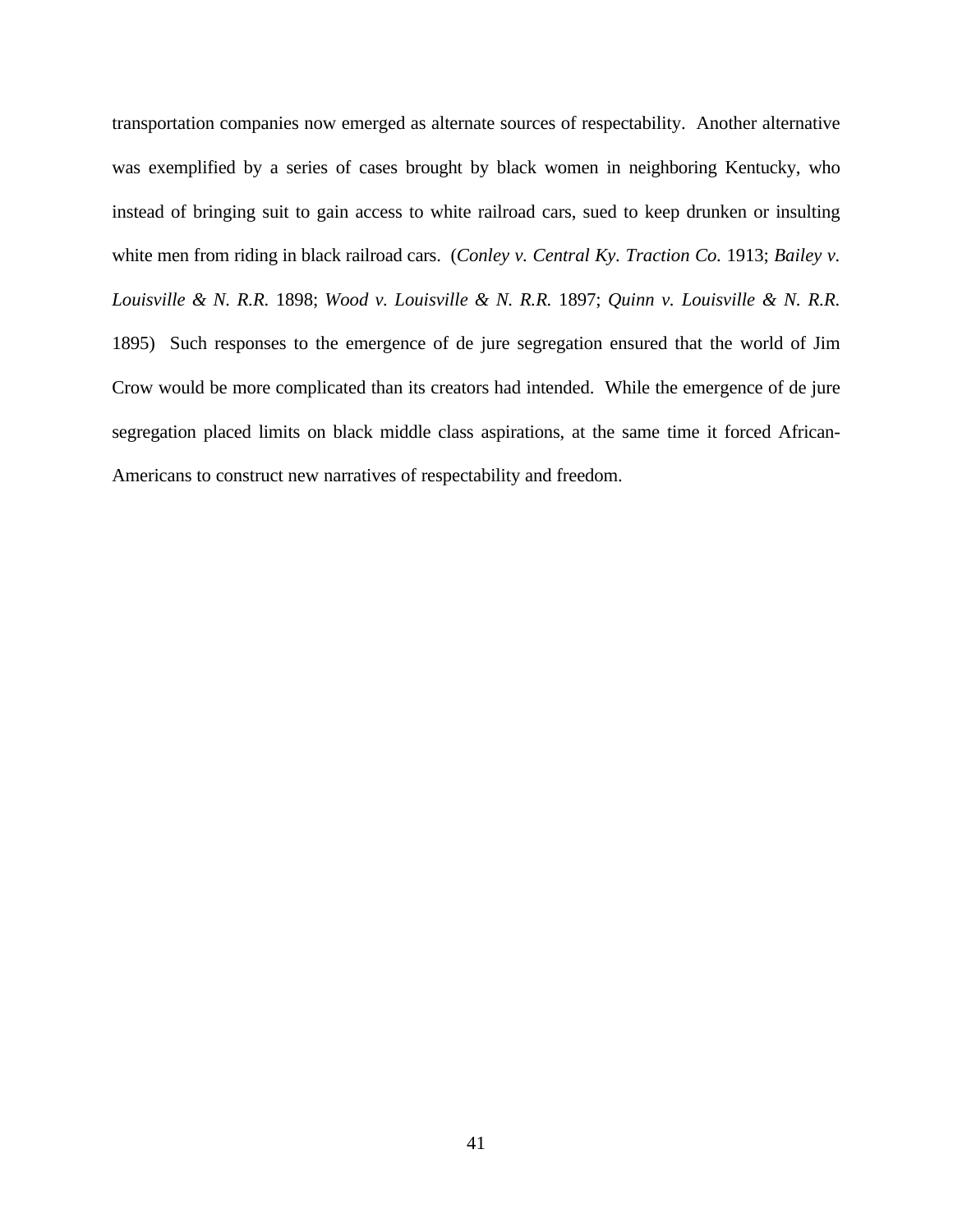transportation companies now emerged as alternate sources of respectability. Another alternative was exemplified by a series of cases brought by black women in neighboring Kentucky, who instead of bringing suit to gain access to white railroad cars, sued to keep drunken or insulting white men from riding in black railroad cars. (*Conley v. Central Ky. Traction Co.* 1913; *Bailey v. Louisville & N. R.R.* 1898; *Wood v. Louisville & N. R.R.* 1897; *Quinn v. Louisville & N. R.R.* 1895) Such responses to the emergence of de jure segregation ensured that the world of Jim Crow would be more complicated than its creators had intended. While the emergence of de jure segregation placed limits on black middle class aspirations, at the same time it forced African-Americans to construct new narratives of respectability and freedom.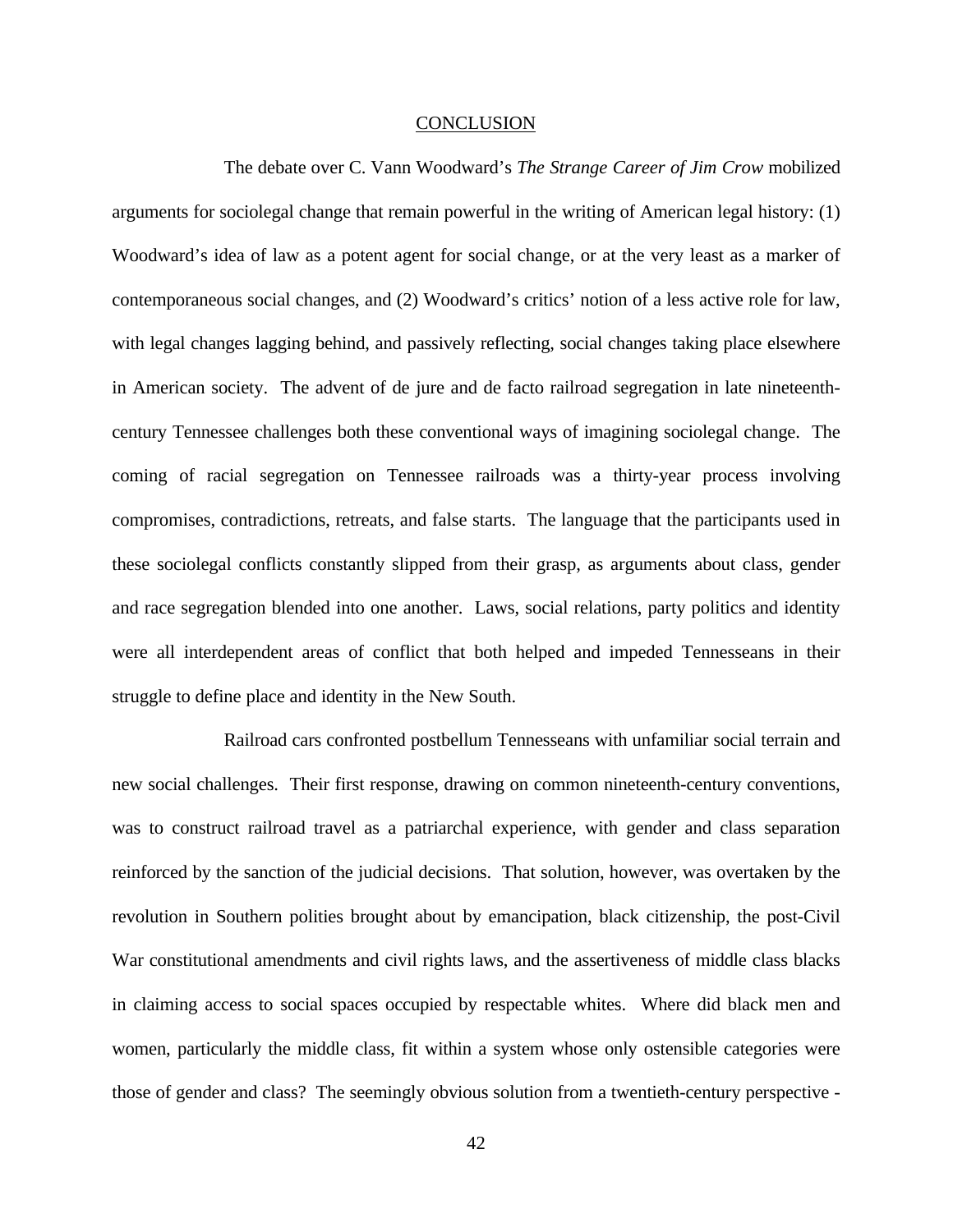#### **CONCLUSION**

The debate over C. Vann Woodward's *The Strange Career of Jim Crow* mobilized arguments for sociolegal change that remain powerful in the writing of American legal history: (1) Woodward's idea of law as a potent agent for social change, or at the very least as a marker of contemporaneous social changes, and (2) Woodward's critics' notion of a less active role for law, with legal changes lagging behind, and passively reflecting, social changes taking place elsewhere in American society. The advent of de jure and de facto railroad segregation in late nineteenthcentury Tennessee challenges both these conventional ways of imagining sociolegal change. The coming of racial segregation on Tennessee railroads was a thirty-year process involving compromises, contradictions, retreats, and false starts. The language that the participants used in these sociolegal conflicts constantly slipped from their grasp, as arguments about class, gender and race segregation blended into one another. Laws, social relations, party politics and identity were all interdependent areas of conflict that both helped and impeded Tennesseans in their struggle to define place and identity in the New South.

Railroad cars confronted postbellum Tennesseans with unfamiliar social terrain and new social challenges. Their first response, drawing on common nineteenth-century conventions, was to construct railroad travel as a patriarchal experience, with gender and class separation reinforced by the sanction of the judicial decisions. That solution, however, was overtaken by the revolution in Southern polities brought about by emancipation, black citizenship, the post-Civil War constitutional amendments and civil rights laws, and the assertiveness of middle class blacks in claiming access to social spaces occupied by respectable whites. Where did black men and women, particularly the middle class, fit within a system whose only ostensible categories were those of gender and class? The seemingly obvious solution from a twentieth-century perspective -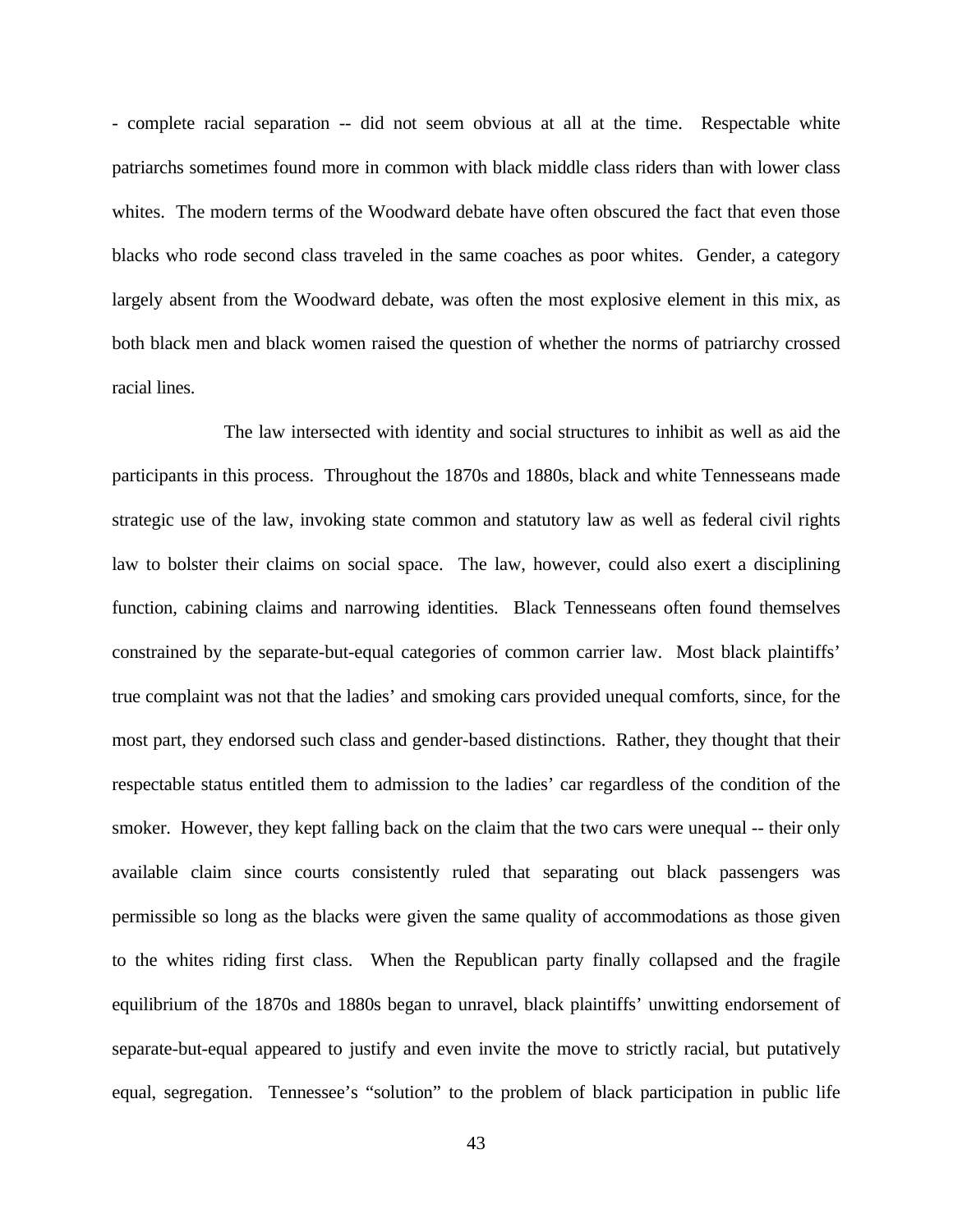- complete racial separation -- did not seem obvious at all at the time. Respectable white patriarchs sometimes found more in common with black middle class riders than with lower class whites. The modern terms of the Woodward debate have often obscured the fact that even those blacks who rode second class traveled in the same coaches as poor whites. Gender, a category largely absent from the Woodward debate, was often the most explosive element in this mix, as both black men and black women raised the question of whether the norms of patriarchy crossed racial lines.

The law intersected with identity and social structures to inhibit as well as aid the participants in this process. Throughout the 1870s and 1880s, black and white Tennesseans made strategic use of the law, invoking state common and statutory law as well as federal civil rights law to bolster their claims on social space. The law, however, could also exert a disciplining function, cabining claims and narrowing identities. Black Tennesseans often found themselves constrained by the separate-but-equal categories of common carrier law. Most black plaintiffs' true complaint was not that the ladies' and smoking cars provided unequal comforts, since, for the most part, they endorsed such class and gender-based distinctions. Rather, they thought that their respectable status entitled them to admission to the ladies' car regardless of the condition of the smoker. However, they kept falling back on the claim that the two cars were unequal -- their only available claim since courts consistently ruled that separating out black passengers was permissible so long as the blacks were given the same quality of accommodations as those given to the whites riding first class. When the Republican party finally collapsed and the fragile equilibrium of the 1870s and 1880s began to unravel, black plaintiffs' unwitting endorsement of separate-but-equal appeared to justify and even invite the move to strictly racial, but putatively equal, segregation. Tennessee's "solution" to the problem of black participation in public life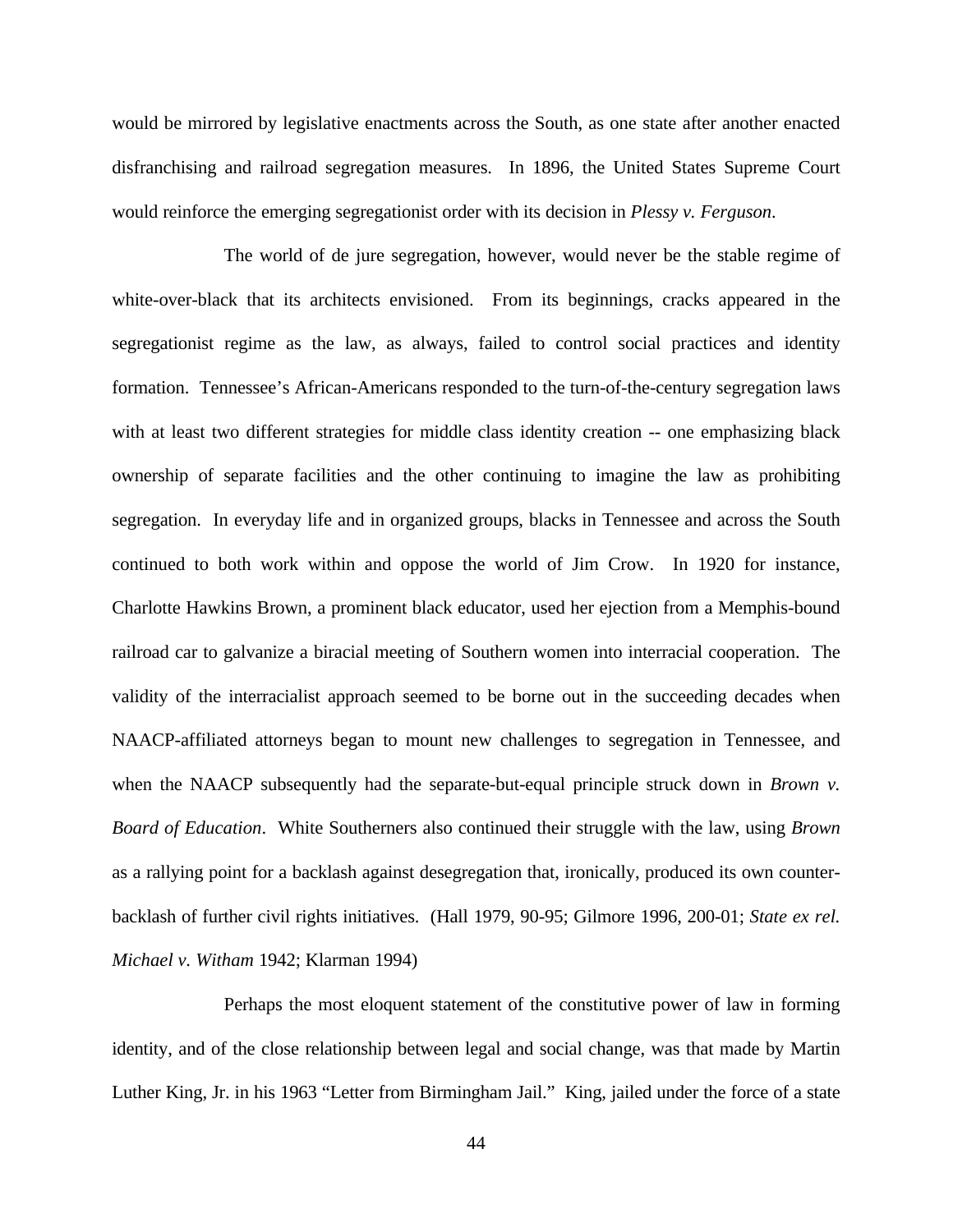would be mirrored by legislative enactments across the South, as one state after another enacted disfranchising and railroad segregation measures. In 1896, the United States Supreme Court would reinforce the emerging segregationist order with its decision in *Plessy v. Ferguson*.

The world of de jure segregation, however, would never be the stable regime of white-over-black that its architects envisioned. From its beginnings, cracks appeared in the segregationist regime as the law, as always, failed to control social practices and identity formation. Tennessee's African-Americans responded to the turn-of-the-century segregation laws with at least two different strategies for middle class identity creation -- one emphasizing black ownership of separate facilities and the other continuing to imagine the law as prohibiting segregation. In everyday life and in organized groups, blacks in Tennessee and across the South continued to both work within and oppose the world of Jim Crow. In 1920 for instance, Charlotte Hawkins Brown, a prominent black educator, used her ejection from a Memphis-bound railroad car to galvanize a biracial meeting of Southern women into interracial cooperation. The validity of the interracialist approach seemed to be borne out in the succeeding decades when NAACP-affiliated attorneys began to mount new challenges to segregation in Tennessee, and when the NAACP subsequently had the separate-but-equal principle struck down in *Brown v. Board of Education*. White Southerners also continued their struggle with the law, using *Brown* as a rallying point for a backlash against desegregation that, ironically, produced its own counterbacklash of further civil rights initiatives. (Hall 1979, 90-95; Gilmore 1996, 200-01; *State ex rel. Michael v. Witham* 1942; Klarman 1994)

Perhaps the most eloquent statement of the constitutive power of law in forming identity, and of the close relationship between legal and social change, was that made by Martin Luther King, Jr. in his 1963 "Letter from Birmingham Jail." King, jailed under the force of a state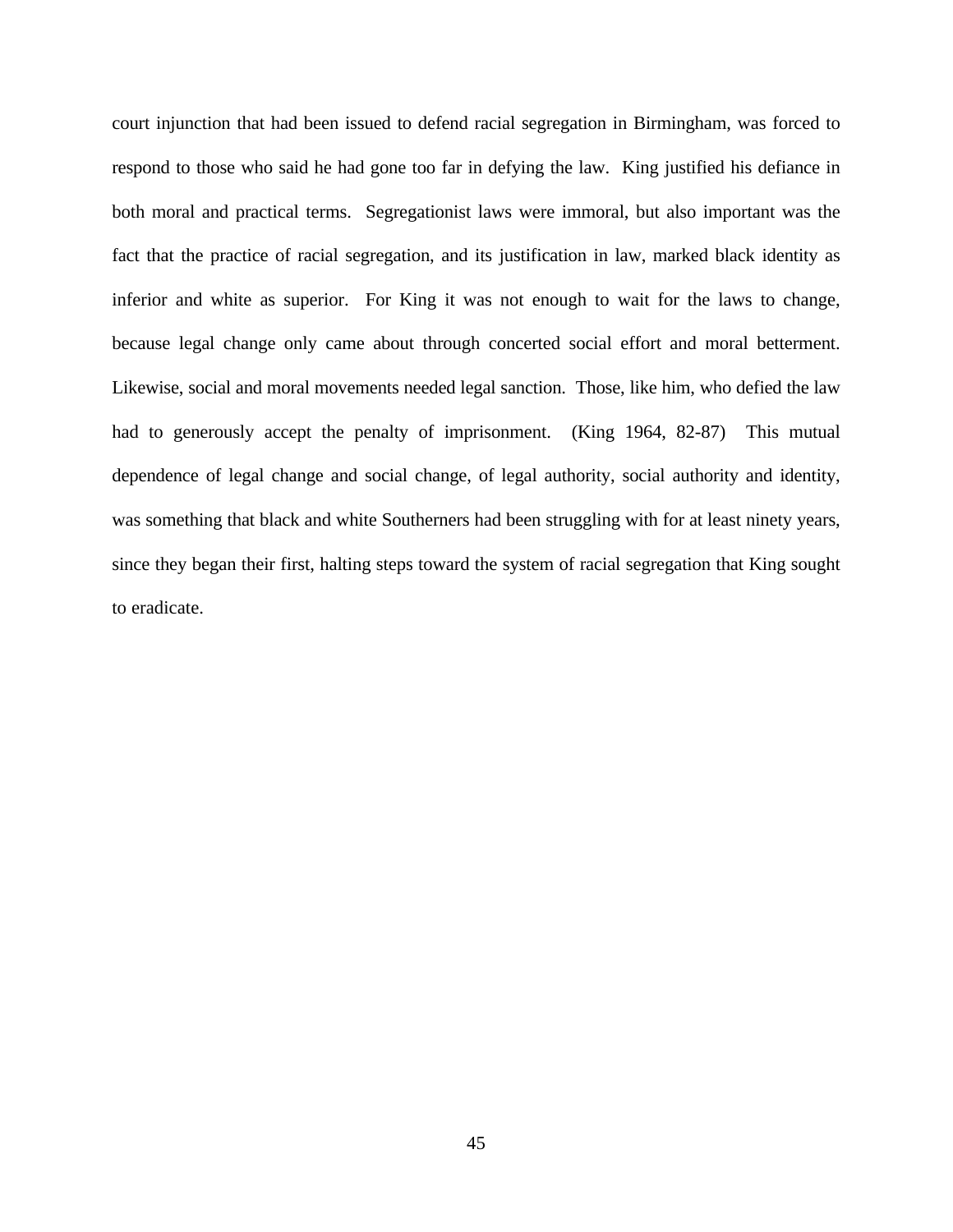court injunction that had been issued to defend racial segregation in Birmingham, was forced to respond to those who said he had gone too far in defying the law. King justified his defiance in both moral and practical terms. Segregationist laws were immoral, but also important was the fact that the practice of racial segregation, and its justification in law, marked black identity as inferior and white as superior. For King it was not enough to wait for the laws to change, because legal change only came about through concerted social effort and moral betterment. Likewise, social and moral movements needed legal sanction. Those, like him, who defied the law had to generously accept the penalty of imprisonment. (King 1964, 82-87) This mutual dependence of legal change and social change, of legal authority, social authority and identity, was something that black and white Southerners had been struggling with for at least ninety years, since they began their first, halting steps toward the system of racial segregation that King sought to eradicate.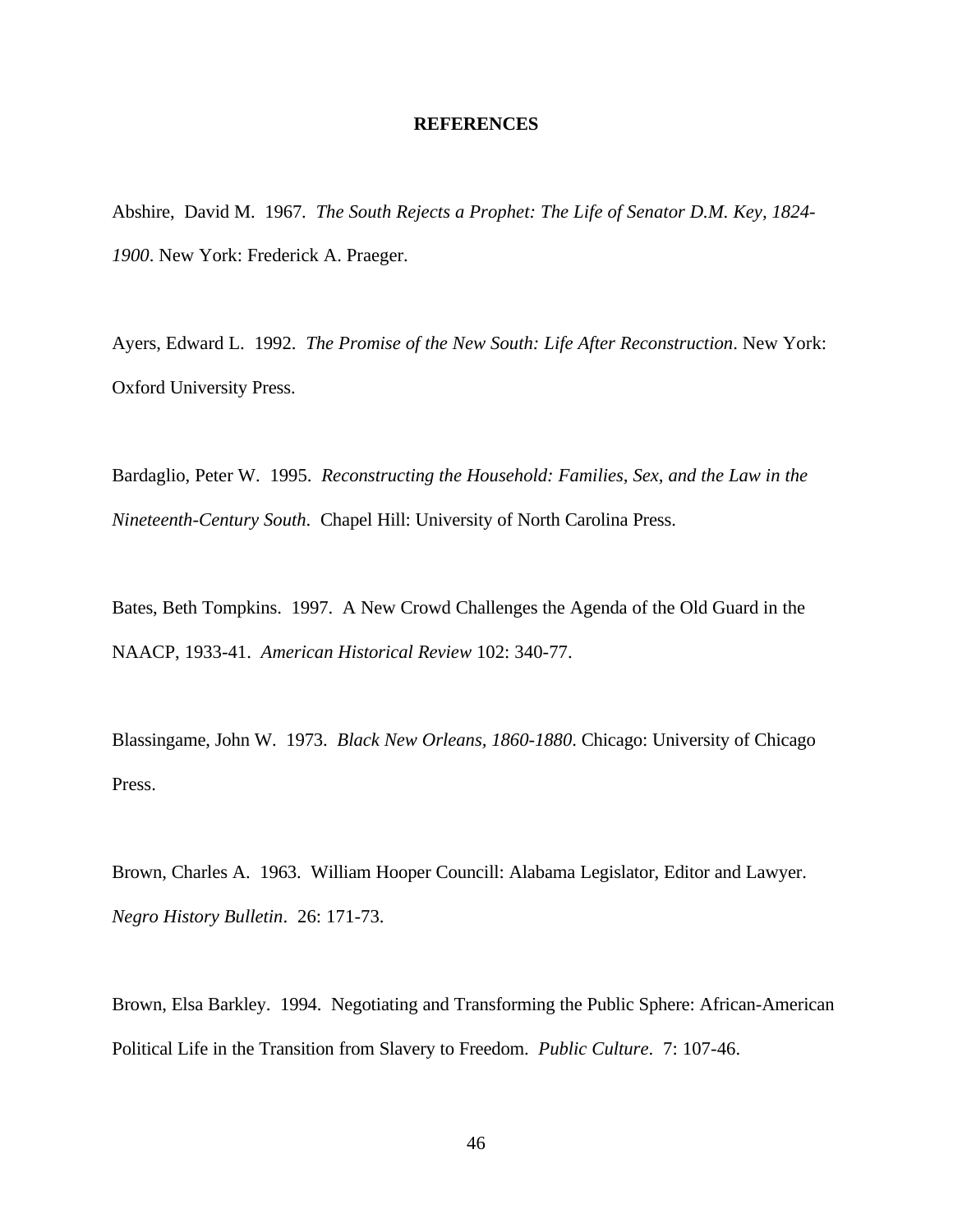#### **REFERENCES**

Abshire, David M. 1967. *The South Rejects a Prophet: The Life of Senator D.M. Key, 1824- 1900*. New York: Frederick A. Praeger.

Ayers, Edward L. 1992. *The Promise of the New South: Life After Reconstruction*. New York: Oxford University Press.

Bardaglio, Peter W. 1995. *Reconstructing the Household: Families, Sex, and the Law in the Nineteenth-Century South*. Chapel Hill: University of North Carolina Press.

Bates, Beth Tompkins. 1997. A New Crowd Challenges the Agenda of the Old Guard in the NAACP, 1933-41. *American Historical Review* 102: 340-77.

Blassingame, John W. 1973. *Black New Orleans, 1860-1880*. Chicago: University of Chicago Press.

Brown, Charles A. 1963. William Hooper Councill: Alabama Legislator, Editor and Lawyer. *Negro History Bulletin*. 26: 171-73.

Brown, Elsa Barkley. 1994. Negotiating and Transforming the Public Sphere: African-American Political Life in the Transition from Slavery to Freedom. *Public Culture*. 7: 107-46.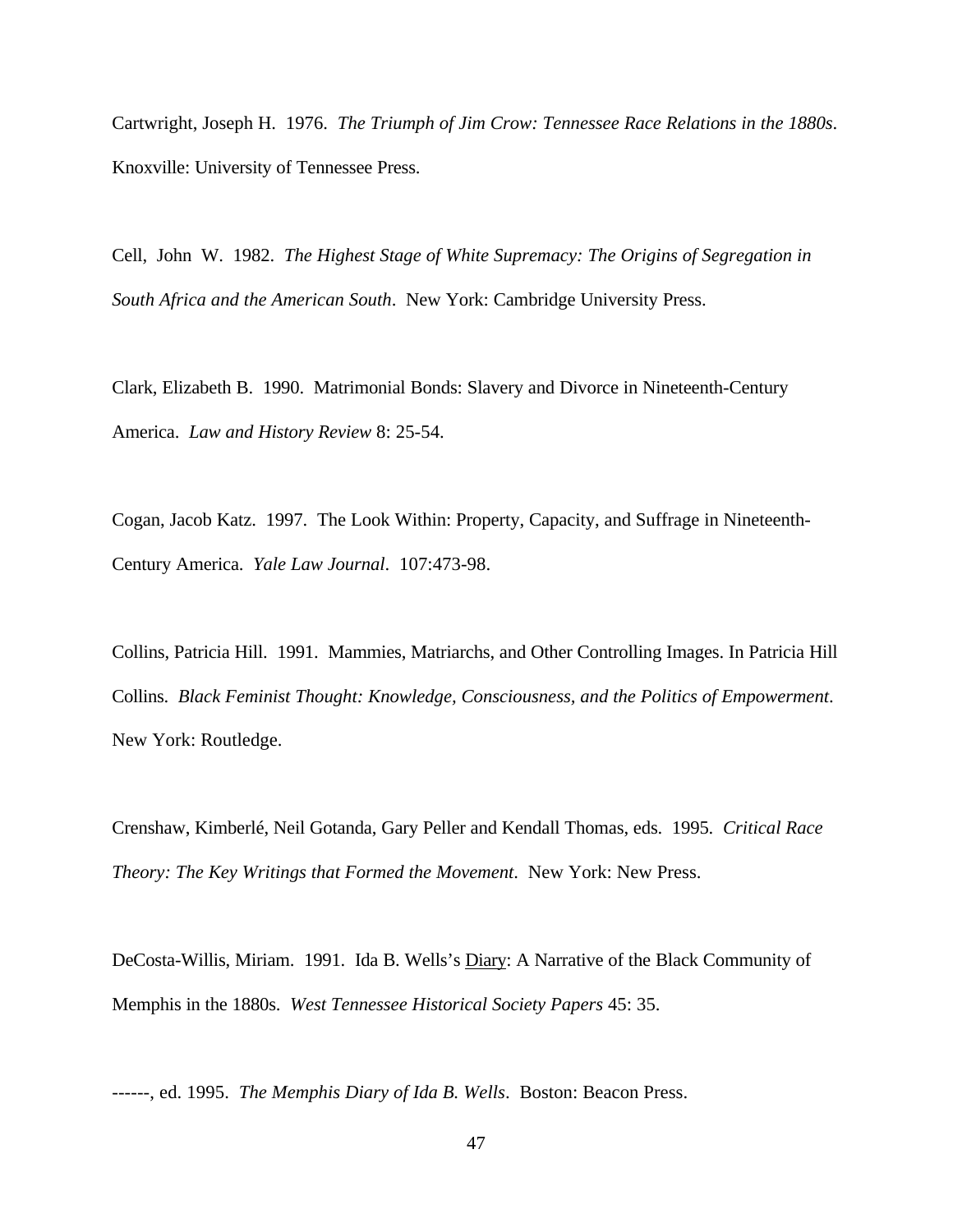Cartwright, Joseph H. 1976. *The Triumph of Jim Crow: Tennessee Race Relations in the 1880s*. Knoxville: University of Tennessee Press.

Cell, John W. 1982. *The Highest Stage of White Supremacy: The Origins of Segregation in South Africa and the American South*. New York: Cambridge University Press.

Clark, Elizabeth B. 1990. Matrimonial Bonds: Slavery and Divorce in Nineteenth-Century America. *Law and History Review* 8: 25-54.

Cogan, Jacob Katz. 1997. The Look Within: Property, Capacity, and Suffrage in Nineteenth-Century America. *Yale Law Journal*. 107:473-98.

Collins, Patricia Hill. 1991. Mammies, Matriarchs, and Other Controlling Images. In Patricia Hill Collins. *Black Feminist Thought: Knowledge, Consciousness, and the Politics of Empowerment*. New York: Routledge.

Crenshaw, Kimberlé, Neil Gotanda, Gary Peller and Kendall Thomas, eds. 1995. *Critical Race Theory: The Key Writings that Formed the Movement*. New York: New Press.

DeCosta-Willis, Miriam. 1991. Ida B. Wells's Diary: A Narrative of the Black Community of Memphis in the 1880s. *West Tennessee Historical Society Papers* 45: 35.

------, ed. 1995. *The Memphis Diary of Ida B. Wells*. Boston: Beacon Press.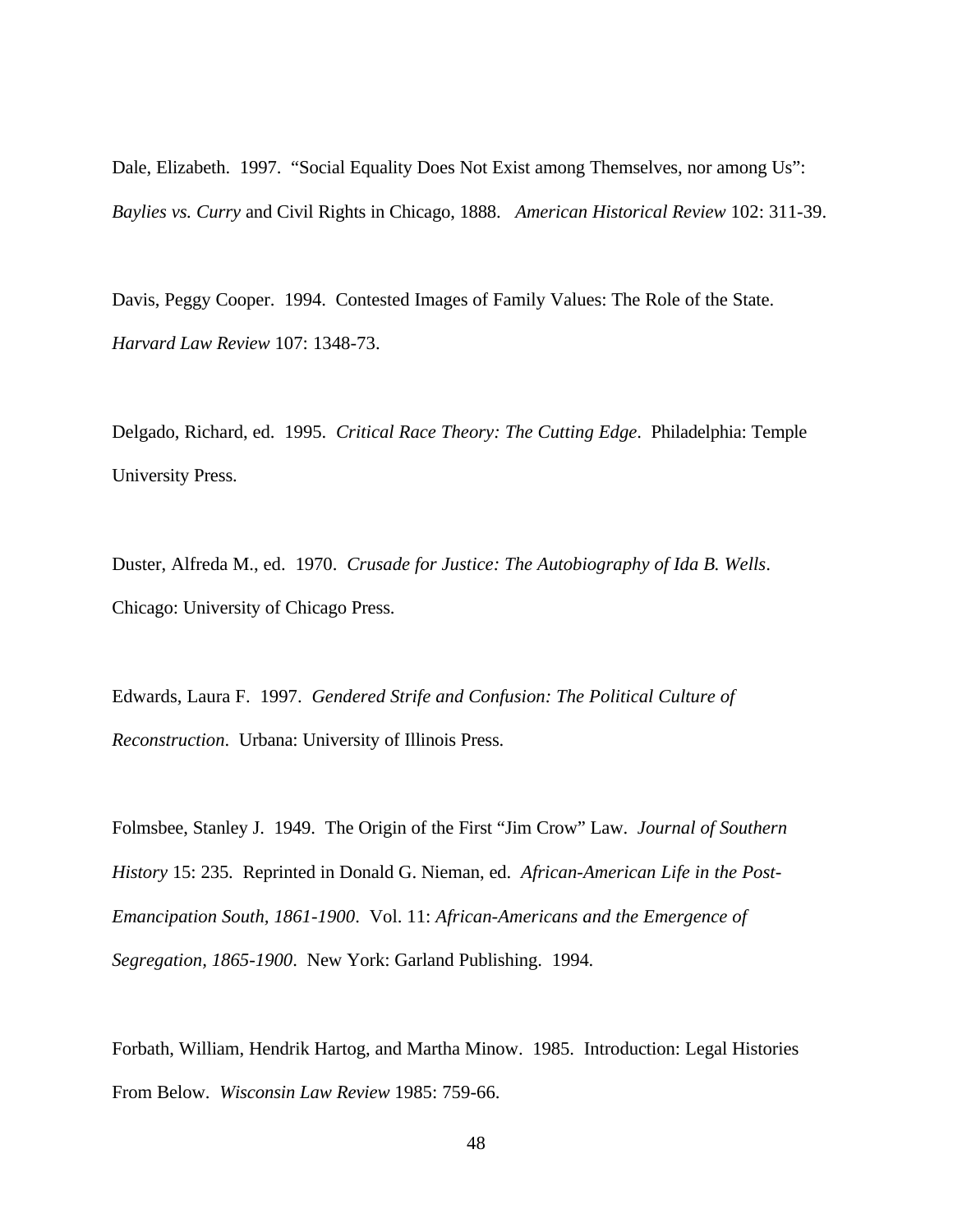Dale, Elizabeth. 1997. "Social Equality Does Not Exist among Themselves, nor among Us": *Baylies vs. Curry* and Civil Rights in Chicago, 1888. *American Historical Review* 102: 311-39.

Davis, Peggy Cooper. 1994. Contested Images of Family Values: The Role of the State. *Harvard Law Review* 107: 1348-73.

Delgado, Richard, ed. 1995. *Critical Race Theory: The Cutting Edge*. Philadelphia: Temple University Press.

Duster, Alfreda M., ed. 1970. *Crusade for Justice: The Autobiography of Ida B. Wells*. Chicago: University of Chicago Press.

Edwards, Laura F. 1997. *Gendered Strife and Confusion: The Political Culture of Reconstruction*. Urbana: University of Illinois Press.

Folmsbee, Stanley J. 1949. The Origin of the First "Jim Crow" Law. *Journal of Southern History* 15: 235. Reprinted in Donald G. Nieman, ed. *African-American Life in the Post-Emancipation South, 1861-1900*. Vol. 11: *African-Americans and the Emergence of Segregation, 1865-1900*. New York: Garland Publishing. 1994.

Forbath, William, Hendrik Hartog, and Martha Minow. 1985. Introduction: Legal Histories From Below. *Wisconsin Law Review* 1985: 759-66.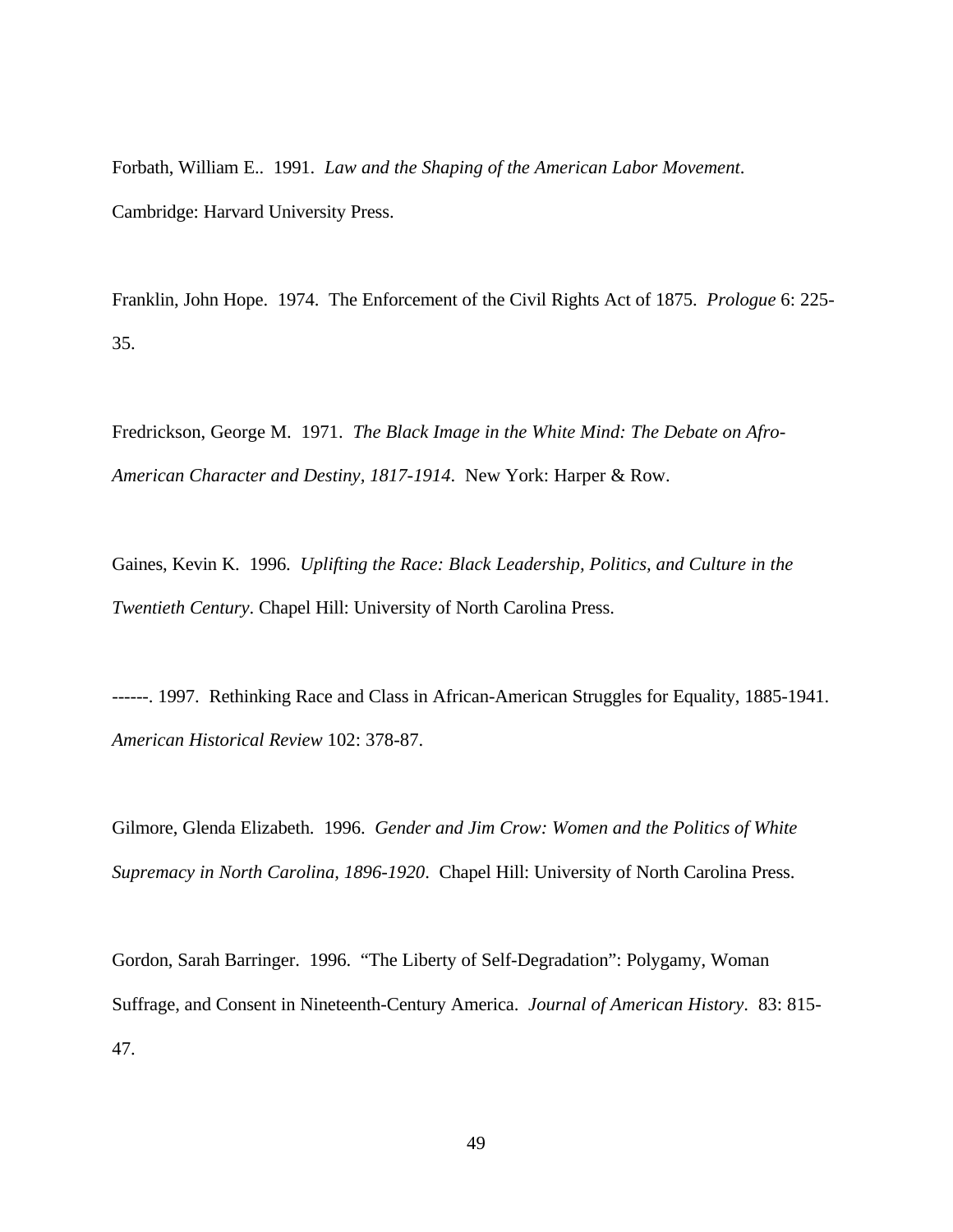Forbath, William E.. 1991. *Law and the Shaping of the American Labor Movement*. Cambridge: Harvard University Press.

Franklin, John Hope. 1974. The Enforcement of the Civil Rights Act of 1875. *Prologue* 6: 225- 35.

Fredrickson, George M. 1971. *The Black Image in the White Mind: The Debate on Afro-American Character and Destiny, 1817-1914*. New York: Harper & Row.

Gaines, Kevin K. 1996. *Uplifting the Race: Black Leadership, Politics, and Culture in the Twentieth Century*. Chapel Hill: University of North Carolina Press.

------. 1997. Rethinking Race and Class in African-American Struggles for Equality, 1885-1941. *American Historical Review* 102: 378-87.

Gilmore, Glenda Elizabeth. 1996. *Gender and Jim Crow: Women and the Politics of White Supremacy in North Carolina, 1896-1920*. Chapel Hill: University of North Carolina Press.

Gordon, Sarah Barringer. 1996. "The Liberty of Self-Degradation": Polygamy, Woman Suffrage, and Consent in Nineteenth-Century America. *Journal of American History*. 83: 815- 47.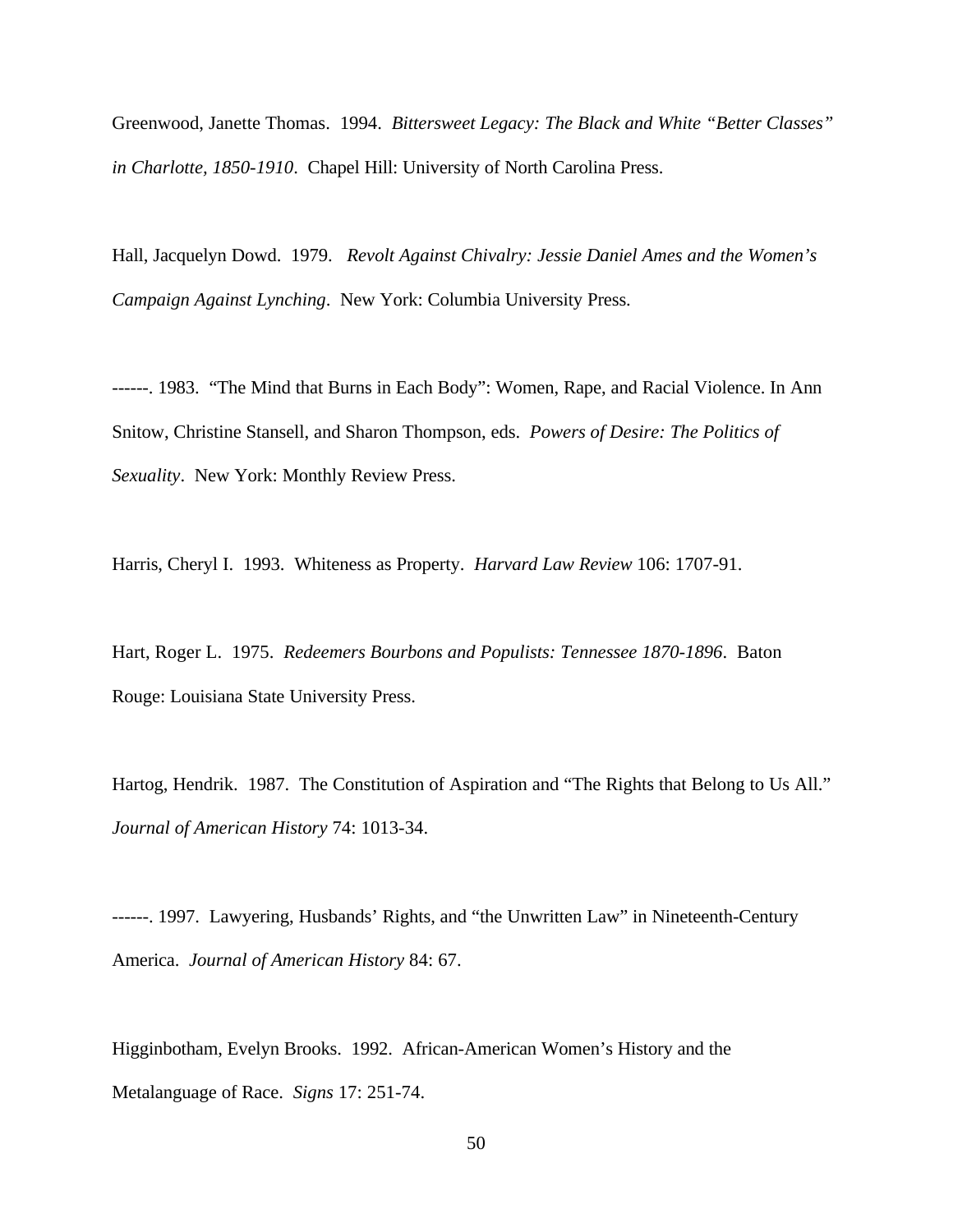Greenwood, Janette Thomas. 1994. *Bittersweet Legacy: The Black and White "Better Classes" in Charlotte, 1850-1910*. Chapel Hill: University of North Carolina Press.

Hall, Jacquelyn Dowd. 1979. *Revolt Against Chivalry: Jessie Daniel Ames and the Women's Campaign Against Lynching*. New York: Columbia University Press.

------. 1983. "The Mind that Burns in Each Body": Women, Rape, and Racial Violence. In Ann Snitow, Christine Stansell, and Sharon Thompson, eds. *Powers of Desire: The Politics of Sexuality*. New York: Monthly Review Press.

Harris, Cheryl I. 1993. Whiteness as Property. *Harvard Law Review* 106: 1707-91.

Hart, Roger L. 1975. *Redeemers Bourbons and Populists: Tennessee 1870-1896*. Baton Rouge: Louisiana State University Press.

Hartog, Hendrik. 1987. The Constitution of Aspiration and "The Rights that Belong to Us All." *Journal of American History* 74: 1013-34.

------. 1997. Lawyering, Husbands' Rights, and "the Unwritten Law" in Nineteenth-Century America. *Journal of American History* 84: 67.

Higginbotham, Evelyn Brooks. 1992. African-American Women's History and the Metalanguage of Race. *Signs* 17: 251-74.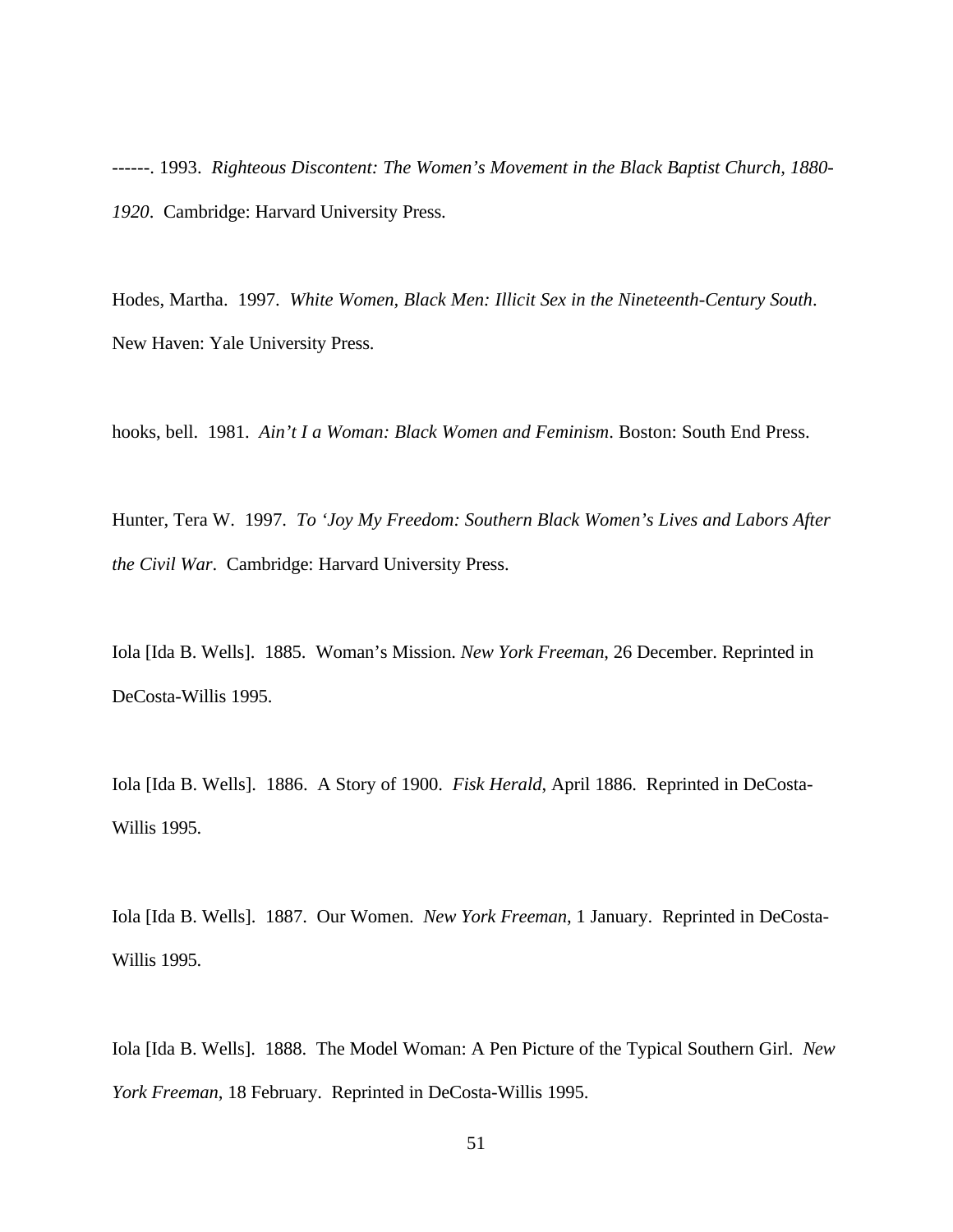------. 1993. *Righteous Discontent: The Women's Movement in the Black Baptist Church, 1880- 1920*. Cambridge: Harvard University Press.

Hodes, Martha. 1997. *White Women, Black Men: Illicit Sex in the Nineteenth-Century South*. New Haven: Yale University Press.

hooks, bell. 1981. *Ain't I a Woman: Black Women and Feminism*. Boston: South End Press.

Hunter, Tera W. 1997. *To 'Joy My Freedom: Southern Black Women's Lives and Labors After the Civil War*. Cambridge: Harvard University Press.

Iola [Ida B. Wells]. 1885. Woman's Mission. *New York Freeman*, 26 December. Reprinted in DeCosta-Willis 1995.

Iola [Ida B. Wells]. 1886. A Story of 1900. *Fisk Herald*, April 1886. Reprinted in DeCosta-Willis 1995.

Iola [Ida B. Wells]. 1887. Our Women. *New York Freeman*, 1 January. Reprinted in DeCosta-Willis 1995.

Iola [Ida B. Wells]. 1888. The Model Woman: A Pen Picture of the Typical Southern Girl. *New York Freeman*, 18 February. Reprinted in DeCosta-Willis 1995.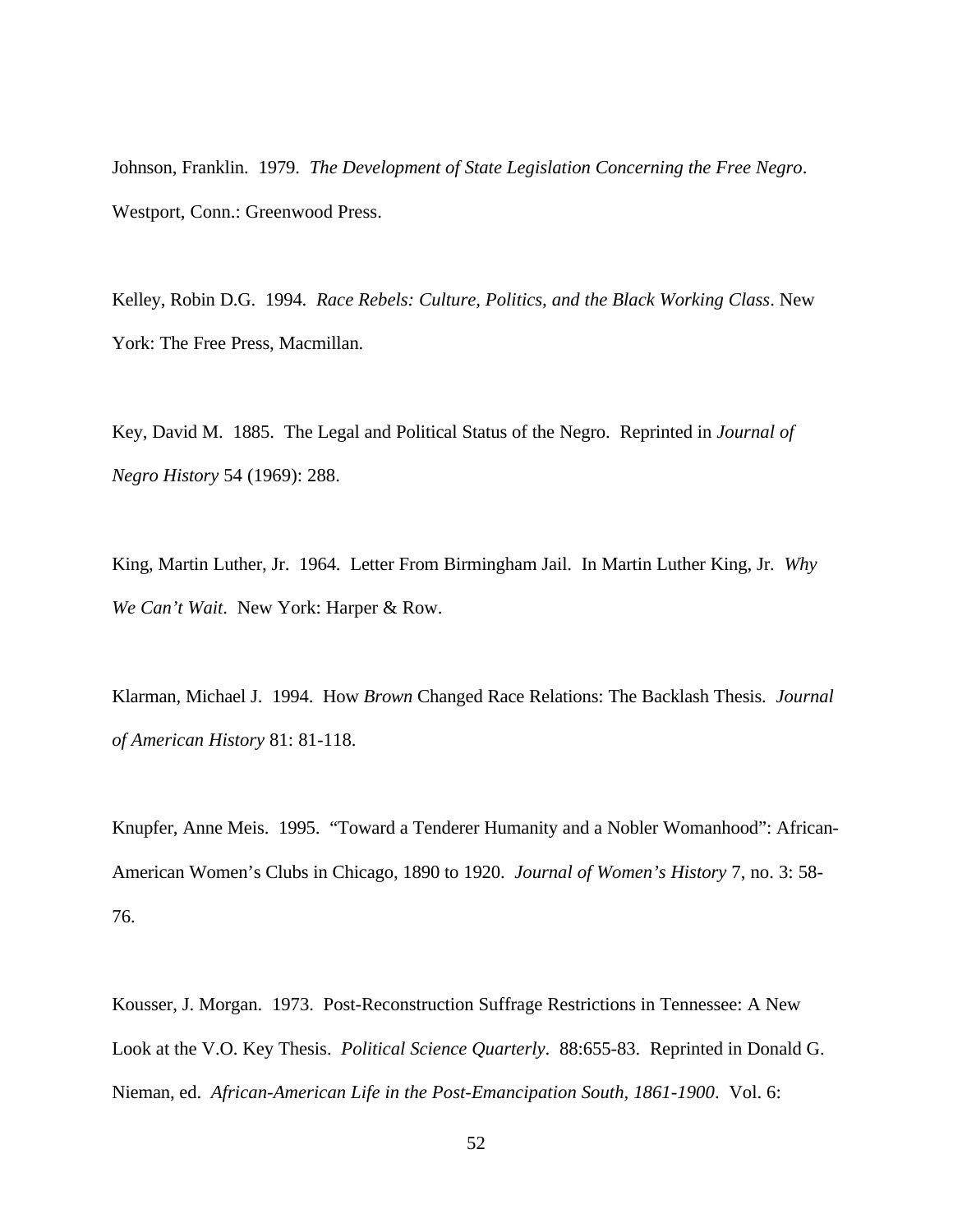Johnson, Franklin. 1979. *The Development of State Legislation Concerning the Free Negro*. Westport, Conn.: Greenwood Press.

Kelley, Robin D.G. 1994. *Race Rebels: Culture, Politics, and the Black Working Class*. New York: The Free Press, Macmillan.

Key, David M. 1885. The Legal and Political Status of the Negro. Reprinted in *Journal of Negro History* 54 (1969): 288.

King, Martin Luther, Jr. 1964. Letter From Birmingham Jail. In Martin Luther King, Jr. *Why We Can't Wait*. New York: Harper & Row.

Klarman, Michael J. 1994. How *Brown* Changed Race Relations: The Backlash Thesis. *Journal of American History* 81: 81-118.

Knupfer, Anne Meis. 1995. "Toward a Tenderer Humanity and a Nobler Womanhood": African-American Women's Clubs in Chicago, 1890 to 1920. *Journal of Women's History* 7, no. 3: 58- 76.

Kousser, J. Morgan. 1973. Post-Reconstruction Suffrage Restrictions in Tennessee: A New Look at the V.O. Key Thesis. *Political Science Quarterly*. 88:655-83. Reprinted in Donald G. Nieman, ed. *African-American Life in the Post-Emancipation South, 1861-1900*. Vol. 6: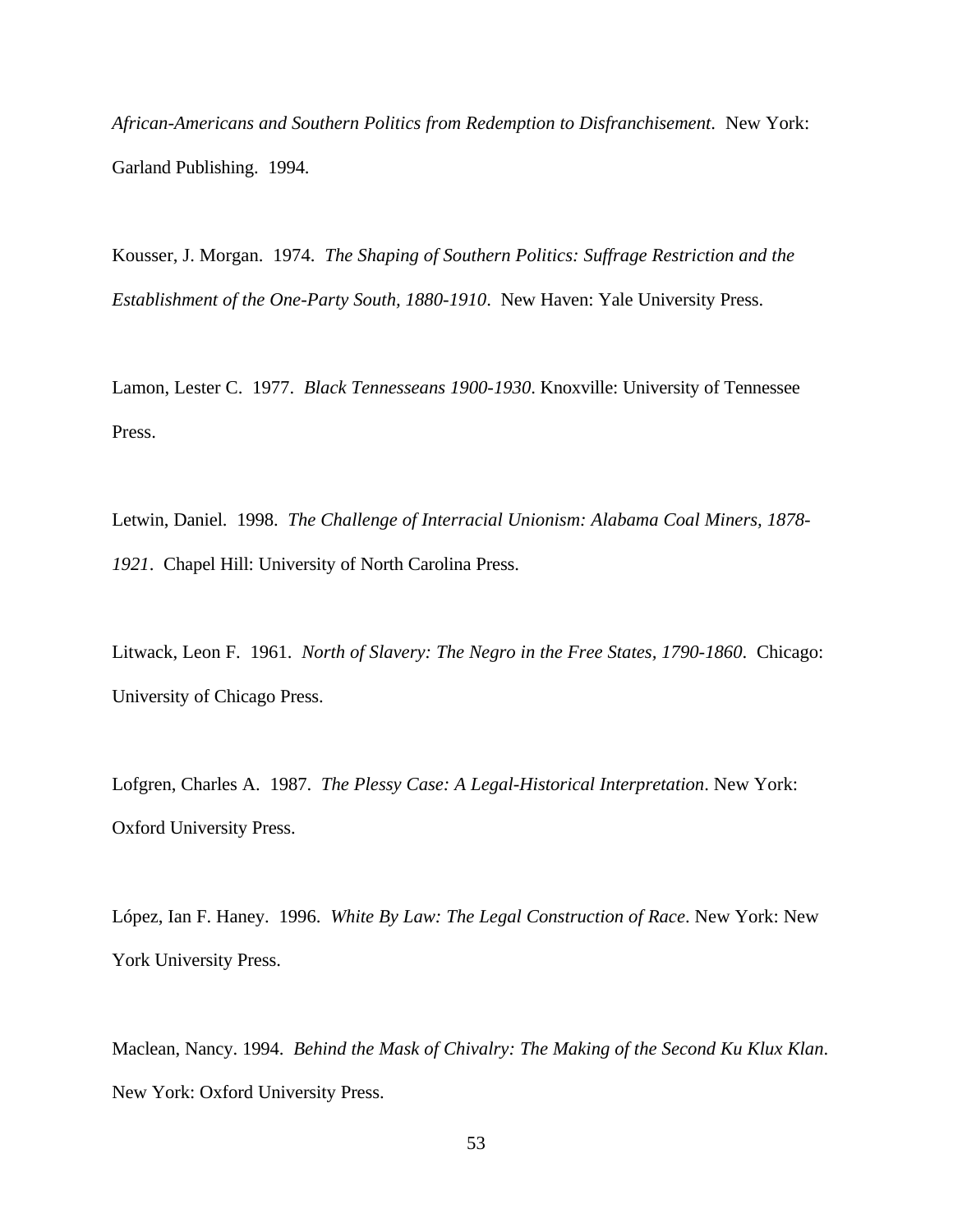*African-Americans and Southern Politics from Redemption to Disfranchisement*. New York: Garland Publishing. 1994.

Kousser, J. Morgan. 1974. *The Shaping of Southern Politics: Suffrage Restriction and the Establishment of the One-Party South, 1880-1910*. New Haven: Yale University Press.

Lamon, Lester C. 1977. *Black Tennesseans 1900-1930*. Knoxville: University of Tennessee Press.

Letwin, Daniel. 1998. *The Challenge of Interracial Unionism: Alabama Coal Miners, 1878- 1921*. Chapel Hill: University of North Carolina Press.

Litwack, Leon F. 1961. *North of Slavery: The Negro in the Free States, 1790-1860*. Chicago: University of Chicago Press.

Lofgren, Charles A. 1987. *The Plessy Case: A Legal-Historical Interpretation*. New York: Oxford University Press.

López, Ian F. Haney. 1996. *White By Law: The Legal Construction of Race*. New York: New York University Press.

Maclean, Nancy. 1994. *Behind the Mask of Chivalry: The Making of the Second Ku Klux Klan*. New York: Oxford University Press.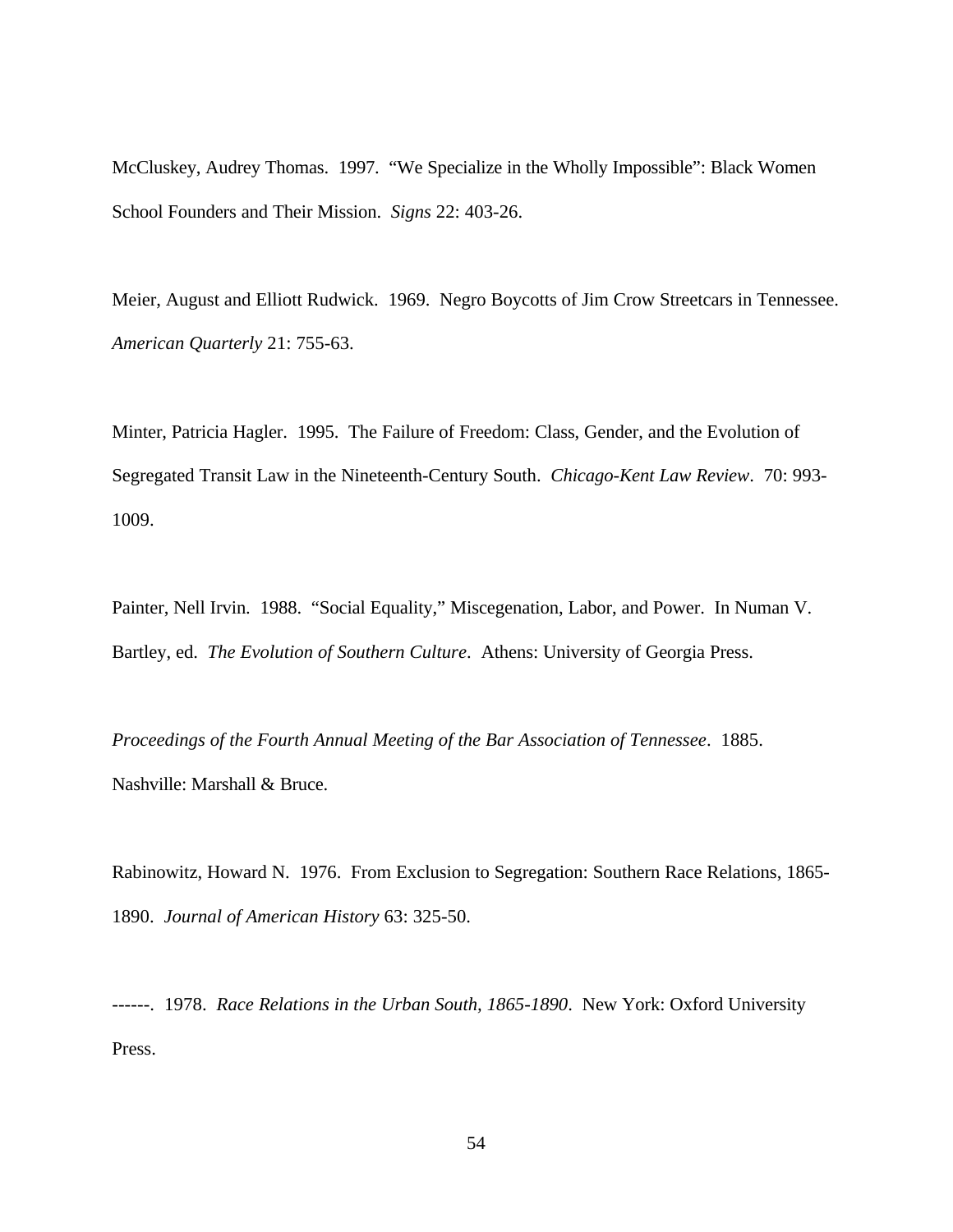McCluskey, Audrey Thomas. 1997. "We Specialize in the Wholly Impossible": Black Women School Founders and Their Mission. *Signs* 22: 403-26.

Meier, August and Elliott Rudwick. 1969. Negro Boycotts of Jim Crow Streetcars in Tennessee. *American Quarterly* 21: 755-63.

Minter, Patricia Hagler. 1995. The Failure of Freedom: Class, Gender, and the Evolution of Segregated Transit Law in the Nineteenth-Century South. *Chicago-Kent Law Review*. 70: 993- 1009.

Painter, Nell Irvin. 1988. "Social Equality," Miscegenation, Labor, and Power. In Numan V. Bartley, ed. *The Evolution of Southern Culture*. Athens: University of Georgia Press.

*Proceedings of the Fourth Annual Meeting of the Bar Association of Tennessee*. 1885. Nashville: Marshall & Bruce.

Rabinowitz, Howard N. 1976. From Exclusion to Segregation: Southern Race Relations, 1865- 1890. *Journal of American History* 63: 325-50.

------. 1978. *Race Relations in the Urban South, 1865-1890*. New York: Oxford University Press.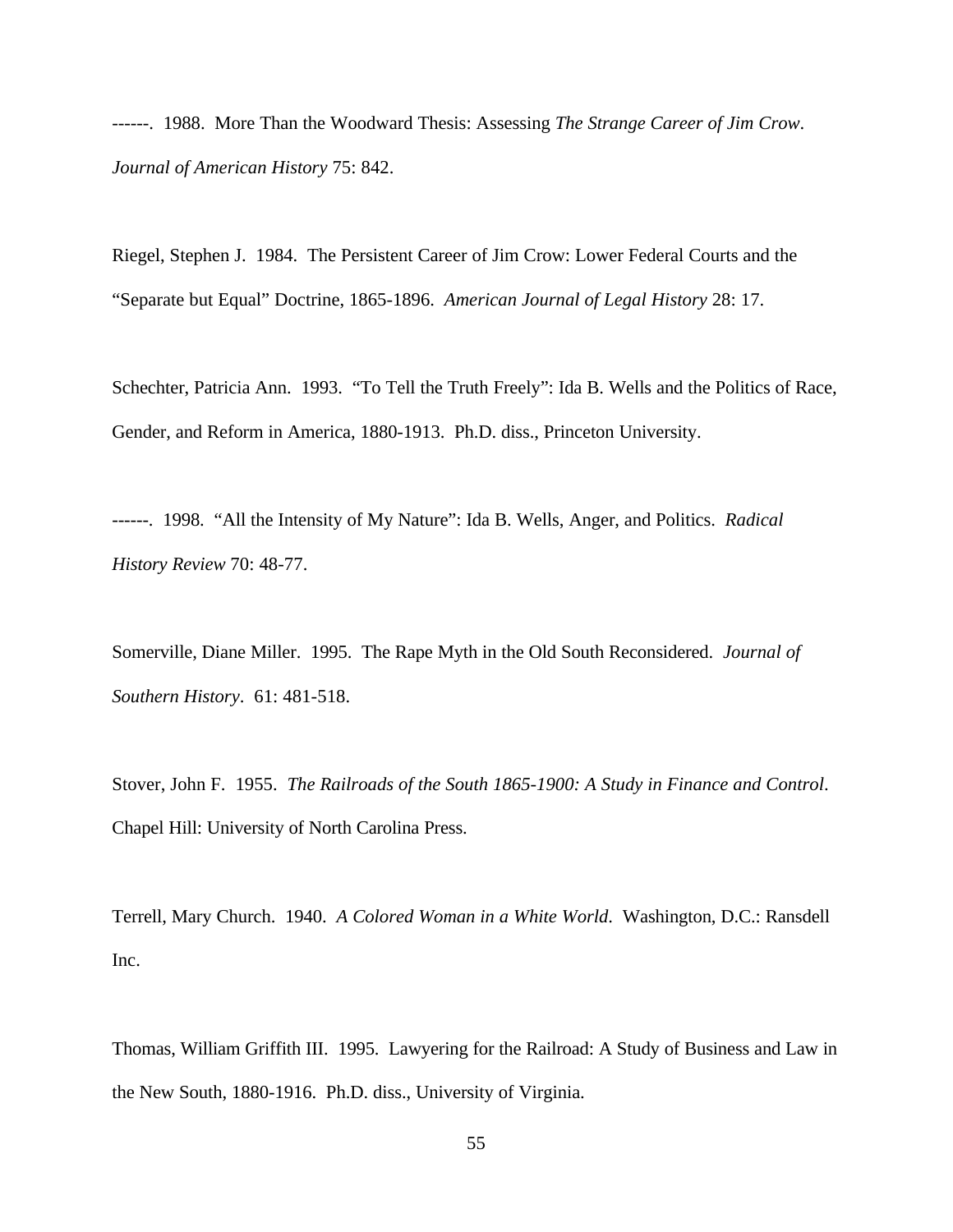------. 1988. More Than the Woodward Thesis: Assessing *The Strange Career of Jim Crow*. *Journal of American History* 75: 842.

Riegel, Stephen J. 1984. The Persistent Career of Jim Crow: Lower Federal Courts and the "Separate but Equal" Doctrine, 1865-1896. *American Journal of Legal History* 28: 17.

Schechter, Patricia Ann. 1993. "To Tell the Truth Freely": Ida B. Wells and the Politics of Race, Gender, and Reform in America, 1880-1913. Ph.D. diss., Princeton University.

------. 1998. "All the Intensity of My Nature": Ida B. Wells, Anger, and Politics. *Radical History Review* 70: 48-77.

Somerville, Diane Miller. 1995. The Rape Myth in the Old South Reconsidered. *Journal of Southern History*. 61: 481-518.

Stover, John F. 1955. *The Railroads of the South 1865-1900: A Study in Finance and Control*. Chapel Hill: University of North Carolina Press.

Terrell, Mary Church. 1940. *A Colored Woman in a White World*. Washington, D.C.: Ransdell Inc.

Thomas, William Griffith III. 1995. Lawyering for the Railroad: A Study of Business and Law in the New South, 1880-1916. Ph.D. diss., University of Virginia.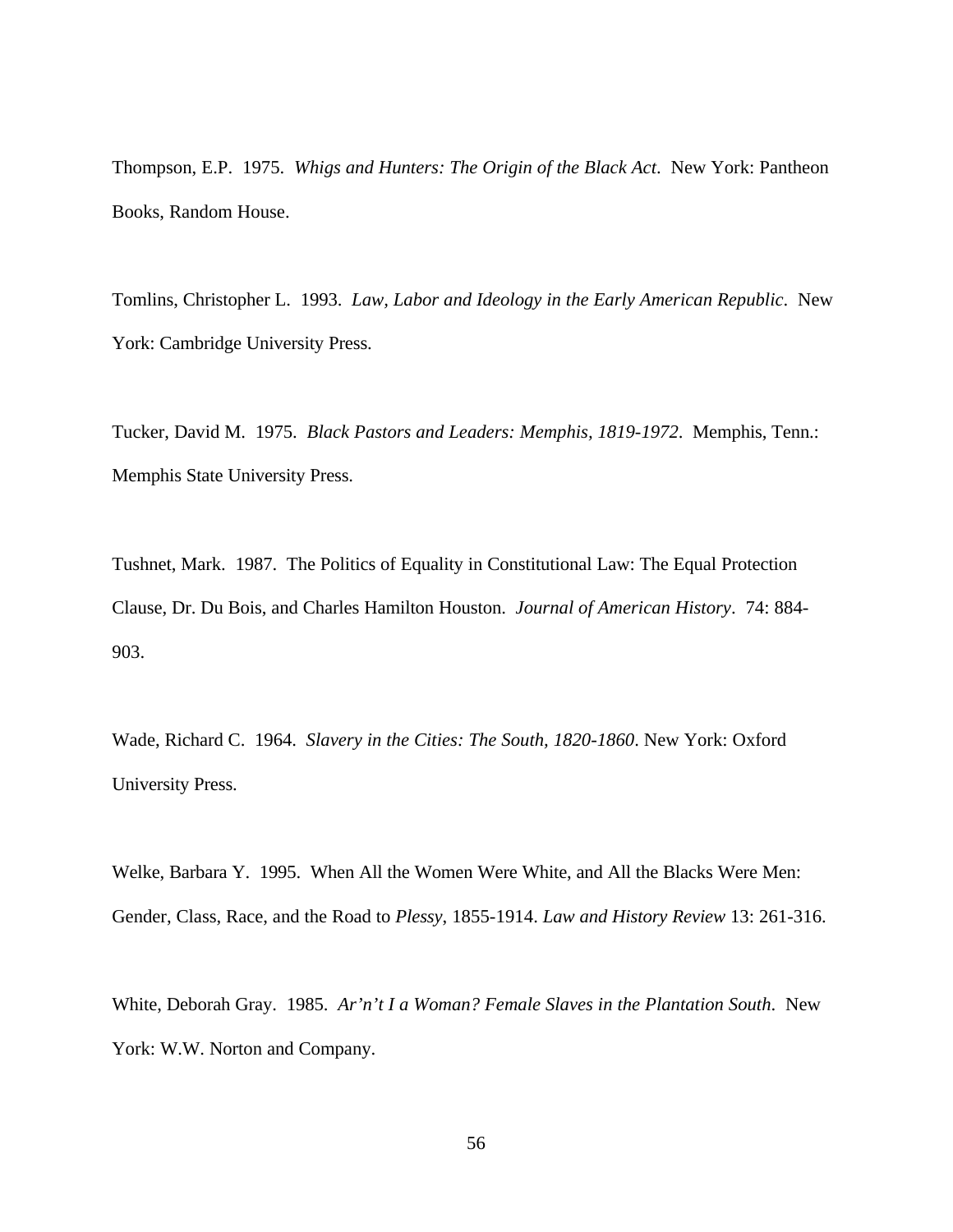Thompson, E.P. 1975. *Whigs and Hunters: The Origin of the Black Act*. New York: Pantheon Books, Random House.

Tomlins, Christopher L. 1993. *Law, Labor and Ideology in the Early American Republic*. New York: Cambridge University Press.

Tucker, David M. 1975. *Black Pastors and Leaders: Memphis, 1819-1972*. Memphis, Tenn.: Memphis State University Press.

Tushnet, Mark. 1987. The Politics of Equality in Constitutional Law: The Equal Protection Clause, Dr. Du Bois, and Charles Hamilton Houston. *Journal of American History*. 74: 884- 903.

Wade, Richard C. 1964. *Slavery in the Cities: The South, 1820-1860*. New York: Oxford University Press.

Welke, Barbara Y. 1995. When All the Women Were White, and All the Blacks Were Men: Gender, Class, Race, and the Road to *Plessy*, 1855-1914. *Law and History Review* 13: 261-316.

White, Deborah Gray. 1985. *Ar'n't I a Woman? Female Slaves in the Plantation South*. New York: W.W. Norton and Company.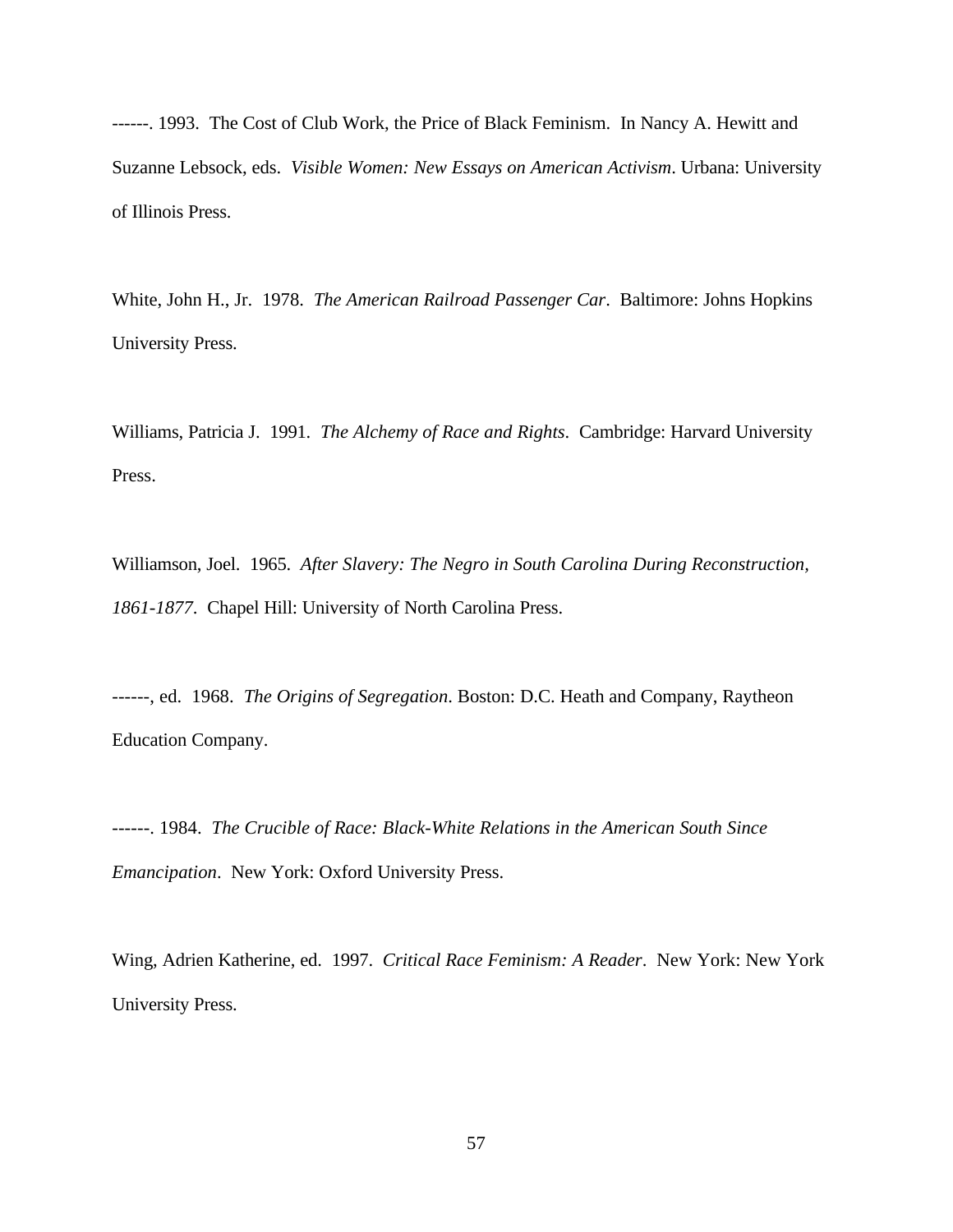------. 1993. The Cost of Club Work, the Price of Black Feminism. In Nancy A. Hewitt and Suzanne Lebsock, eds. *Visible Women: New Essays on American Activism*. Urbana: University of Illinois Press.

White, John H., Jr. 1978. *The American Railroad Passenger Car*. Baltimore: Johns Hopkins University Press.

Williams, Patricia J. 1991. *The Alchemy of Race and Rights*. Cambridge: Harvard University Press.

Williamson, Joel. 1965. *After Slavery: The Negro in South Carolina During Reconstruction, 1861-1877*. Chapel Hill: University of North Carolina Press.

------, ed. 1968. *The Origins of Segregation*. Boston: D.C. Heath and Company, Raytheon Education Company.

------. 1984. *The Crucible of Race: Black-White Relations in the American South Since Emancipation*. New York: Oxford University Press.

Wing, Adrien Katherine, ed. 1997. *Critical Race Feminism: A Reader*. New York: New York University Press.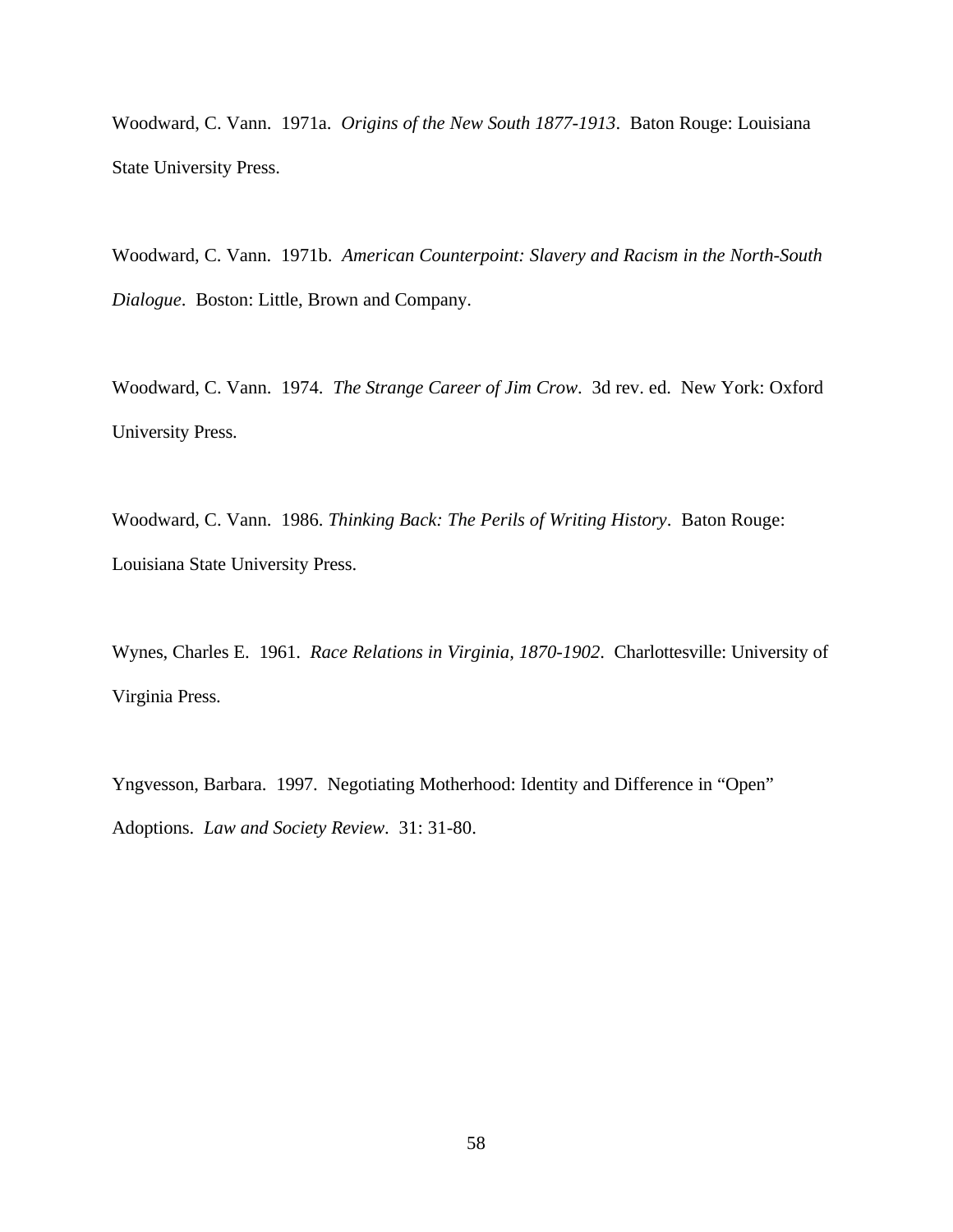Woodward, C. Vann. 1971a. *Origins of the New South 1877-1913*. Baton Rouge: Louisiana State University Press.

Woodward, C. Vann. 1971b. *American Counterpoint: Slavery and Racism in the North-South Dialogue*. Boston: Little, Brown and Company.

Woodward, C. Vann. 1974. *The Strange Career of Jim Crow*. 3d rev. ed. New York: Oxford University Press.

Woodward, C. Vann. 1986. *Thinking Back: The Perils of Writing History*. Baton Rouge: Louisiana State University Press.

Wynes, Charles E. 1961. *Race Relations in Virginia, 1870-1902*. Charlottesville: University of Virginia Press.

Yngvesson, Barbara. 1997. Negotiating Motherhood: Identity and Difference in "Open" Adoptions. *Law and Society Review*. 31: 31-80.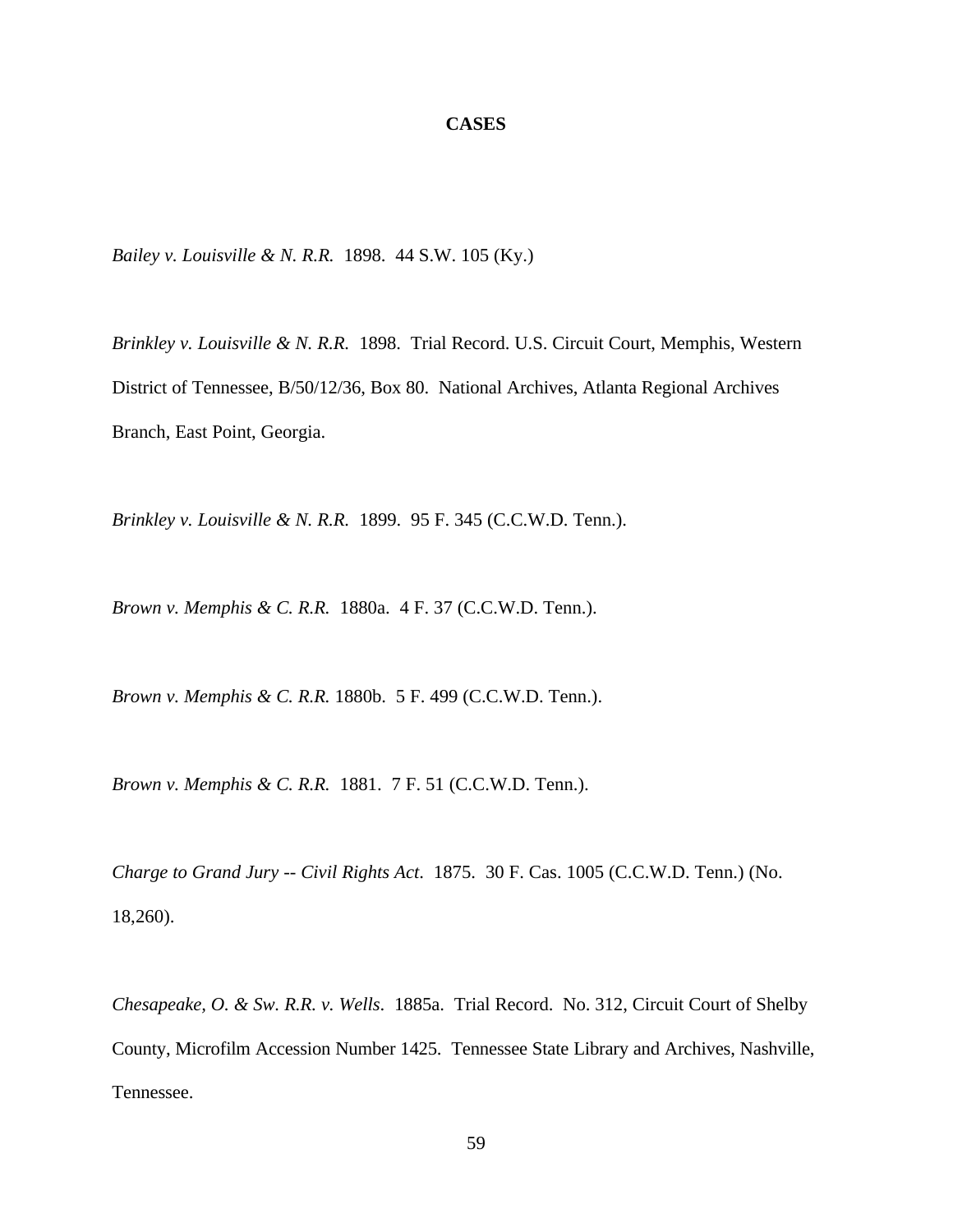#### **CASES**

*Bailey v. Louisville & N. R.R.* 1898. 44 S.W. 105 (Ky.)

*Brinkley v. Louisville & N. R.R.* 1898. Trial Record. U.S. Circuit Court, Memphis, Western District of Tennessee, B/50/12/36, Box 80. National Archives, Atlanta Regional Archives Branch, East Point, Georgia.

*Brinkley v. Louisville & N. R.R.* 1899. 95 F. 345 (C.C.W.D. Tenn.).

*Brown v. Memphis & C. R.R.* 1880a. 4 F. 37 (C.C.W.D. Tenn.).

*Brown v. Memphis & C. R.R.* 1880b. 5 F. 499 (C.C.W.D. Tenn.).

*Brown v. Memphis & C. R.R.* 1881. 7 F. 51 (C.C.W.D. Tenn.).

*Charge to Grand Jury -- Civil Rights Act*. 1875. 30 F. Cas. 1005 (C.C.W.D. Tenn.) (No. 18,260).

*Chesapeake, O. & Sw. R.R. v. Wells*. 1885a. Trial Record. No. 312, Circuit Court of Shelby County, Microfilm Accession Number 1425. Tennessee State Library and Archives, Nashville, Tennessee.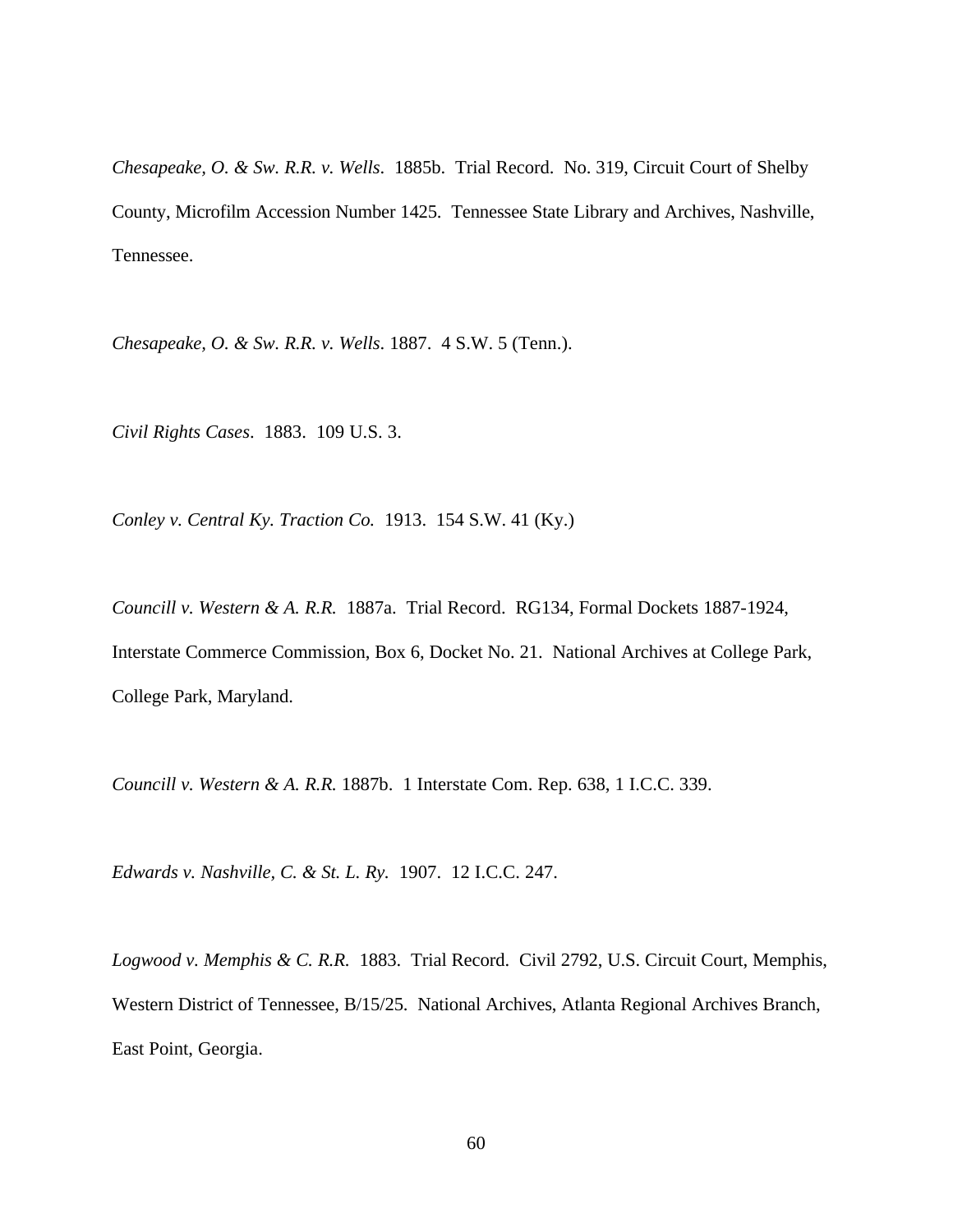*Chesapeake, O. & Sw. R.R. v. Wells*. 1885b. Trial Record. No. 319, Circuit Court of Shelby County, Microfilm Accession Number 1425. Tennessee State Library and Archives, Nashville, Tennessee.

*Chesapeake, O. & Sw. R.R. v. Wells*. 1887. 4 S.W. 5 (Tenn.).

*Civil Rights Cases*. 1883. 109 U.S. 3.

*Conley v. Central Ky. Traction Co.* 1913. 154 S.W. 41 (Ky.)

*Councill v. Western & A. R.R.* 1887a. Trial Record. RG134, Formal Dockets 1887-1924, Interstate Commerce Commission, Box 6, Docket No. 21. National Archives at College Park, College Park, Maryland.

*Councill v. Western & A. R.R.* 1887b. 1 Interstate Com. Rep. 638, 1 I.C.C. 339.

*Edwards v. Nashville, C. & St. L. Ry.* 1907. 12 I.C.C. 247.

*Logwood v. Memphis & C. R.R.* 1883. Trial Record. Civil 2792, U.S. Circuit Court, Memphis, Western District of Tennessee, B/15/25. National Archives, Atlanta Regional Archives Branch, East Point, Georgia.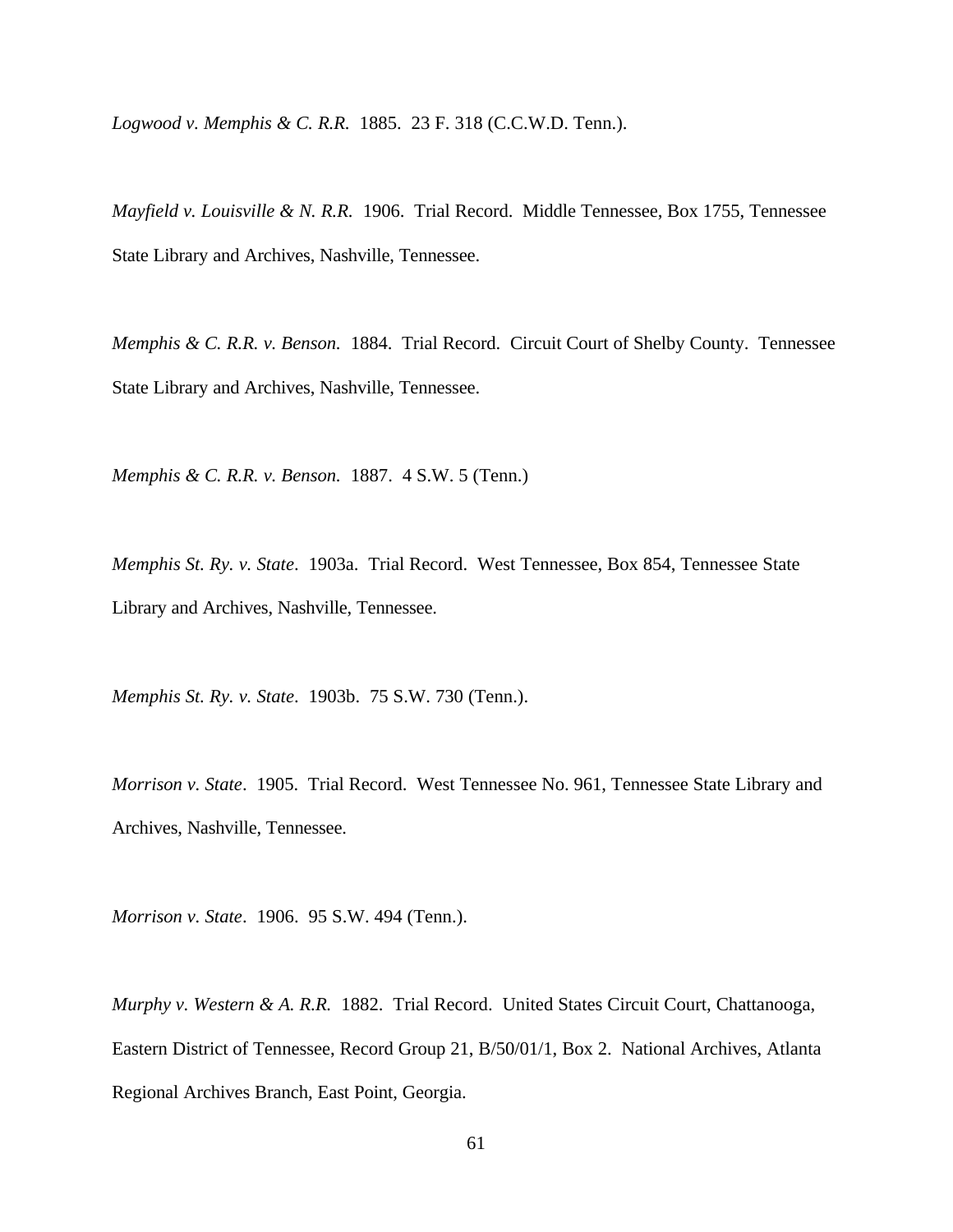*Logwood v. Memphis & C. R.R.* 1885. 23 F. 318 (C.C.W.D. Tenn.).

*Mayfield v. Louisville & N. R.R.* 1906. Trial Record. Middle Tennessee, Box 1755, Tennessee State Library and Archives, Nashville, Tennessee.

*Memphis & C. R.R. v. Benson.* 1884. Trial Record. Circuit Court of Shelby County. Tennessee State Library and Archives, Nashville, Tennessee.

*Memphis & C. R.R. v. Benson.* 1887. 4 S.W. 5 (Tenn.)

*Memphis St. Ry. v. State*. 1903a. Trial Record. West Tennessee, Box 854, Tennessee State Library and Archives, Nashville, Tennessee.

*Memphis St. Ry. v. State*. 1903b. 75 S.W. 730 (Tenn.).

*Morrison v. State*. 1905. Trial Record. West Tennessee No. 961, Tennessee State Library and Archives, Nashville, Tennessee.

*Morrison v. State*. 1906. 95 S.W. 494 (Tenn.).

*Murphy v. Western & A. R.R.* 1882. Trial Record. United States Circuit Court, Chattanooga, Eastern District of Tennessee, Record Group 21, B/50/01/1, Box 2. National Archives, Atlanta Regional Archives Branch, East Point, Georgia.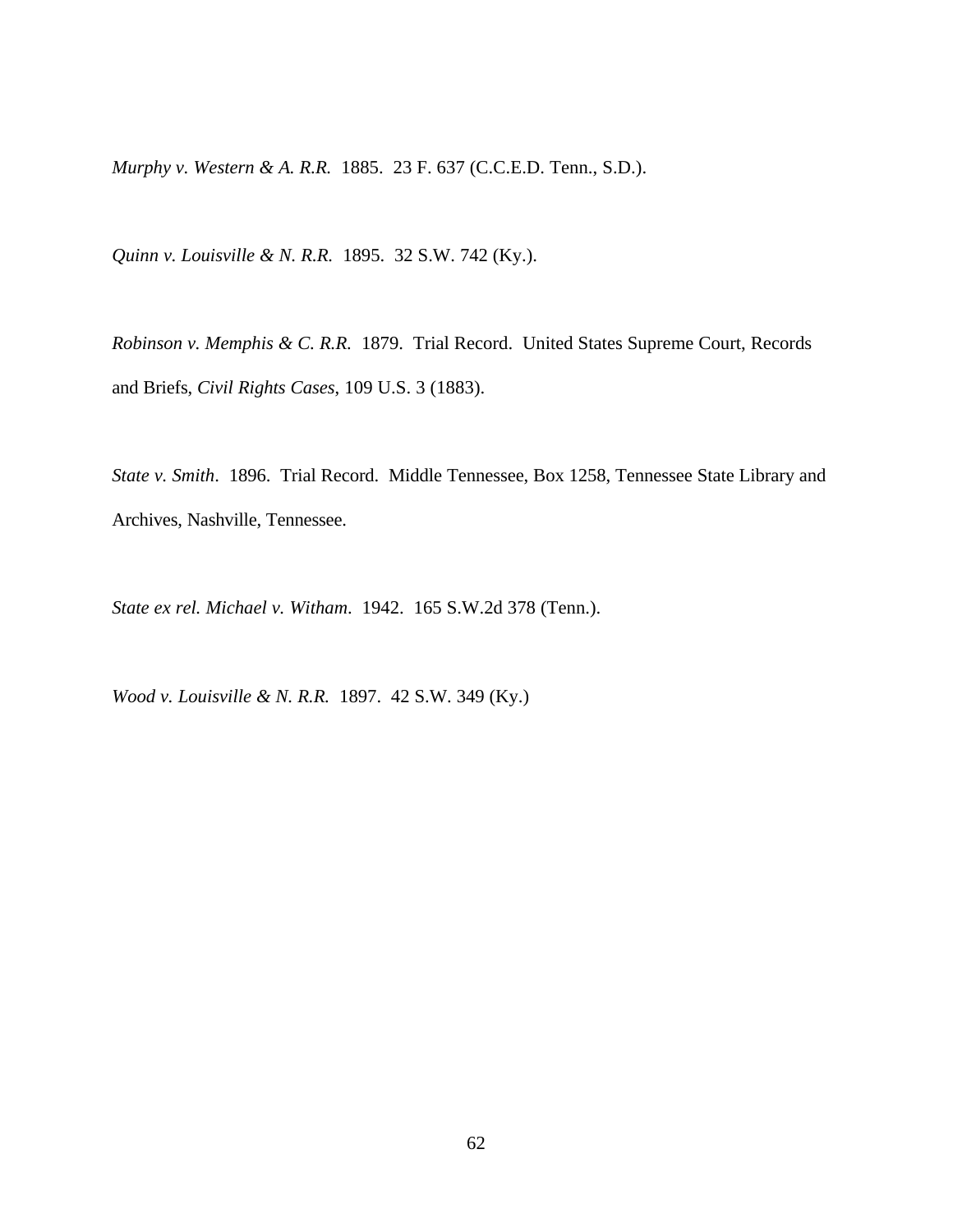*Murphy v. Western & A. R.R.* 1885. 23 F. 637 (C.C.E.D. Tenn., S.D.).

*Quinn v. Louisville & N. R.R.* 1895. 32 S.W. 742 (Ky.).

*Robinson v. Memphis & C. R.R.* 1879. Trial Record. United States Supreme Court, Records and Briefs, *Civil Rights Cases*, 109 U.S. 3 (1883).

*State v. Smith*. 1896. Trial Record. Middle Tennessee, Box 1258, Tennessee State Library and Archives, Nashville, Tennessee.

*State ex rel. Michael v. Witham*. 1942. 165 S.W.2d 378 (Tenn.).

*Wood v. Louisville & N. R.R.* 1897. 42 S.W. 349 (Ky.)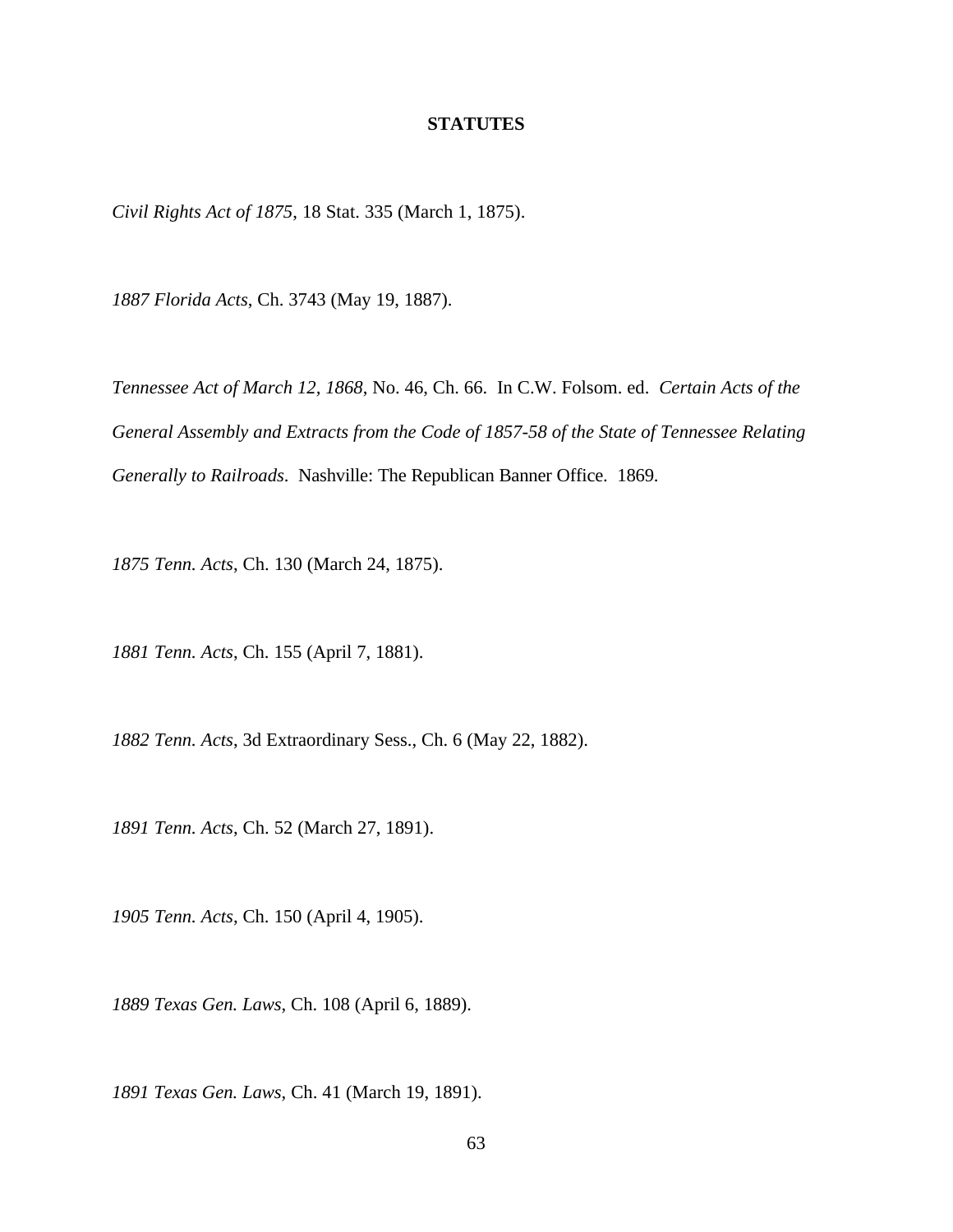#### **STATUTES**

*Civil Rights Act of 1875*, 18 Stat. 335 (March 1, 1875).

*1887 Florida Acts*, Ch. 3743 (May 19, 1887).

*Tennessee Act of March 12, 1868*, No. 46, Ch. 66. In C.W. Folsom. ed. *Certain Acts of the General Assembly and Extracts from the Code of 1857-58 of the State of Tennessee Relating Generally to Railroads*. Nashville: The Republican Banner Office. 1869.

*1875 Tenn. Acts*, Ch. 130 (March 24, 1875).

*1881 Tenn. Acts*, Ch. 155 (April 7, 1881).

*1882 Tenn. Acts*, 3d Extraordinary Sess., Ch. 6 (May 22, 1882).

*1891 Tenn. Acts*, Ch. 52 (March 27, 1891).

*1905 Tenn. Acts*, Ch. 150 (April 4, 1905).

*1889 Texas Gen. Laws*, Ch. 108 (April 6, 1889).

*1891 Texas Gen. Laws*, Ch. 41 (March 19, 1891).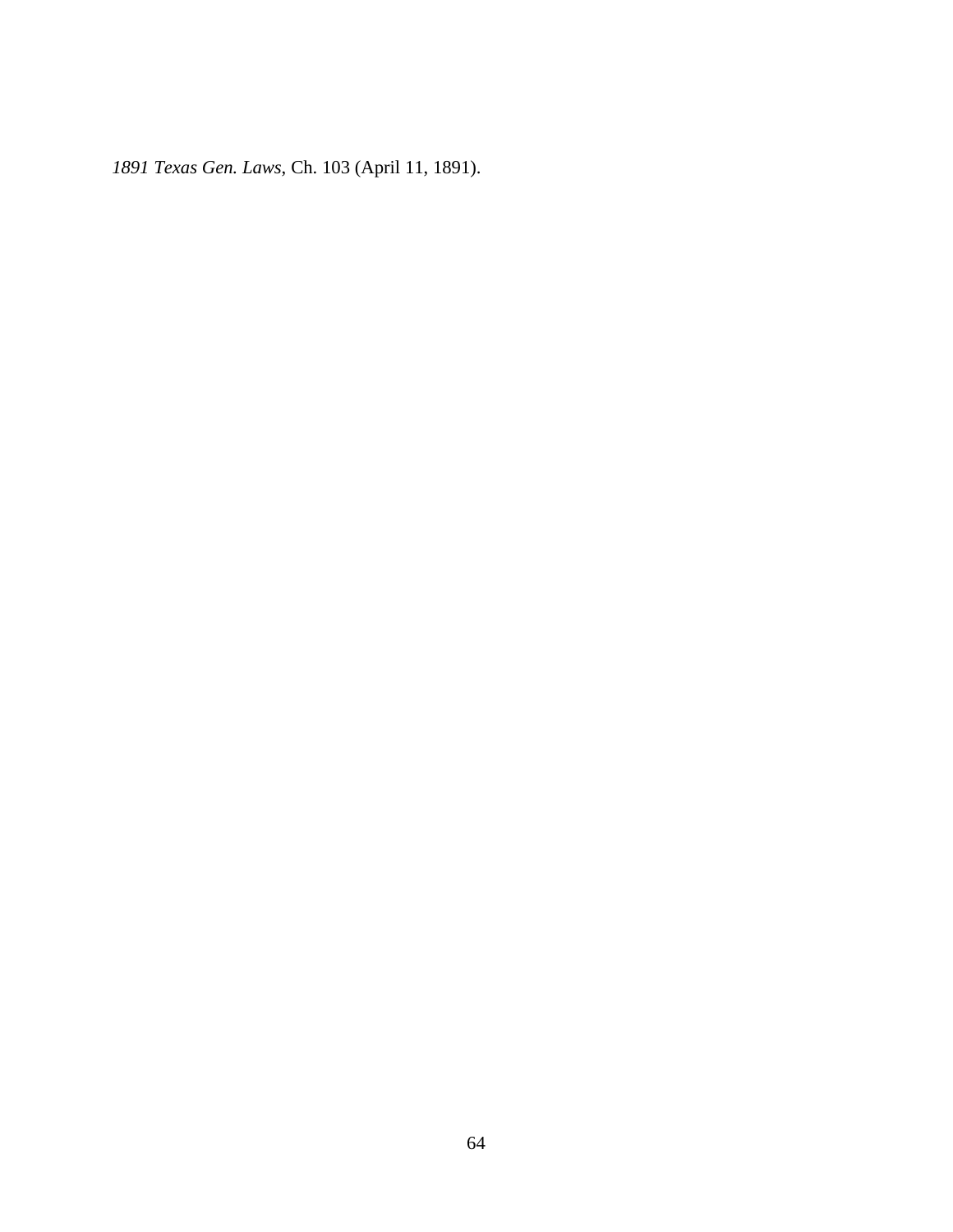*1891 Texas Gen. Laws*, Ch. 103 (April 11, 1891).